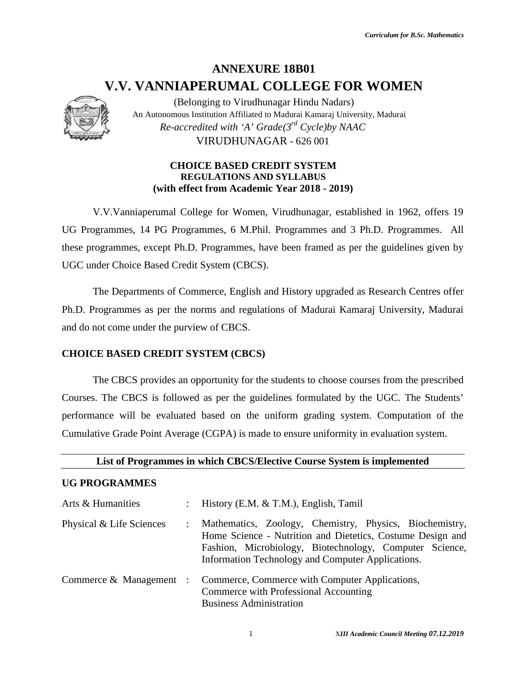## **ANNEXURE 18B01 V.V. VANNIAPERUMAL COLLEGE FOR WOMEN**



#### **CHOICE BASED CREDIT SYSTEM REGULATIONS AND SYLLABUS REGULATIONS AND (with effect from Academic Year 2018 - 2019)**

#### **CHOICE BASED CREDIT SYSTEM (CBCS)**

#### **List of Programmes in which CBCS/Elective Course System is implemented**

#### **UG PROGRAMMES**

|                                            |                | (Belonging to Virudhunagar Hindu Nadars)<br>An Autonomous Institution Affiliated to Madurai Kamaraj University, Madurai<br>Re-accredited with 'A' Grade( $3^{rd}$ Cycle)by NAAC                                                       |
|--------------------------------------------|----------------|---------------------------------------------------------------------------------------------------------------------------------------------------------------------------------------------------------------------------------------|
|                                            |                | VIRUDHUNAGAR - 626 001                                                                                                                                                                                                                |
|                                            |                | <b>CHOICE BASED CREDIT SYSTEM</b><br><b>REGULATIONS AND SYLLABUS</b><br>(with effect from Academic Year 2018 - 2019)                                                                                                                  |
|                                            |                | V.V.Vanniaperumal College for Women, Virudhunagar, established in 1962, offers 19                                                                                                                                                     |
|                                            |                | UG Programmes, 14 PG Programmes, 6 M.Phil. Programmes and 3 Ph.D. Programmes. All                                                                                                                                                     |
|                                            |                | these programmes, except Ph.D. Programmes, have been framed as per the guidelines given by                                                                                                                                            |
|                                            |                | UGC under Choice Based Credit System (CBCS).                                                                                                                                                                                          |
|                                            |                | The Departments of Commerce, English and History upgraded as Research Centres offer                                                                                                                                                   |
|                                            |                | Ph.D. Programmes as per the norms and regulations of Madurai Kamaraj University, Madurai                                                                                                                                              |
| and do not come under the purview of CBCS. |                |                                                                                                                                                                                                                                       |
| <b>CHOICE BASED CREDIT SYSTEM (CBCS)</b>   |                |                                                                                                                                                                                                                                       |
|                                            |                | The CBCS provides an opportunity for the students to choose courses from the prescribed                                                                                                                                               |
|                                            |                | Courses. The CBCS is followed as per the guidelines formulated by the UGC. The Students'                                                                                                                                              |
|                                            |                | performance will be evaluated based on the uniform grading system. Computation of the                                                                                                                                                 |
|                                            |                | Cumulative Grade Point Average (CGPA) is made to ensure uniformity in evaluation system.                                                                                                                                              |
|                                            |                | List of Programmes in which CBCS/Elective Course System is implemented                                                                                                                                                                |
| <b>UG PROGRAMMES</b>                       |                |                                                                                                                                                                                                                                       |
| Arts & Humanities                          |                | History (E.M. & T.M.), English, Tamil                                                                                                                                                                                                 |
| Physical & Life Sciences                   | $\ddot{\cdot}$ | Mathematics, Zoology, Chemistry, Physics, Biochemistry,<br>Home Science - Nutrition and Dietetics, Costume Design and<br>Fashion, Microbiology, Biotechnology, Computer Science,<br>Information Technology and Computer Applications. |
| Commerce $&$ Management :                  |                | Commerce, Commerce with Computer Applications,<br>Commerce with Professional Accounting<br><b>Business Administration</b>                                                                                                             |
|                                            |                | 1<br>XIII Academic Council Meeting 07.12.2019                                                                                                                                                                                         |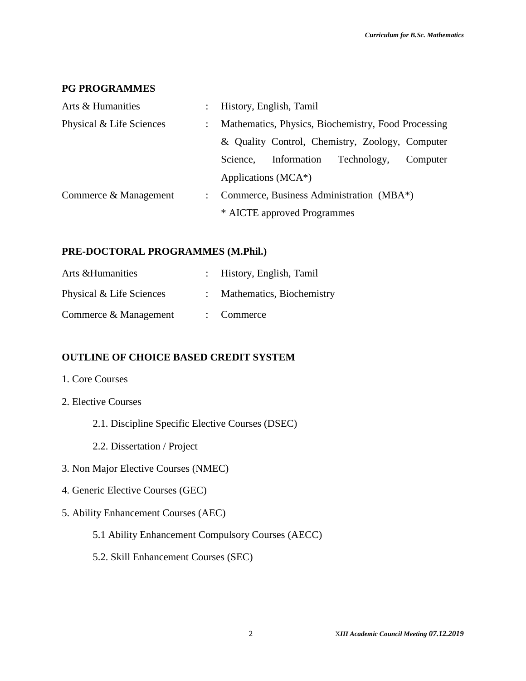#### **PG PROGRAMMES**

| Arts & Humanities        | $\mathbb{R}^{\mathbb{Z}}$ | History, English, Tamil                             |  |  |  |
|--------------------------|---------------------------|-----------------------------------------------------|--|--|--|
| Physical & Life Sciences |                           | Mathematics, Physics, Biochemistry, Food Processing |  |  |  |
|                          |                           | & Quality Control, Chemistry, Zoology, Computer     |  |  |  |
|                          |                           | Information<br>Technology,<br>Science.<br>Computer  |  |  |  |
|                          |                           | Applications (MCA*)                                 |  |  |  |
| Commerce & Management    | $\mathcal{L}$             | Commerce, Business Administration (MBA*)            |  |  |  |
|                          |                           | * AICTE approved Programmes                         |  |  |  |

#### **PRE-DOCTORAL PROGRAMMES (M.Phil.)**

| Arts & Humanities        | : History, English, Tamil   |
|--------------------------|-----------------------------|
| Physical & Life Sciences | : Mathematics, Biochemistry |
| Commerce & Management    | $\therefore$ Commerce       |

#### **OUTLINE OF CHOICE BASED CREDIT SYSTEM**

- 1. Core Courses
- 2. Elective Courses
	- 2.1. Discipline Specific Elective Courses (DSEC)
	- 2.2. Dissertation / Project
- 3. Non Major Elective Courses (NMEC)
- 4. Generic Elective Courses (GEC)
- 5. Ability Enhancement Courses (AEC)
	- 5.1 Ability Enhancement Compulsory Courses (AECC)
	- 5.2. Skill Enhancement Courses (SEC)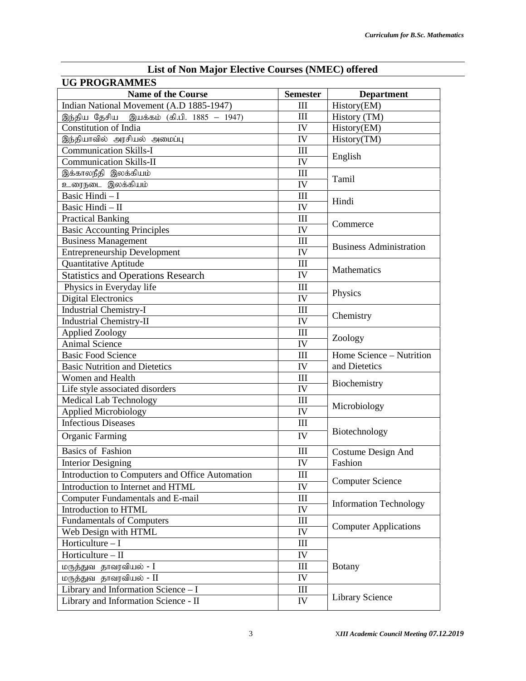| List of Ivon Major Electrve Courses (IVMEC) offered<br><b>UG PROGRAMMES</b> |                                  |                                |  |  |
|-----------------------------------------------------------------------------|----------------------------------|--------------------------------|--|--|
| <b>Name of the Course</b>                                                   | <b>Semester</b>                  | <b>Department</b>              |  |  |
| Indian National Movement (A.D 1885-1947)                                    | III                              | History(EM)                    |  |  |
| இந்திய தேசிய இயக்கம் (கி.பி. 1885 – 1947)                                   | III                              | History (TM)                   |  |  |
| <b>Constitution of India</b>                                                | IV                               | History(EM)                    |  |  |
| இந்தியாவில் அரசியல் அமைப்பு                                                 | IV                               | History(TM)                    |  |  |
| <b>Communication Skills-I</b>                                               | III                              |                                |  |  |
| <b>Communication Skills-II</b>                                              | IV                               | English                        |  |  |
| இக்காலநீதி இலக்கியம்                                                        | $\mathop{\mathrm{III}}\nolimits$ |                                |  |  |
| உரைநடை இலக்கியம்                                                            | IV                               | Tamil                          |  |  |
| Basic Hindi - I                                                             | III                              |                                |  |  |
| Basic Hindi - II                                                            | IV                               | Hindi                          |  |  |
| <b>Practical Banking</b>                                                    | III                              |                                |  |  |
| <b>Basic Accounting Principles</b>                                          | IV                               | Commerce                       |  |  |
| <b>Business Management</b>                                                  | III                              |                                |  |  |
| <b>Entrepreneurship Development</b>                                         | IV                               | <b>Business Administration</b> |  |  |
| Quantitative Aptitude                                                       | Ш                                |                                |  |  |
| <b>Statistics and Operations Research</b>                                   | IV                               | Mathematics                    |  |  |
| Physics in Everyday life                                                    | III                              |                                |  |  |
| <b>Digital Electronics</b>                                                  | IV                               | Physics                        |  |  |
| <b>Industrial Chemistry-I</b>                                               | III                              |                                |  |  |
| <b>Industrial Chemistry-II</b>                                              | IV                               | Chemistry                      |  |  |
| <b>Applied Zoology</b>                                                      | III                              |                                |  |  |
| <b>Animal Science</b>                                                       | IV                               | Zoology                        |  |  |
| <b>Basic Food Science</b>                                                   | III                              | Home Science - Nutrition       |  |  |
| <b>Basic Nutrition and Dietetics</b>                                        | IV                               | and Dietetics                  |  |  |
| Women and Health                                                            | III                              |                                |  |  |
|                                                                             | IV                               | Biochemistry                   |  |  |
| Life style associated disorders                                             |                                  |                                |  |  |
| <b>Medical Lab Technology</b>                                               | III<br>IV                        | Microbiology                   |  |  |
| <b>Applied Microbiology</b><br><b>Infectious Diseases</b>                   |                                  |                                |  |  |
|                                                                             | III                              | Biotechnology                  |  |  |
| <b>Organic Farming</b>                                                      | IV                               |                                |  |  |
| <b>Basics of Fashion</b>                                                    | III                              | Costume Design And             |  |  |
| <b>Interior Designing</b>                                                   | IV                               | Fashion                        |  |  |
| Introduction to Computers and Office Automation                             | III                              |                                |  |  |
| Introduction to Internet and HTML                                           | IV                               | <b>Computer Science</b>        |  |  |
| <b>Computer Fundamentals and E-mail</b>                                     | III                              |                                |  |  |
| Introduction to HTML                                                        | IV                               | <b>Information Technology</b>  |  |  |
| <b>Fundamentals of Computers</b>                                            | III                              |                                |  |  |
| Web Design with HTML                                                        | IV                               | <b>Computer Applications</b>   |  |  |
| Horticulture $-I$                                                           | $\rm III$                        |                                |  |  |
| Horticulture - II                                                           | IV                               |                                |  |  |
| மருத்துவ தாவரவியல் - I                                                      | III                              | <b>Botany</b>                  |  |  |
| மருத்துவ தாவரவியல் - II                                                     | IV                               |                                |  |  |
| Library and Information Science - I                                         | III                              |                                |  |  |
| Library and Information Science - II                                        | IV                               | <b>Library Science</b>         |  |  |
|                                                                             |                                  |                                |  |  |

### **List of Non Major Elective Courses (NMEC) offered**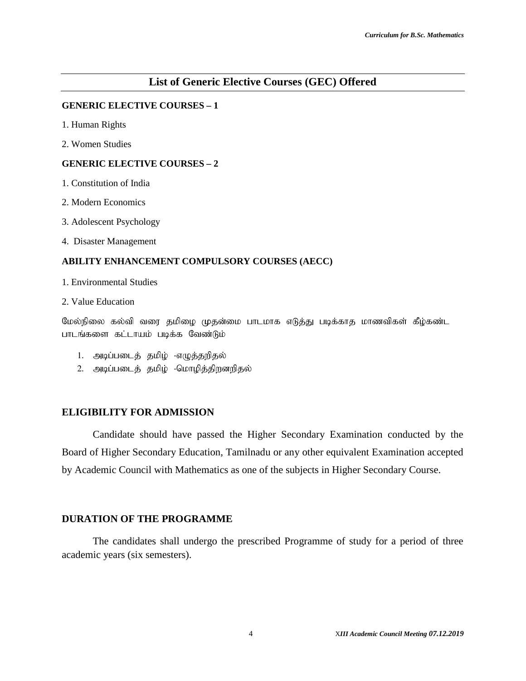#### **List of Generic Elective Courses (GEC) Offered**

#### **GENERIC ELECTIVE COURSES – 1**

- 1. Human Rights
- 2. Women Studies

#### **GENERIC ELECTIVE COURSES – 2**

- 1. Constitution of India
- 2. Modern Economics
- 3. Adolescent Psychology
- 4. Disaster Management

#### **ABILITY ENHANCEMENT COMPULSORY COURSES (AECC)**

- 1. Environmental Studies
- 2. Value Education

மேல்நிலை கல்வி வரை தமிழை முதன்மை பாடமாக எடுத்து படிக்காத மாணவிகள் கீழ்கண்ட பாடங்களை கட்டாயம் படிக்க வேண்டும்

- 1. அடிப்படைத் தமிழ் -எழுத்தறிதல்
- 2. அடிப்படைத் தமிழ் -மொழித்திறனறிதல்

#### **ELIGIBILITY FOR ADMISSION**

Candidate should have passed the Higher Secondary Examination conducted by the Board of Higher Secondary Education, Tamilnadu or any other equivalent Examination accepted by Academic Council with Mathematics as one of the subjects in Higher Secondary Course.

#### **DURATION OF THE PROGRAMME**

The candidates shall undergo the prescribed Programme of study for a period of three academic years (six semesters).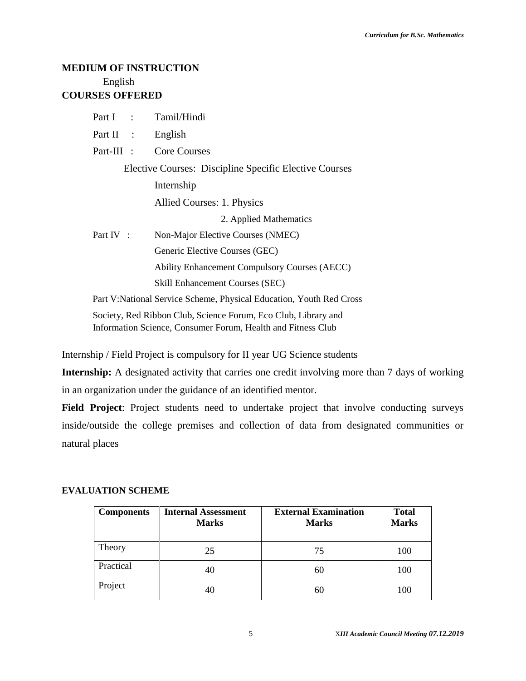#### **MEDIUM OF INSTRUCTION** English **COURSES OFFERED**

|              | Part I : Tamil/Hindi                                                 |
|--------------|----------------------------------------------------------------------|
| Part II :    | English                                                              |
| $Part-III$ : | <b>Core Courses</b>                                                  |
|              | Elective Courses: Discipline Specific Elective Courses               |
|              | Internship                                                           |
|              | Allied Courses: 1. Physics                                           |
|              | 2. Applied Mathematics                                               |
| Part IV :    | Non-Major Elective Courses (NMEC)                                    |
|              | Generic Elective Courses (GEC)                                       |
|              | <b>Ability Enhancement Compulsory Courses (AECC)</b>                 |
|              | <b>Skill Enhancement Courses (SEC)</b>                               |
|              | Part V: National Service Scheme, Physical Education, Youth Red Cross |
|              | Society, Red Ribbon Club, Science Forum, Eco Club, Library and       |

Internship / Field Project is compulsory for II year UG Science students

Information Science, Consumer Forum, Health and Fitness Club

**Internship:** A designated activity that carries one credit involving more than 7 days of working in an organization under the guidance of an identified mentor.

**Field Project**: Project students need to undertake project that involve conducting surveys inside/outside the college premises and collection of data from designated communities or natural places

#### **EVALUATION SCHEME**

| <b>Components</b> | <b>Internal Assessment</b><br><b>Marks</b> | <b>External Examination</b><br><b>Marks</b> | <b>Total</b><br><b>Marks</b> |
|-------------------|--------------------------------------------|---------------------------------------------|------------------------------|
| Theory            | 25                                         | 75                                          | 100                          |
| Practical         | 40                                         | 60                                          | 100                          |
| Project           | 40                                         | 60                                          | 100                          |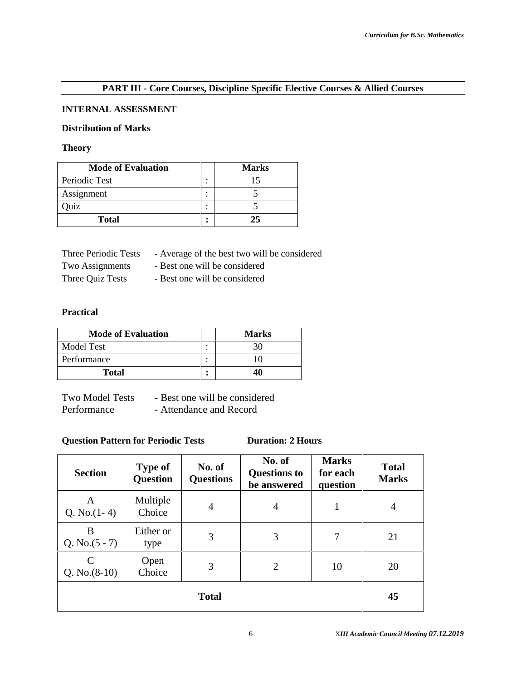#### **PART III - Core Courses, Discipline Specific Elective Courses & Allied Courses**

#### **INTERNAL ASSESSMENT**

#### **Distribution of Marks**

#### **Theory**

| <b>Mode of Evaluation</b> |        | <b>Marks</b> |
|---------------------------|--------|--------------|
| Periodic Test             | ٠<br>٠ |              |
| Assignment                | ٠<br>٠ |              |
| )uiz                      | ٠<br>٠ |              |
| <b>Total</b>              | ٠<br>٠ | 25           |

| Three Periodic Tests | - Average of the best two will be considered |
|----------------------|----------------------------------------------|
| Two Assignments      | - Best one will be considered                |
| Three Quiz Tests     | - Best one will be considered                |

#### **Practical**

| <b>Mode of Evaluation</b> |         | <b>Marks</b> |
|---------------------------|---------|--------------|
| Model Test                | $\cdot$ | 30           |
| Performance               |         |              |
| <b>Total</b>              |         |              |

| <b>Two Model Tests</b> | - Best one will be considered |
|------------------------|-------------------------------|
| Performance            | - Attendance and Record       |

#### **Question Pattern for Periodic Tests Duration: 2 Hours**

| <b>Section</b>                   | <b>Type of</b><br><b>Question</b> | No. of<br><b>Questions</b> | No. of<br><b>Questions to</b><br>be answered | <b>Marks</b><br>for each<br>question | <b>Total</b><br><b>Marks</b> |
|----------------------------------|-----------------------------------|----------------------------|----------------------------------------------|--------------------------------------|------------------------------|
| A<br>Q. No. $(1-4)$              | Multiple<br>Choice                | $\overline{4}$             | 4                                            | 1                                    | 4                            |
| B<br>Q. No. $(5 - 7)$            | Either or<br>type                 | 3                          | 3                                            | 7                                    | 21                           |
| $\mathcal{C}$<br>Q. No. $(8-10)$ | Open<br>Choice                    | 3                          | 2                                            | 10                                   | 20                           |
| <b>Total</b>                     |                                   |                            |                                              |                                      | 45                           |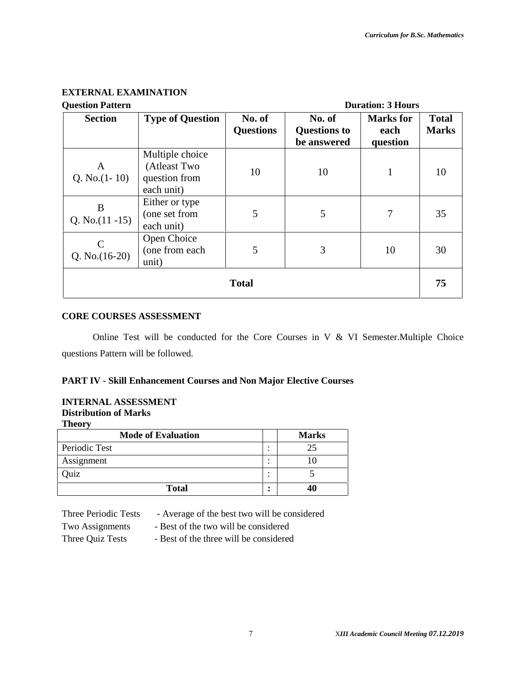#### **EXTERNAL EXAMINATION**

| <b>Question Pattern</b>          |                                                                | <b>Duration: 3 Hours</b>   |                                              |                                      |                              |
|----------------------------------|----------------------------------------------------------------|----------------------------|----------------------------------------------|--------------------------------------|------------------------------|
| <b>Section</b>                   | <b>Type of Question</b>                                        | No. of<br><b>Questions</b> | No. of<br><b>Questions to</b><br>be answered | <b>Marks</b> for<br>each<br>question | <b>Total</b><br><b>Marks</b> |
| A<br>Q. No. $(1-10)$             | Multiple choice<br>(Atleast Two<br>question from<br>each unit) | 10                         | 10                                           |                                      | 10                           |
| B<br>Q. No. $(11 - 15)$          | Either or type<br>(one set from<br>each unit)                  | 5                          | 5                                            | 7                                    | 35                           |
| $\mathsf{C}$<br>Q. No. $(16-20)$ | Open Choice<br>(one from each<br>unit)                         | 5                          | 3                                            | 10                                   | 30                           |
| <b>Total</b>                     |                                                                |                            |                                              |                                      | 75                           |

#### **CORE COURSES ASSESSMENT**

Online Test will be conducted for the Core Courses in V & VI Semester.Multiple Choice questions Pattern will be followed.

#### **PART IV - Skill Enhancement Courses and Non Major Elective Courses**

#### **INTERNAL ASSESSMENT Distribution of Marks Theory**

| <b>Mode of Evaluation</b> |        | <b>Marks</b> |
|---------------------------|--------|--------------|
| Periodic Test             | ٠<br>٠ |              |
| Assignment                | ٠<br>٠ |              |
| )uiz                      | ٠<br>٠ |              |
| <b>Total</b>              | ٠<br>٠ | 40           |

Three Periodic Tests - Average of the best two will be considered

- Two Assignments Best of the two will be considered
- 
- Three Quiz Tests Best of the three will be considered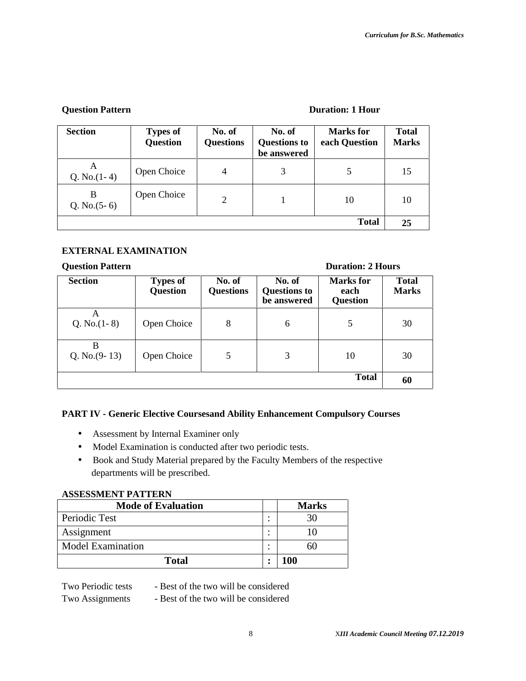#### **Question Pattern Duration: 1 Hour**

| <b>Section</b>      | <b>Types of</b><br><b>Question</b> | No. of<br><b>Questions</b> | No. of<br><b>Questions to</b><br>be answered | Marks for<br>each Question | <b>Total</b><br><b>Marks</b> |
|---------------------|------------------------------------|----------------------------|----------------------------------------------|----------------------------|------------------------------|
| A<br>Q. No. $(1-4)$ | Open Choice                        | $\overline{4}$             | 3                                            | 5                          | 15                           |
| B<br>Q. No. $(5-6)$ | Open Choice                        | 2                          |                                              | 10                         | 10                           |
|                     |                                    |                            |                                              | <b>Total</b>               | 25                           |

#### **EXTERNAL EXAMINATION**

#### **Question Pattern Duration: 2 Hours**

#### **Section Types of Question No. of Questions No. of Questions to be answered Marks for each Question Total Marks**  $A$ <br>Q. No.(1-8) Open Choice  $\begin{array}{|c|c|c|c|c|c|} \hline 8 & 6 & 5 & 30 \\ \hline \end{array}$ **B** Q. No.(9-13) Open Choice 5 5 3 10 30 **Total 60**

#### **PART IV - Generic Elective Coursesand Ability Enhancement Compulsory Courses**

- Assessment by Internal Examiner only
- Model Examination is conducted after two periodic tests.
- Book and Study Material prepared by the Faculty Members of the respective departments will be prescribed.

#### **ASSESSMENT PATTERN**

| <b>Mode of Evaluation</b> | <b>Marks</b> |
|---------------------------|--------------|
| Periodic Test             |              |
| Assignment                |              |
| <b>Model Examination</b>  |              |
| Total                     | 100          |

Two Periodic tests - Best of the two will be considered

Two Assignments - Best of the two will be considered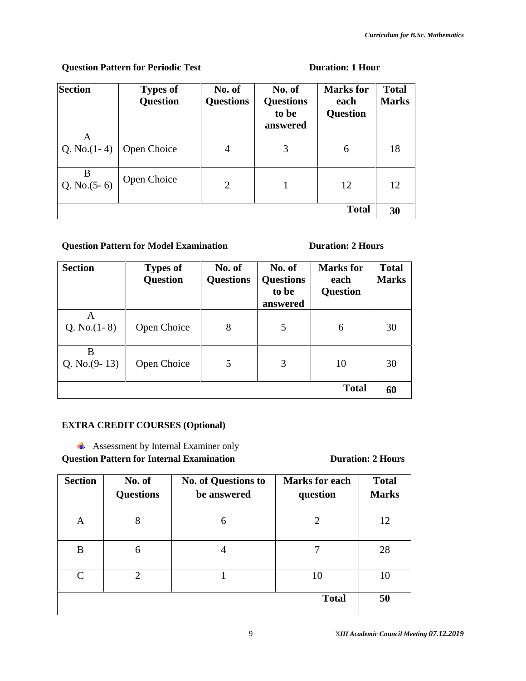#### **Question Pattern for Periodic Test Duration: 1 Hour**

| <b>Section</b>      | <b>Types of</b><br><b>Question</b> | No. of<br><b>Questions</b> | No. of<br><b>Questions</b><br>to be<br>answered | <b>Marks</b> for<br>each<br><b>Question</b> | <b>Total</b><br><b>Marks</b> |
|---------------------|------------------------------------|----------------------------|-------------------------------------------------|---------------------------------------------|------------------------------|
| A<br>Q. No. $(1-4)$ | Open Choice                        | 4                          | 3                                               | 6                                           | 18                           |
| B<br>Q. No. $(5-6)$ | Open Choice                        | $\overline{2}$             |                                                 | 12                                          | 12                           |
|                     |                                    |                            |                                                 | <b>Total</b>                                | 30                           |

#### **Question Pattern for Model Examination Duration: 2 Hours**

| <b>Section</b>       | <b>Types of</b><br><b>Question</b> | No. of<br><b>Questions</b> | No. of<br><b>Questions</b><br>to be<br>answered | <b>Marks</b> for<br>each<br><b>Question</b> | <b>Total</b><br><b>Marks</b> |
|----------------------|------------------------------------|----------------------------|-------------------------------------------------|---------------------------------------------|------------------------------|
| A<br>Q. No. $(1-8)$  | Open Choice                        | 8                          | 5                                               | 6                                           | 30                           |
| B<br>Q. No. $(9-13)$ | Open Choice                        | 5                          | 3                                               | 10                                          | 30                           |
| <b>Total</b>         |                                    |                            |                                                 |                                             |                              |

#### **EXTRA CREDIT COURSES (Optional)**

**Assessment by Internal Examiner only** 

**Question Pattern for Internal Examination Duration: 2 Hours** 

| <b>Section</b> | No. of<br><b>Questions</b> | <b>No. of Questions to</b><br>be answered | <b>Marks for each</b><br>question | <b>Total</b><br><b>Marks</b> |
|----------------|----------------------------|-------------------------------------------|-----------------------------------|------------------------------|
| A              | 8                          | 6                                         | 2                                 | 12                           |
| B              | 6                          | 4                                         |                                   | 28                           |
| $\mathcal{C}$  | 2                          |                                           | 10                                | 10                           |
|                |                            |                                           | <b>Total</b>                      | 50                           |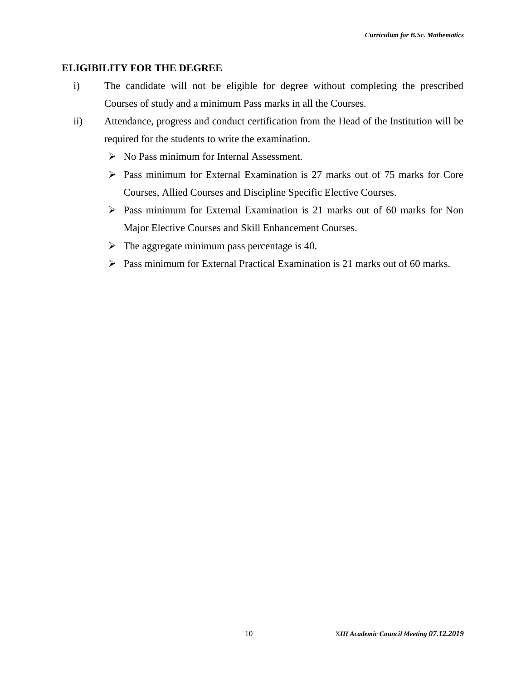#### **ELIGIBILITY FOR THE DEGREE**

- i) The candidate will not be eligible for degree without completing the prescribed Courses of study and a minimum Pass marks in all the Courses.
- ii) Attendance, progress and conduct certification from the Head of the Institution will be required for the students to write the examination.
	- $\triangleright$  No Pass minimum for Internal Assessment.
	- Pass minimum for External Examination is 27 marks out of 75 marks for Core Courses, Allied Courses and Discipline Specific Elective Courses.
	- Pass minimum for External Examination is 21 marks out of 60 marks for Non Major Elective Courses and Skill Enhancement Courses.
	- $\triangleright$  The aggregate minimum pass percentage is 40.
	- $\triangleright$  Pass minimum for External Practical Examination is 21 marks out of 60 marks.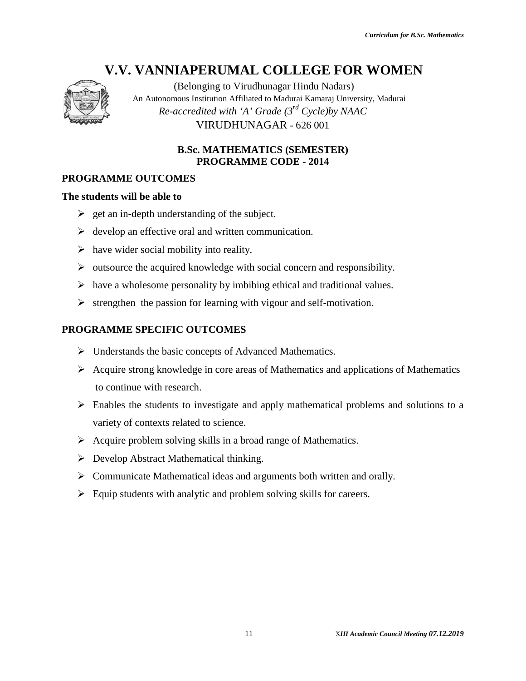

(Belonging to Virudhunagar Hindu Nadars) An Autonomous Institution Affiliated to Madurai Kamaraj University, Madurai *Re-accredited with 'A' Grade (3rd Cycle)by NAAC* VIRUDHUNAGAR - 626 001 *II* Academics to Viradhungar Hindu Nadars'<br> *III Academical Conging* Hindu Nadari Kamaraj University. Madurati<br> *accredited with* 'A' *Grade* (3<sup>-12</sup> Cycle)by NAAC<br> **PIRUDIIUNAGAR - 626 001**<br> **B.Sc. MATIEEMATICS (SEMESTER** 

# **B.Sc. MATHEMATICS (SEMESTER)** PROGRAMME CODE - 2014<br>*I*E OUTCOMES<br>will be able to

#### **PROGRAMME OUTCOMES**

#### **The students will be able to**

- $\geq$  get an in-depth understanding of the subject.
- $\triangleright$  develop an effective oral and written communication. ffective oral and with<br>ocial mobility into
- $\triangleright$  have wider social mobility into reality.
- $\triangleright$  outsource the acquired knowledge with social concern and responsibility.
- $\triangleright$  have a wholesome personality by imbibing ethical and traditional values.
- $\triangleright$  strengthen the passion for learning with vigour and self-motivation.

#### **PROGRAMME SPECIFIC OUTCOMES**

- $\triangleright$  Understands the basic concepts of Advanced Mathematics.
- $\triangleright$  Acquire strong knowledge in core areas of Mathematics and applications of Mathematics to continue with research. VIRUDHUNAGAR - 626 001<br> **B.Sc. MATHEMATICS (SEMEST**<br> **PROGRAMME CODE - 2014**<br> **CITCOMES**<br> **e able to**<br>
th understanding of the subject.<br>
ffective oral and written communication.<br>
cocial mobility into reality.<br>
e acquired k
- $\triangleright$  Enables the students to investigate and apply mathematical problems and solutions to a variety of contexts related to science. variety of contexts related to science.
- $\triangleright$  Acquire problem solving skills in a broad range of Mathematics.
- $\triangleright$  Develop Abstract Mathematical thinking.
- Example France Communicate Mathematical thinking.<br>
Solution 2018 1999 Notes and arguments both written and orally.
- $\triangleright$  Equip students with analytic and problem solving skills for careers.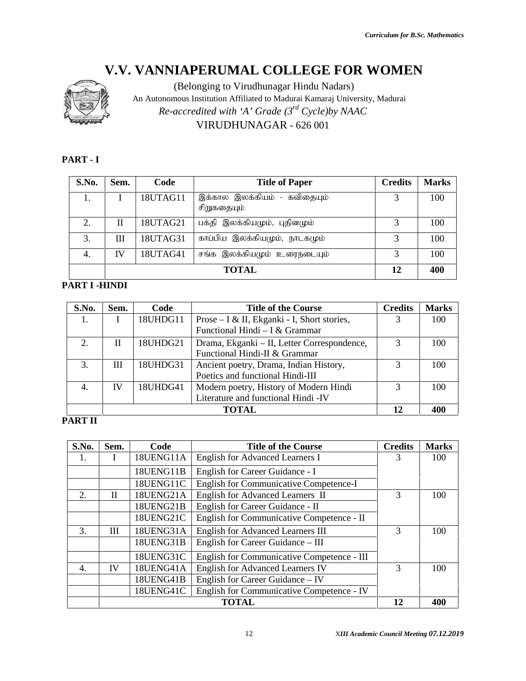

#### **PART - I**

| S.No. | Sem. | Code     | <b>Title of Paper</b>                       | <b>Credits</b> | <b>Marks</b> |
|-------|------|----------|---------------------------------------------|----------------|--------------|
| 1.    |      | 18UTAG11 | இக்கால இலக்கியம் - கவிதையும்<br>சிறுகதையும் | 3              | 100          |
| 2.    | П    | 18UTAG21 | பக்தி இலக்கியமும், புதினமும்                | 3              | 100          |
| 3.    | Ш    | 18UTAG31 | காப்பிய இலக்கியமும், நாடகமும்               | 3              | 100          |
| 4.    | IV   | 18UTAG41 | சங்க இலக்கியமும் உரைநடையும்                 | 3              | 100          |
|       |      |          | <b>TOTAL</b>                                | 12             | 400          |

#### **PART I -HINDI**

| S.No. | Sem. | Code     | <b>Title of the Course</b>                  | <b>Credits</b> | <b>Marks</b> |
|-------|------|----------|---------------------------------------------|----------------|--------------|
| 1.    |      | 18UHDG11 | Prose – I & II, Ekganki - I, Short stories, |                | 100          |
|       |      |          | Functional Hindi - I & Grammar              |                |              |
| 2.    | П    | 18UHDG21 | Drama, Ekganki – II, Letter Correspondence, | 3              | 100          |
|       |      |          | Functional Hindi-II & Grammar               |                |              |
| 3.    | Ш    | 18UHDG31 | Ancient poetry, Drama, Indian History,      | 3              | 100          |
|       |      |          | Poetics and functional Hindi-III            |                |              |
| 4.    | IV   | 18UHDG41 | Modern poetry, History of Modern Hindi      | $\mathcal{R}$  | 100          |
|       |      |          | Literature and functional Hindi -IV         |                |              |
|       |      | 12       | 400                                         |                |              |

#### **PART II**

|                  |               |           | VIRUDHUNAGAR - 626 001                                                        |                |              |
|------------------|---------------|-----------|-------------------------------------------------------------------------------|----------------|--------------|
| PART - I         |               |           |                                                                               |                |              |
| S.No.            | Sem.          | Code      | <b>Title of Paper</b>                                                         | <b>Credits</b> | <b>Marks</b> |
| 1.               | $\mathbf I$   | 18UTAG11  | இக்கால இலக்கியம் - கவிதையும்<br>சிறுகதையும்                                   | 3              | 100          |
| 2.               | $\mathbf{I}$  | 18UTAG21  | பக்தி இலக்கியமும், புதினமும்                                                  | $\overline{3}$ | 100          |
| 3.               | III           | 18UTAG31  | காப்பிய இலக்கியமும், நாடகமும்                                                 | 3              | 100          |
| 4.               | IV            | 18UTAG41  | சங்க இலக்கியமும் உரைநடையும்                                                   | 3              | 100          |
|                  |               |           | <b>TOTAL</b>                                                                  | 12             | 400          |
|                  | PART I -HINDI |           |                                                                               |                |              |
|                  |               |           |                                                                               |                |              |
| S.No.            | Sem.          | Code      | <b>Title of the Course</b>                                                    | <b>Credits</b> | <b>Marks</b> |
| 1.               | I             | 18UHDG11  | Prose – I & II, Ekganki - I, Short stories,<br>Functional Hindi - I & Grammar | 3              | 100          |
| 2.               | $\mathbf{I}$  | 18UHDG21  | Drama, Ekganki - II, Letter Correspondence,<br>Functional Hindi-II & Grammar  | 3              | 100          |
| 3.               | III           | 18UHDG31  | Ancient poetry, Drama, Indian History,<br>Poetics and functional Hindi-III    | 3              | 100          |
| $\overline{4}$ . | IV            | 18UHDG41  | Modern poetry, History of Modern Hindi<br>Literature and functional Hindi -IV | 3              | 100          |
|                  |               |           | <b>TOTAL</b>                                                                  | 12             | 400          |
| <b>PART II</b>   |               |           |                                                                               |                |              |
|                  | Sem.          | Code      | <b>Title of the Course</b>                                                    | <b>Credits</b> | <b>Marks</b> |
| S.No.<br>1.      | I             | 18UENG11A | <b>English for Advanced Learners I</b>                                        | 3              | 100          |
|                  |               | 18UENG11B | English for Career Guidance - I                                               |                |              |
|                  |               | 18UENG11C | <b>English for Communicative Competence-I</b>                                 |                |              |
| 2.               | $\mathbf{I}$  | 18UENG21A | English for Advanced Learners II                                              | $\overline{3}$ | 100          |
|                  |               | 18UENG21B | English for Career Guidance - II                                              |                |              |
|                  |               | 18UENG21C | English for Communicative Competence - II                                     |                |              |
|                  |               | 18UENG31A | <b>English for Advanced Learners III</b>                                      | $\overline{3}$ | 100          |
| 3.               | Ш             |           |                                                                               |                |              |
|                  |               | 18UENG31B | English for Career Guidance - III                                             |                |              |
|                  |               | 18UENG31C | English for Communicative Competence - III                                    |                |              |
| 4.               | IV            | 18UENG41A | <b>English for Advanced Learners IV</b>                                       | 3              | 100          |
|                  |               | 18UENG41B | English for Career Guidance - IV                                              |                |              |
|                  |               | 18UENG41C | English for Communicative Competence - IV                                     |                |              |
|                  |               |           | <b>TOTAL</b>                                                                  | 12             | 400          |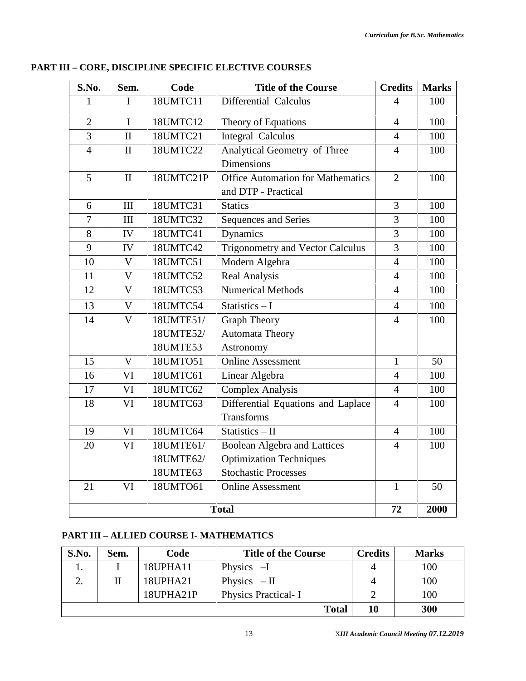| S.No.          | Sem.                    | Code      | <b>Title of the Course</b>               | <b>Credits</b> | <b>Marks</b> |
|----------------|-------------------------|-----------|------------------------------------------|----------------|--------------|
| 1              | I                       | 18UMTC11  | Differential Calculus                    | $\overline{4}$ | 100          |
| $\overline{2}$ | $\mathbf I$             | 18UMTC12  | Theory of Equations                      | $\overline{4}$ | 100          |
| 3              | $\mathbf{I}$            | 18UMTC21  | <b>Integral Calculus</b>                 | $\overline{4}$ | 100          |
| $\overline{4}$ | $\mathbf{I}$            | 18UMTC22  | Analytical Geometry of Three             | $\overline{4}$ | 100          |
|                |                         |           | <b>Dimensions</b>                        |                |              |
| 5              | $\mathbf{I}$            | 18UMTC21P | <b>Office Automation for Mathematics</b> | $\overline{2}$ | 100          |
|                |                         |           | and DTP - Practical                      |                |              |
| 6              | III                     | 18UMTC31  | <b>Statics</b>                           | 3              | 100          |
| $\overline{7}$ | III                     | 18UMTC32  | Sequences and Series                     | $\overline{3}$ | 100          |
| 8              | IV                      | 18UMTC41  | Dynamics                                 | 3              | 100          |
| 9              | IV                      | 18UMTC42  | Trigonometry and Vector Calculus         | 3              | 100          |
| 10             | $\mathbf V$             | 18UMTC51  | Modern Algebra                           | $\overline{4}$ | 100          |
| 11             | $\mathbf V$             | 18UMTC52  | <b>Real Analysis</b>                     | $\overline{4}$ | 100          |
| 12             | $\mathbf V$             | 18UMTC53  | <b>Numerical Methods</b>                 | $\overline{4}$ | 100          |
| 13             | $\overline{\mathsf{V}}$ | 18UMTC54  | Statistics $-1$                          | $\overline{4}$ | 100          |
| 14             | $\overline{V}$          | 18UMTE51/ | <b>Graph Theory</b>                      | $\overline{4}$ | 100          |
|                |                         | 18UMTE52/ | <b>Automata Theory</b>                   |                |              |
|                |                         | 18UMTE53  | Astronomy                                |                |              |
| 15             | $\mathbf V$             | 18UMTO51  | <b>Online Assessment</b>                 | $\mathbf{1}$   | 50           |
| 16             | VI                      | 18UMTC61  | Linear Algebra                           | $\overline{4}$ | 100          |
| 17             | VI                      | 18UMTC62  | Complex Analysis                         | $\overline{4}$ | 100          |
| 18             | VI                      | 18UMTC63  | Differential Equations and Laplace       | $\overline{4}$ | 100          |
|                |                         |           | <b>Transforms</b>                        |                |              |
| 19             | VI                      | 18UMTC64  | Statistics - II                          | $\overline{4}$ | 100          |
| 20             | VI                      | 18UMTE61/ | <b>Boolean Algebra and Lattices</b>      | $\overline{4}$ | 100          |
|                |                         | 18UMTE62/ | <b>Optimization Techniques</b>           |                |              |
|                |                         | 18UMTE63  | <b>Stochastic Processes</b>              |                |              |
| 21             | VI                      | 18UMTO61  | <b>Online Assessment</b>                 | $\mathbf{1}$   | 50           |
|                |                         |           | <b>Total</b>                             | 72             | 2000         |

#### **PART III – CORE, DISCIPLINE SPECIFIC ELECTIVE COURSES**

#### **PART III – ALLIED COURSE I- MATHEMATICS**

| S.No. | Sem. | Code      | <b>Title of the Course</b> | <b>Credits</b> | <b>Marks</b> |
|-------|------|-----------|----------------------------|----------------|--------------|
|       |      | 18UPHA11  | Physics $-I$               | 4              | 100          |
|       |      | 18UPHA21  | Physics $-II$              | 4              | 100          |
|       |      | 18UPHA21P | <b>Physics Practical-I</b> |                | 100          |
|       |      |           | <b>Total</b>               | 10             | 300          |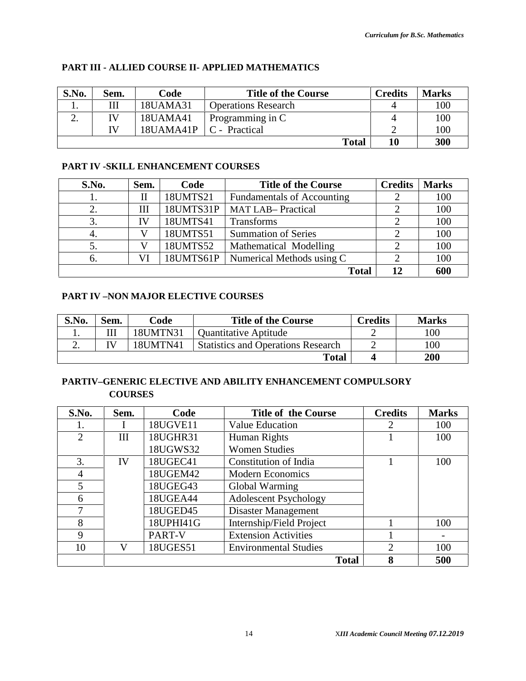| S.No.     | Sem. | Code      | <b>Title of the Course</b> | <b>Credits</b> | <b>Marks</b> |
|-----------|------|-----------|----------------------------|----------------|--------------|
| . .       |      | 18UAMA31  | <b>Operations Research</b> |                | 100          |
| <u>L.</u> | IV   | 18UAMA41  | Programming in C           |                | 100          |
|           | TV   | 18UAMA41P | C - Practical              |                | 100          |
|           |      |           | <b>Total</b>               | 10             | 300          |

#### **PART III - ALLIED COURSE II- APPLIED MATHEMATICS**

#### **PART IV -SKILL ENHANCEMENT COURSES**

| S.No. | Sem. | Code      | <b>Credits</b>                    | <b>Marks</b> |     |
|-------|------|-----------|-----------------------------------|--------------|-----|
| ı.    |      | 18UMTS21  | <b>Fundamentals of Accounting</b> |              | 100 |
| 2.    | Ш    | 18UMTS31P | <b>MAT LAB-Practical</b>          |              | 100 |
| 3.    | IV   | 18UMTS41  | Transforms                        |              | 100 |
| 4.    |      | 18UMTS51  | <b>Summation of Series</b>        |              | 100 |
| 5.    |      | 18UMTS52  | Mathematical Modelling            |              | 100 |
| 6.    | VI   | 18UMTS61P | Numerical Methods using C         |              | 100 |
|       |      |           | <b>Total</b>                      | 12           | 600 |

#### **PART IV –NON MAJOR ELECTIVE COURSES**

| S.No. | Sem. | Code     | <b>Title of the Course</b>                | <b>Credits</b> | <b>Marks</b> |
|-------|------|----------|-------------------------------------------|----------------|--------------|
|       |      | 18UMTN31 | <b>Quantitative Aptitude</b>              |                | 100          |
| ـ ـ   |      | 18UMTN41 | <b>Statistics and Operations Research</b> |                | 100          |
|       |      |          | Total                                     |                | 200          |

#### **PARTIV–GENERIC ELECTIVE AND ABILITY ENHANCEMENT COMPULSORY COURSES**

| S.No. | Sem. | Code      | <b>Title of the Course</b>   | <b>Credits</b>              | <b>Marks</b> |
|-------|------|-----------|------------------------------|-----------------------------|--------------|
|       |      | 18UGVE11  | Value Education              | 2                           | 100          |
| 2     | Ш    | 18UGHR31  | Human Rights                 |                             | 100          |
|       |      | 18UGWS32  | <b>Women Studies</b>         |                             |              |
| 3.    | IV   | 18UGEC41  | Constitution of India        |                             | 100          |
| 4     |      | 18UGEM42  | <b>Modern Economics</b>      |                             |              |
| 5     |      | 18UGEG43  | Global Warming               |                             |              |
| 6     |      | 18UGEA44  | <b>Adolescent Psychology</b> |                             |              |
|       |      | 18UGED45  | Disaster Management          |                             |              |
| 8     |      | 18UPHI41G | Internship/Field Project     |                             | 100          |
| 9     |      | PART-V    | <b>Extension Activities</b>  |                             |              |
| 10    | V    | 18UGES51  | <b>Environmental Studies</b> | $\mathcal{D}_{\mathcal{L}}$ | 100          |
|       |      |           | <b>Total</b>                 | 8                           | 500          |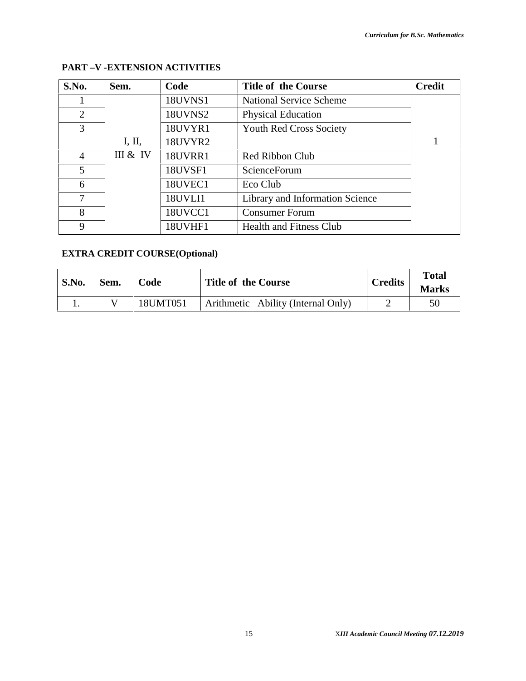| S.No.          | Sem.     | Code           | <b>Title of the Course</b>      | <b>Credit</b> |
|----------------|----------|----------------|---------------------------------|---------------|
|                |          | <b>18UVNS1</b> | <b>National Service Scheme</b>  |               |
| 2              |          | 18UVNS2        | <b>Physical Education</b>       |               |
| 3              |          | 18UVYR1        | <b>Youth Red Cross Society</b>  |               |
|                | I, II,   | 18UVYR2        |                                 | $\mathbf{1}$  |
| $\overline{4}$ | III & IV | <b>18UVRR1</b> | Red Ribbon Club                 |               |
| 5              |          | <b>18UVSF1</b> | ScienceForum                    |               |
| 6              |          | 18UVEC1        | Eco Club                        |               |
| 7              |          | 18UVLI1        | Library and Information Science |               |
| 8              |          | 18UVCC1        | <b>Consumer Forum</b>           |               |
| 9              |          | 18UVHF1        | <b>Health and Fitness Club</b>  |               |

#### **PART –V -EXTENSION ACTIVITIES**

#### **EXTRA CREDIT COURSE(Optional)**

| S.No. | Sem. | Code     | <b>Title of the Course</b>         | <b>Credits</b> | <b>Total</b><br><b>Marks</b> |
|-------|------|----------|------------------------------------|----------------|------------------------------|
|       |      | 18UMT051 | Arithmetic Ability (Internal Only) |                | 50                           |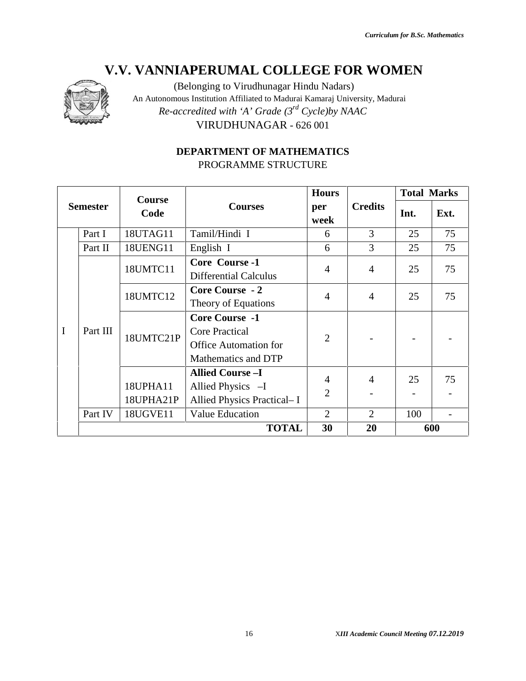

(Belonging to Virudhunagar Hindu Nadars) An Autonomous Institution Affiliated to Madurai Kamaraj University, Madurai *Re-accredited with 'A' Grade (3rd Cycle)by NAAC* VIRUDHUNAGAR - 626 001

### **DEPARTMENT OF MATHEMATICS** PROGRAMME STRUCTURE

|                 |          | Course    | <b>Courses</b>                                                                                        | <b>Hours</b>   | <b>Credits</b> | <b>Total Marks</b> |                       |
|-----------------|----------|-----------|-------------------------------------------------------------------------------------------------------|----------------|----------------|--------------------|-----------------------|
| <b>Semester</b> |          | Code      |                                                                                                       | per<br>week    |                | Int.               | Ext.                  |
|                 | Part I   | 18UTAG11  | Tamil/Hindi I                                                                                         | 6              | 3              | 25                 | 75                    |
|                 | Part II  | 18UENG11  | English I                                                                                             | 6              | $\overline{3}$ | 25                 | 75                    |
|                 |          | 18UMTC11  | Core Course -1<br><b>Differential Calculus</b>                                                        | $\overline{4}$ | $\overline{4}$ | 25                 | 75                    |
| $\mathbf I$     | Part III | 18UMTC12  | <b>Core Course - 2</b><br>Theory of Equations                                                         | $\overline{4}$ | $\overline{4}$ | 25                 | 75                    |
|                 |          | 18UMTC21P | <b>Core Course -1</b><br><b>Core Practical</b><br><b>Office Automation for</b><br>Mathematics and DTP | $\overline{2}$ |                |                    |                       |
|                 |          |           | <b>Allied Course-I</b>                                                                                | $\overline{4}$ | $\overline{4}$ | 25                 | 75                    |
|                 |          | 18UPHA11  | Allied Physics -I                                                                                     | $\overline{2}$ |                |                    |                       |
|                 |          | 18UPHA21P | Allied Physics Practical- I<br><b>Value Education</b>                                                 | $\overline{2}$ | 2              |                    |                       |
|                 | Part IV  | 18UGVE11  | <b>TOTAL</b>                                                                                          | 30             | 20             | 100                | $\blacksquare$<br>600 |
|                 |          |           |                                                                                                       |                |                |                    |                       |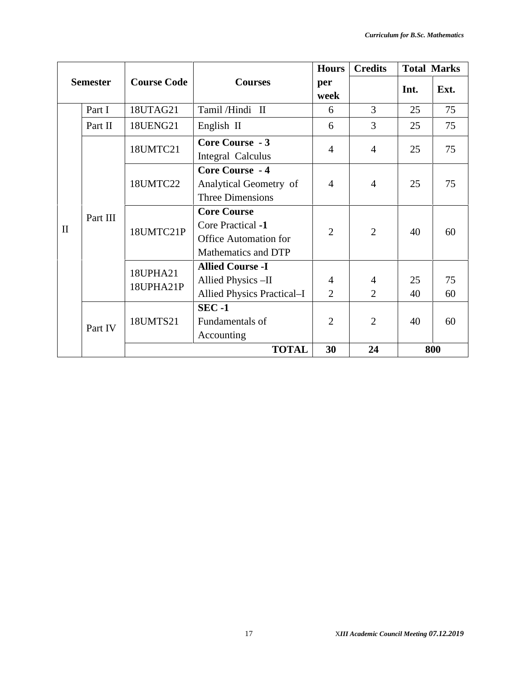|              |                 |                       |                                                                                                | <b>Hours</b>        | <b>Credits</b>                   |          | <b>Total Marks</b> |
|--------------|-----------------|-----------------------|------------------------------------------------------------------------------------------------|---------------------|----------------------------------|----------|--------------------|
|              | <b>Semester</b> | <b>Course Code</b>    | <b>Courses</b>                                                                                 | per<br>week         |                                  | Int.     | Ext.               |
|              | Part I          | 18UTAG21              | Tamil/Hindi II                                                                                 | 6                   | 3                                | 25       | 75                 |
|              | Part II         | 18UENG21              | English II                                                                                     | 6                   | 3                                | 25       | 75                 |
|              |                 | 18UMTC21              | Core Course - 3<br>Integral Calculus                                                           | $\overline{4}$      | $\overline{4}$                   | 25       | 75                 |
|              | Part III        | 18UMTC22              | Core Course - 4<br>Analytical Geometry of<br>Three Dimensions                                  | $\overline{4}$      | $\overline{4}$                   | 25       | 75                 |
| $\mathbf{I}$ |                 | 18UMTC21P             | <b>Core Course</b><br>Core Practical -1<br><b>Office Automation for</b><br>Mathematics and DTP | $\overline{2}$      | $\overline{2}$                   | 40       | 60                 |
|              |                 | 18UPHA21<br>18UPHA21P | <b>Allied Course -I</b><br>Allied Physics -II<br>Allied Physics Practical-I                    | 4<br>$\overline{2}$ | $\overline{4}$<br>$\overline{2}$ | 25<br>40 | 75<br>60           |
|              | Part IV         | 18UMTS21              | $SEC -1$<br>Fundamentals of<br>Accounting                                                      | $\overline{2}$      | $\overline{2}$                   | 40       | 60                 |
|              |                 |                       | <b>TOTAL</b>                                                                                   | 30                  | 24                               |          | 800                |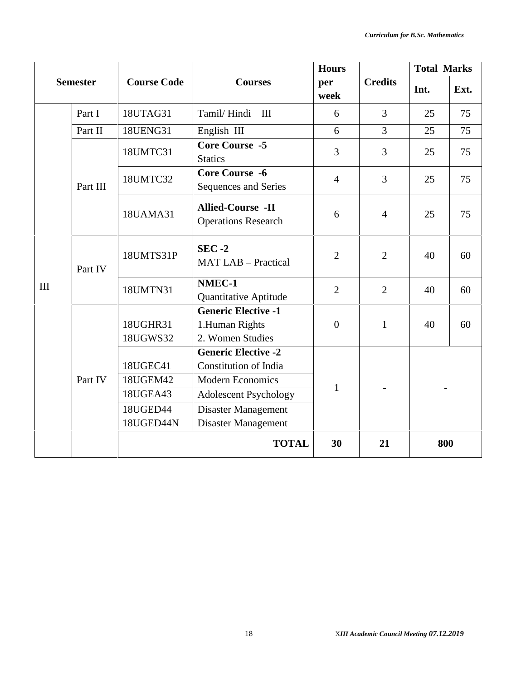|     |                 |                                                           | <b>Hours</b>                                                                                                                                                 |                |                | <b>Total Marks</b> |      |
|-----|-----------------|-----------------------------------------------------------|--------------------------------------------------------------------------------------------------------------------------------------------------------------|----------------|----------------|--------------------|------|
|     | <b>Semester</b> | <b>Course Code</b>                                        | <b>Courses</b>                                                                                                                                               | per<br>week    | <b>Credits</b> | Int.               | Ext. |
|     | Part I          | 18UTAG31                                                  | Tamil/Hindi III                                                                                                                                              | 6              | $\overline{3}$ | 25                 | 75   |
|     | Part II         | 18UENG31                                                  | English III                                                                                                                                                  | 6              | $\overline{3}$ | 25                 | 75   |
|     |                 | 18UMTC31                                                  | <b>Core Course -5</b><br><b>Statics</b>                                                                                                                      | $\overline{3}$ | $\overline{3}$ | 25                 | 75   |
|     | Part III        | 18UMTC32                                                  | <b>Core Course -6</b><br>Sequences and Series                                                                                                                | $\overline{4}$ | 3              | 25                 | 75   |
|     |                 | 18UAMA31                                                  | <b>Allied-Course -II</b><br><b>Operations Research</b>                                                                                                       | 6              | $\overline{4}$ | 25                 | 75   |
|     | Part IV         | $SEC -2$<br>18UMTS31P<br><b>MAT LAB - Practical</b>       |                                                                                                                                                              | $\overline{2}$ | $\overline{2}$ | 40                 | 60   |
| III |                 | 18UMTN31                                                  | NMEC-1<br><b>Quantitative Aptitude</b>                                                                                                                       | $\overline{2}$ | $\overline{2}$ | 40                 | 60   |
|     |                 | 18UGHR31<br>18UGWS32                                      | <b>Generic Elective -1</b><br>1.Human Rights<br>2. Women Studies                                                                                             | $\overline{0}$ | $\mathbf{1}$   | 40                 | 60   |
|     | Part IV         | 18UGEC41<br>18UGEM42<br>18UGEA43<br>18UGED44<br>18UGED44N | <b>Generic Elective -2</b><br>Constitution of India<br><b>Modern Economics</b><br><b>Adolescent Psychology</b><br>Disaster Management<br>Disaster Management |                |                |                    |      |
|     |                 |                                                           | <b>TOTAL</b>                                                                                                                                                 | 30             | 21             |                    | 800  |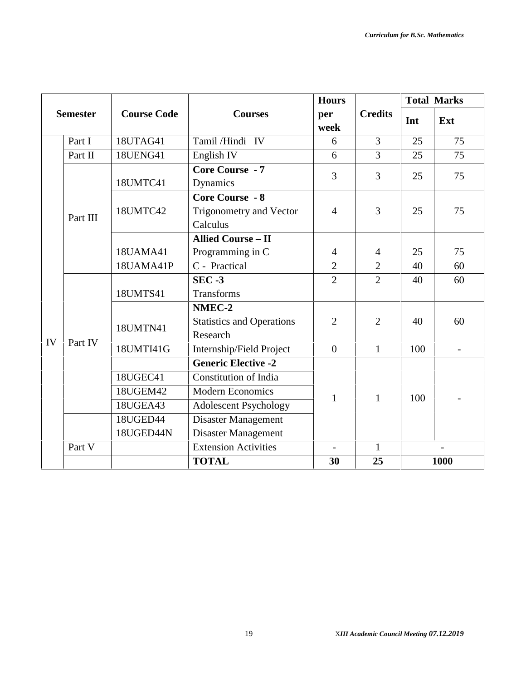|    |                 |                    |                                                               | <b>Hours</b>   |                | <b>Total Marks</b> |                |  |
|----|-----------------|--------------------|---------------------------------------------------------------|----------------|----------------|--------------------|----------------|--|
|    | <b>Semester</b> | <b>Course Code</b> | <b>Courses</b>                                                | per<br>week    | <b>Credits</b> | Int                | Ext            |  |
|    | Part I          | 18UTAG41           | Tamil/Hindi IV                                                | 6              | $\overline{3}$ | 25                 | 75             |  |
|    | Part II         | <b>18UENG41</b>    | English IV                                                    | 6              | $\overline{3}$ | 25                 | 75             |  |
|    |                 | 18UMTC41           | <b>Core Course - 7</b><br>Dynamics                            | 3              | 3              | 25                 | 75             |  |
|    | Part III        | 18UMTC42           | <b>Core Course - 8</b><br>Trigonometry and Vector<br>Calculus | $\overline{4}$ | 3              | 25                 | 75             |  |
|    |                 |                    | <b>Allied Course - II</b>                                     |                |                |                    |                |  |
|    |                 | 18UAMA41           | Programming in C                                              | $\overline{4}$ | $\overline{4}$ | 25                 | 75             |  |
|    |                 | 18UAMA41P          | C - Practical                                                 | $\overline{2}$ | $\overline{2}$ | 40                 | 60             |  |
|    |                 | 18UMTS41           | $SEC -3$<br>Transforms                                        | $\overline{2}$ | $\overline{2}$ | 40                 | 60             |  |
|    |                 |                    | NMEC-2                                                        |                |                |                    |                |  |
|    |                 | 18UMTN41           | <b>Statistics and Operations</b><br>Research                  | $\overline{2}$ | $\overline{2}$ | 40                 | 60             |  |
| IV | Part IV         | 18UMTI41G          | Internship/Field Project                                      | $\overline{0}$ | $\mathbf{1}$   | 100                | $\overline{a}$ |  |
|    |                 |                    | <b>Generic Elective -2</b>                                    |                |                |                    |                |  |
|    |                 | 18UGEC41           | Constitution of India                                         |                |                |                    |                |  |
|    |                 | 18UGEM42           | <b>Modern Economics</b>                                       | 1              | 1              | 100                |                |  |
|    |                 | 18UGEA43           | <b>Adolescent Psychology</b>                                  |                |                |                    |                |  |
|    |                 | 18UGED44           | Disaster Management                                           |                |                |                    |                |  |
|    |                 | 18UGED44N          | Disaster Management                                           |                |                |                    |                |  |
|    | Part V          |                    | <b>Extension Activities</b>                                   |                | 1              |                    | $\overline{a}$ |  |
|    |                 |                    | <b>TOTAL</b>                                                  | 30             | 25             |                    | 1000           |  |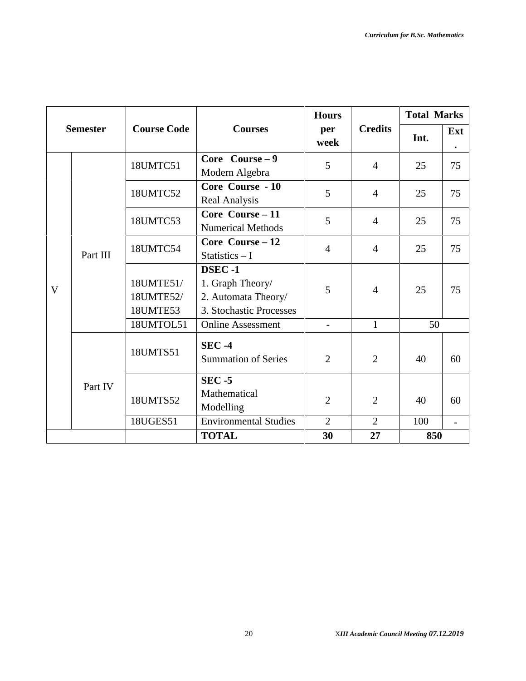|              |                 |                                                    |                                                                              | <b>Hours</b>             |                | <b>Total Marks</b> |     |
|--------------|-----------------|----------------------------------------------------|------------------------------------------------------------------------------|--------------------------|----------------|--------------------|-----|
|              | <b>Semester</b> | <b>Course Code</b>                                 | <b>Courses</b>                                                               | per<br>week              | <b>Credits</b> | Int.               | Ext |
|              |                 | 18UMTC51                                           | Core Course $-9$<br>Modern Algebra                                           | 5                        | $\overline{4}$ | 25                 | 75  |
|              | Part III        | 18UMTC52                                           | Core Course - 10<br>Real Analysis                                            | 5                        | $\overline{4}$ | 25                 | 75  |
|              |                 | 18UMTC53                                           | Core Course $-11$<br><b>Numerical Methods</b>                                | 5                        | $\overline{4}$ | 25                 | 75  |
|              |                 | Core Course - 12<br>18UMTC54<br>Statistics $-1$    |                                                                              | $\overline{4}$           | $\overline{4}$ | 25                 | 75  |
| $\mathbf{V}$ |                 | 18UMTE51/<br>18UMTE52/<br>18UMTE53                 | DSEC-1<br>1. Graph Theory/<br>2. Automata Theory/<br>3. Stochastic Processes | 5                        | $\overline{4}$ | 25                 | 75  |
|              |                 | 18UMTOL51                                          | <b>Online Assessment</b>                                                     | $\overline{\phantom{a}}$ | $\mathbf{1}$   | 50                 |     |
|              |                 | $SEC -4$<br>18UMTS51<br><b>Summation of Series</b> |                                                                              | $\overline{2}$           | $\overline{2}$ | 40                 | 60  |
|              | Part IV         | 18UMTS52                                           | $SEC - 5$<br>Mathematical<br>Modelling                                       | $\overline{2}$           | $\overline{2}$ | 40                 | 60  |
|              |                 | 18UGES51                                           | <b>Environmental Studies</b>                                                 | $\overline{2}$           | $\overline{2}$ | 100                |     |
|              |                 |                                                    | <b>TOTAL</b>                                                                 | 30                       | 27             | 850                |     |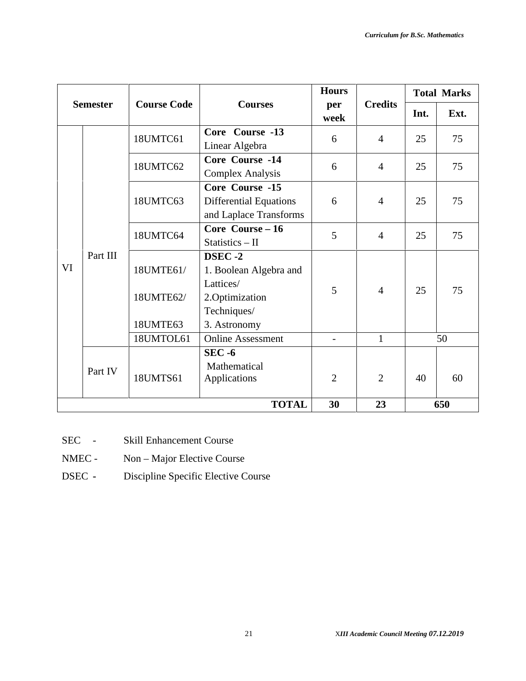|    |                 |                                                       |                                                                                                                             | <b>Hours</b>                  |                                | <b>Total Marks</b> |          |  |
|----|-----------------|-------------------------------------------------------|-----------------------------------------------------------------------------------------------------------------------------|-------------------------------|--------------------------------|--------------------|----------|--|
|    | <b>Semester</b> | <b>Course Code</b>                                    | <b>Courses</b>                                                                                                              | per<br>week                   | <b>Credits</b>                 | Int.               | Ext.     |  |
|    |                 | 18UMTC61                                              | Core Course -13<br>Linear Algebra                                                                                           | 6                             | $\overline{4}$                 | 25                 | 75       |  |
|    |                 | 18UMTC62                                              | Core Course -14<br><b>Complex Analysis</b>                                                                                  | 6                             | $\overline{4}$                 | 25                 | 75       |  |
|    |                 | 18UMTC63                                              | Core Course -15<br><b>Differential Equations</b><br>and Laplace Transforms                                                  | 6                             | $\overline{4}$                 | 25                 | 75       |  |
|    |                 | Core Course - 16<br>18UMTC64<br>$Statistics - II$     |                                                                                                                             | 5                             | $\overline{4}$                 | 25                 | 75       |  |
| VI | Part III        | 18UMTE61/<br>18UMTE62/<br>18UMTE63<br>18UMTOL61       | DSEC-2<br>1. Boolean Algebra and<br>Lattices/<br>2. Optimization<br>Techniques/<br>3. Astronomy<br><b>Online Assessment</b> | 5<br>$\overline{\phantom{a}}$ | $\overline{4}$<br>$\mathbf{1}$ | 25                 | 75<br>50 |  |
|    | Part IV         | $SEC - 6$<br>Mathematical<br>18UMTS61<br>Applications |                                                                                                                             | $\overline{2}$                | $\overline{2}$                 | 40                 | 60       |  |
|    |                 |                                                       | <b>TOTAL</b>                                                                                                                | 30                            | 23                             |                    | 650      |  |

- SEC Skill Enhancement Course
- NMEC Non Major Elective Course
- DSEC **-** Discipline Specific Elective Course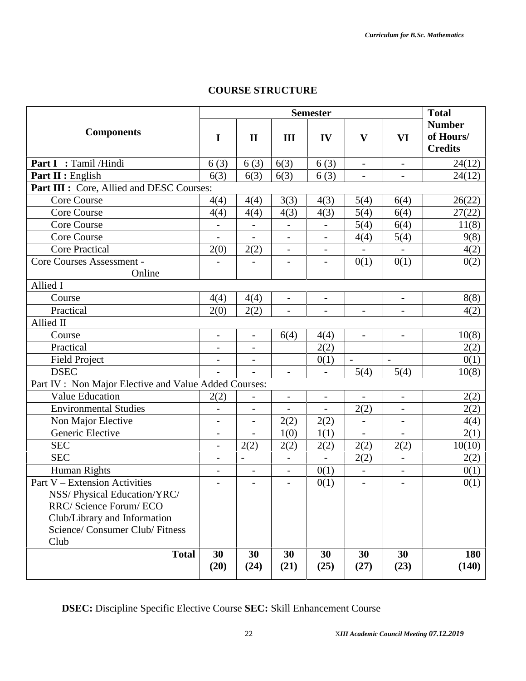#### **COURSE STRUCTURE**

|                                                                                            | <b>Semester</b>          |                          |                          |                          |                          | <b>Total</b>             |                                              |
|--------------------------------------------------------------------------------------------|--------------------------|--------------------------|--------------------------|--------------------------|--------------------------|--------------------------|----------------------------------------------|
| <b>Components</b>                                                                          | $\mathbf I$              | $\mathbf{I}$             | III                      | IV                       | $\mathbf{V}$             | VI                       | <b>Number</b><br>of Hours/<br><b>Credits</b> |
| Part I : Tamil /Hindi                                                                      | 6(3)                     | 6(3)                     | 6(3)                     | 6(3)                     | $\overline{\phantom{a}}$ | $\qquad \qquad -$        | 24(12)                                       |
| Part II : English                                                                          | 6(3)                     | 6(3)                     | 6(3)                     | 6(3)                     | $\overline{\phantom{0}}$ | $\overline{\phantom{0}}$ | 24(12)                                       |
| Part III : Core, Allied and DESC Courses:                                                  |                          |                          |                          |                          |                          |                          |                                              |
| <b>Core Course</b>                                                                         | 4(4)                     | 4(4)                     | 3(3)                     | 4(3)                     | 5(4)                     | 6(4)                     | 26(22)                                       |
| Core Course                                                                                | 4(4)                     | 4(4)                     | 4(3)                     | 4(3)                     | 5(4)                     | 6(4)                     | 27(22)                                       |
| Core Course                                                                                | $\overline{\phantom{a}}$ | $\overline{\phantom{a}}$ | $\overline{\phantom{m}}$ | $\qquad \qquad -$        | 5(4)                     | 6(4)                     | 11(8)                                        |
| Core Course                                                                                | $\overline{a}$           |                          |                          | $\overline{\phantom{0}}$ | 4(4)                     | 5(4)                     | 9(8)                                         |
| <b>Core Practical</b>                                                                      | 2(0)                     | 2(2)                     | $\qquad \qquad -$        | $\overline{\phantom{0}}$ |                          |                          | 4(2)                                         |
| Core Courses Assessment -                                                                  |                          | L,                       | $\overline{\phantom{0}}$ | $\overline{a}$           | 0(1)                     | 0(1)                     | 0(2)                                         |
| Online                                                                                     |                          |                          |                          |                          |                          |                          |                                              |
| Allied I                                                                                   |                          |                          |                          |                          |                          |                          |                                              |
| Course                                                                                     | 4(4)                     | 4(4)                     | $\overline{\phantom{a}}$ | -                        |                          |                          | 8(8)                                         |
| Practical                                                                                  | 2(0)                     | 2(2)                     | $\overline{\phantom{a}}$ | $\overline{a}$           | $\overline{\phantom{a}}$ | $\overline{a}$           | 4(2)                                         |
| Allied II                                                                                  |                          |                          |                          |                          |                          |                          |                                              |
| Course                                                                                     | $\overline{\phantom{0}}$ | $\frac{1}{2}$            | 6(4)                     | 4(4)                     | $\overline{\phantom{a}}$ | $\overline{\phantom{0}}$ | 10(8)                                        |
| Practical                                                                                  | $\overline{a}$           | $\qquad \qquad -$        |                          | 2(2)                     |                          |                          | 2(2)                                         |
| <b>Field Project</b>                                                                       | $\overline{\phantom{a}}$ | $\qquad \qquad -$        |                          | 0(1)                     | $\frac{1}{2}$            | $\overline{\phantom{a}}$ | 0(1)                                         |
| <b>DSEC</b>                                                                                |                          | $\overline{\phantom{a}}$ | $\overline{\phantom{a}}$ | $\overline{a}$           | 5(4)                     | 5(4)                     | 10(8)                                        |
| Part IV : Non Major Elective and Value Added Courses:                                      |                          |                          |                          |                          |                          |                          |                                              |
| <b>Value Education</b>                                                                     | 2(2)                     | $\overline{a}$           | $\frac{1}{2}$            | $\overline{\phantom{0}}$ | $\overline{a}$           | $\overline{\phantom{0}}$ | 2(2)                                         |
| <b>Environmental Studies</b>                                                               |                          |                          |                          | $\overline{a}$           | 2(2)                     | $\overline{\phantom{0}}$ | 2(2)                                         |
| Non Major Elective                                                                         | $\overline{\phantom{a}}$ | $\overline{\phantom{a}}$ | 2(2)                     | 2(2)                     | $\overline{\phantom{0}}$ | $\overline{\phantom{0}}$ | 4(4)                                         |
| Generic Elective                                                                           | $\overline{\phantom{a}}$ | $\qquad \qquad -$        | 1(0)                     | 1(1)                     | $\overline{\phantom{a}}$ | $\overline{\phantom{0}}$ | 2(1)                                         |
| <b>SEC</b>                                                                                 | $\overline{\phantom{a}}$ | 2(2)                     | 2(2)                     | 2(2)                     | 2(2)                     | 2(2)                     | 10(10)                                       |
| <b>SEC</b>                                                                                 | $\overline{\phantom{0}}$ | $\blacksquare$           | $\overline{\phantom{0}}$ | $\overline{a}$           | 2(2)                     | $\overline{\phantom{0}}$ | 2(2)                                         |
| Human Rights                                                                               | $\overline{\phantom{a}}$ | $\qquad \qquad -$        | $\qquad \qquad -$        | 0(1)                     | $\overline{a}$           | $\overline{\phantom{0}}$ | 0(1)                                         |
| Part V - Extension Activities<br>NSS/Physical Education/YRC/                               | $\overline{\phantom{a}}$ | $\overline{\phantom{a}}$ | $\overline{\phantom{0}}$ | 0(1)                     | $\overline{\phantom{0}}$ | $\overline{\phantom{a}}$ | 0(1)                                         |
| RRC/ Science Forum/ ECO<br>Club/Library and Information<br>Science/ Consumer Club/ Fitness |                          |                          |                          |                          |                          |                          |                                              |
| Club<br><b>Total</b>                                                                       | 30<br>(20)               | 30<br>(24)               | 30<br>(21)               | 30<br>(25)               | 30<br>(27)               | 30<br>(23)               | 180<br>(140)                                 |

**DSEC:** Discipline Specific Elective Course **SEC:** Skill Enhancement Course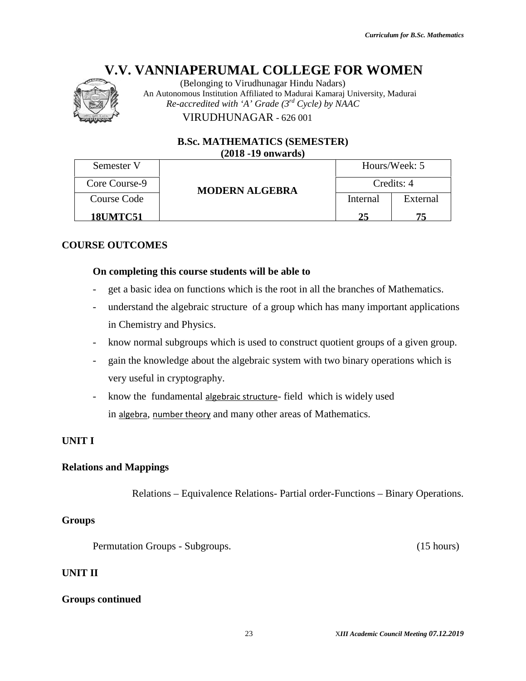

#### **B.Sc. MATHEMATICS (SEMESTER) (SEMESTER)(2018 -19 onwards)**

|                              | (Belonging to Virudhunagar Hindu Nadars)<br>An Autonomous Institution Affiliated to Madurai Kamaraj University, Madurai |          |                                          |
|------------------------------|-------------------------------------------------------------------------------------------------------------------------|----------|------------------------------------------|
|                              | Re-accredited with 'A' Grade $(3^{rd}$ Cycle) by NAAC                                                                   |          |                                          |
|                              | VIRUDHUNAGAR - 626 001                                                                                                  |          |                                          |
|                              | <b>B.Sc. MATHEMATICS (SEMESTER)</b><br>$(2018 - 19)$ onwards)                                                           |          |                                          |
| Semester V                   |                                                                                                                         |          | Hours/Week: 5                            |
| Core Course-9                | <b>MODERN ALGEBRA</b>                                                                                                   |          | Credits: 4                               |
| <b>Course Code</b>           |                                                                                                                         | Internal | External                                 |
| 18UMTC51                     |                                                                                                                         | 25       | 75                                       |
| <b>DURSE OUTCOMES</b>        |                                                                                                                         |          |                                          |
|                              | On completing this course students will be able to                                                                      |          |                                          |
|                              | get a basic idea on functions which is the root in all the branches of Mathematics.                                     |          |                                          |
| $\qquad \qquad \blacksquare$ | understand the algebraic structure of a group which has many important applications                                     |          |                                          |
|                              | in Chemistry and Physics.                                                                                               |          |                                          |
|                              | know normal subgroups which is used to construct quotient groups of a given group.                                      |          |                                          |
|                              | gain the knowledge about the algebraic system with two binary operations which is                                       |          |                                          |
|                              | very useful in cryptography.                                                                                            |          |                                          |
|                              | know the fundamental algebraic structure-field which is widely used                                                     |          |                                          |
|                              | in algebra, number theory and many other areas of Mathematics.                                                          |          |                                          |
|                              |                                                                                                                         |          |                                          |
| NIT I                        |                                                                                                                         |          |                                          |
| lations and Mappings         |                                                                                                                         |          |                                          |
|                              | Relations – Equivalence Relations- Partial order-Functions – Binary Operations.                                         |          |                                          |
| oups'                        |                                                                                                                         |          |                                          |
|                              | Permutation Groups - Subgroups.                                                                                         |          | (15 hours)                               |
| NIT II                       |                                                                                                                         |          |                                          |
| oups continued               |                                                                                                                         |          |                                          |
|                              | 23                                                                                                                      |          | XIII Academic Council Meeting 07.12.2019 |

#### **COURSE OUTCOMES**

#### **On completing this course students will be able to**

- get a basic idea on functions which is the root in all the branches of Mathematics.
- understand the algebraic structure of a group which has many important applications in Chemistry and Physics.
- know normal subgroups which is used to construct quotient groups of a given group.
- gain the knowledge about the algebraic system with two binary operations which is very useful in cryptography. get a basic idea on functions which is the root in all the branches of Math<br>understand the algebraic structure of a group which has many important<br>in Chemistry and Physics.<br>know normal subgroups which is used to construct on functions which is the i<br>ilgebraic structure of a greed Physics.<br>bgroups which is used to edge about the algebraic sy<br>yptography.<br>mental <u>algebraic structure-</u><br>er theory and many other a
- know the fundamental algebraic structure-field which is widely used in algebra, number theory and many other areas of Mathematics.

#### **UNIT I**

#### **Relations and Mappings**

#### **Groups**

#### **UNIT II**

#### **Groups continued**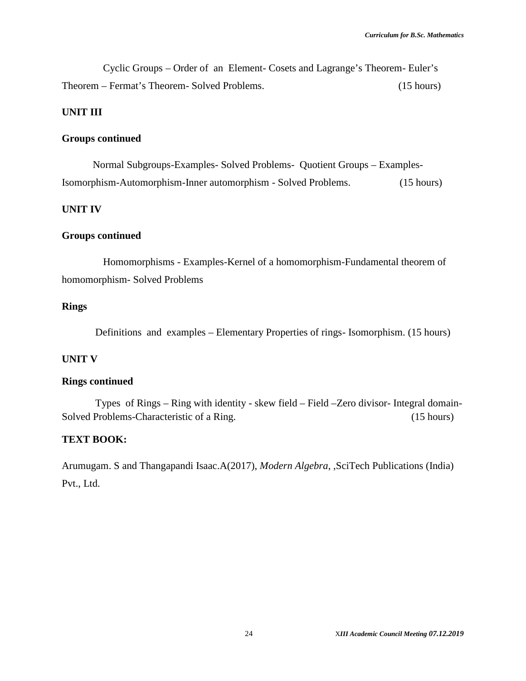Cyclic Groups – Order of an Element- Cosets and Lagrange's Theorem- Euler's Theorem – Fermat's Theorem- Solved Problems. (15 hours)

#### **UNIT III**

#### **Groups continued**

Normal Subgroups-Examples- Solved Problems- Quotient Groups – Examples-Isomorphism-Automorphism-Inner automorphism - Solved Problems. (15 hours)

#### **UNIT IV**

#### **Groups continued**

Homomorphisms - Examples-Kernel of a homomorphism-Fundamental theorem of homomorphism- Solved Problems

#### **Rings**

Definitions and examples – Elementary Properties of rings- Isomorphism. (15 hours)

#### **UNIT V**

#### **Rings continued**

Types of Rings – Ring with identity - skew field – Field –Zero divisor- Integral domain- Solved Problems-Characteristic of a Ring. (15 hours)

#### **TEXT BOOK:**

Arumugam. S and Thangapandi Isaac.A(2017), *Modern Algebra*, ,SciTech Publications (India) Pvt., Ltd.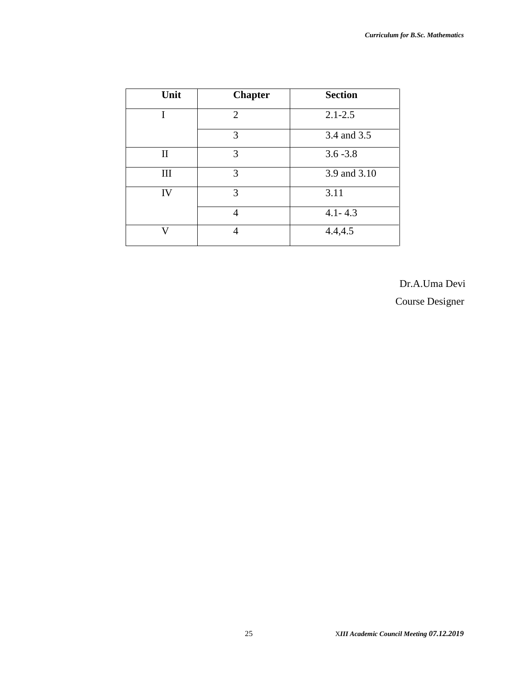| Unit         | <b>Chapter</b>                             | <b>Section</b> |
|--------------|--------------------------------------------|----------------|
| I            | $\mathcal{D}_{\mathcal{L}}$<br>$2.1 - 2.5$ |                |
|              | 3                                          | 3.4 and 3.5    |
| $\mathbf{I}$ | 3                                          | $3.6 - 3.8$    |
| Ш            | 3                                          | 3.9 and 3.10   |
| IV           | 3                                          | 3.11           |
|              | 4                                          | $4.1 - 4.3$    |
| ۲.           |                                            | 4.4, 4.5       |

Dr.A.Uma Devi

Course Designer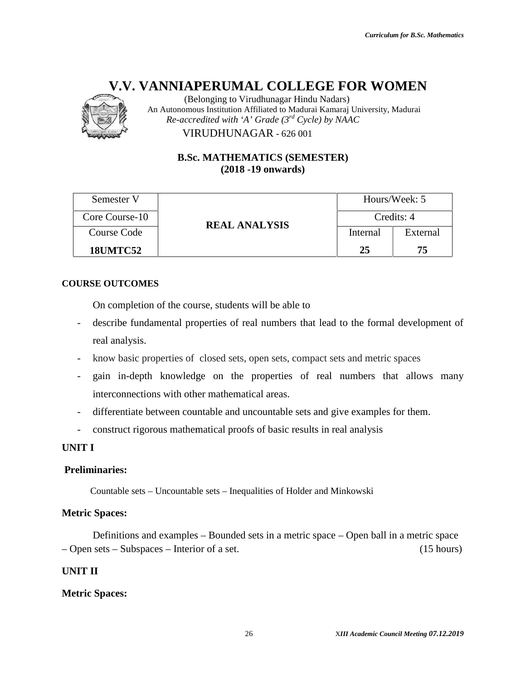

#### **B.Sc. MATHEMATICS (SEMESTER) (SEMESTER)(2018 -19 onwards)**

|                                            | V.V. VANNIAPERUMAL COLLEGE FOR WOMEN<br>(Belonging to Virudhunagar Hindu Nadars)<br>An Autonomous Institution Affiliated to Madurai Kamaraj University, Madurai |          |                                          |  |
|--------------------------------------------|-----------------------------------------------------------------------------------------------------------------------------------------------------------------|----------|------------------------------------------|--|
|                                            | Re-accredited with 'A' Grade $(3^{rd}$ Cycle) by NAAC                                                                                                           |          |                                          |  |
|                                            | VIRUDHUNAGAR - 626 001                                                                                                                                          |          |                                          |  |
|                                            | <b>B.Sc. MATHEMATICS (SEMESTER)</b><br>$(2018 - 19)$ onwards)                                                                                                   |          |                                          |  |
| Semester V                                 |                                                                                                                                                                 |          | Hours/Week: 5                            |  |
| Core Course-10                             | <b>REAL ANALYSIS</b>                                                                                                                                            |          | Credits: 4                               |  |
| <b>Course Code</b>                         |                                                                                                                                                                 | Internal | External                                 |  |
| <b>18UMTC52</b>                            |                                                                                                                                                                 | 25       | 75                                       |  |
| <b>DURSE OUTCOMES</b>                      |                                                                                                                                                                 |          |                                          |  |
|                                            | On completion of the course, students will be able to                                                                                                           |          |                                          |  |
|                                            | describe fundamental properties of real numbers that lead to the formal development of                                                                          |          |                                          |  |
| real analysis.                             |                                                                                                                                                                 |          |                                          |  |
|                                            | know basic properties of closed sets, open sets, compact sets and metric spaces                                                                                 |          |                                          |  |
|                                            | gain in-depth knowledge on the properties of real numbers that allows many                                                                                      |          |                                          |  |
|                                            | interconnections with other mathematical areas.                                                                                                                 |          |                                          |  |
|                                            | differentiate between countable and uncountable sets and give examples for them.                                                                                |          |                                          |  |
|                                            | construct rigorous mathematical proofs of basic results in real analysis                                                                                        |          |                                          |  |
| NIT I                                      |                                                                                                                                                                 |          |                                          |  |
| reliminaries:                              |                                                                                                                                                                 |          |                                          |  |
|                                            | Countable sets – Uncountable sets – Inequalities of Holder and Minkowski                                                                                        |          |                                          |  |
| etric Spaces:                              |                                                                                                                                                                 |          |                                          |  |
| Open sets – Subspaces – Interior of a set. | Definitions and examples – Bounded sets in a metric space – Open ball in a metric space                                                                         |          | (15 hours)                               |  |
| NIT II                                     |                                                                                                                                                                 |          |                                          |  |
| etric Spaces:                              |                                                                                                                                                                 |          |                                          |  |
|                                            |                                                                                                                                                                 |          |                                          |  |
|                                            | 26                                                                                                                                                              |          | XIII Academic Council Meeting 07.12.2019 |  |

#### **COURSE OUTCOMES**

- describe fundamental properties of real numbers that lead to the formal development of real analysis.
- know basic properties of closed sets, open sets, compact sets and metric spaces
- gain in-depth knowledge on the properties of real numbers that allows many interconnections with other mathematical areas. in-depth knowledge on the properties of real num<br>onnections with other mathematical areas.<br>entiate between countable and uncountable sets and give<br>uct rigorous mathematical proofs of basic results in real a
- differentiate between countable and uncountable sets and give examples for them.
- construct rigorous mathematical proofs of basic results in real analysis

#### **UNIT I**

#### **Preliminaries:**

#### **Metric Spaces:**

Definitions and examples – Bounded sets in a metric space – Open ball in a metric space sets – Subspaces – Interior of a set. (15 hours) – Open sets – Subspaces – Interior of a set. (15 hours)

#### **UNIT II**

#### **Metric Spaces:**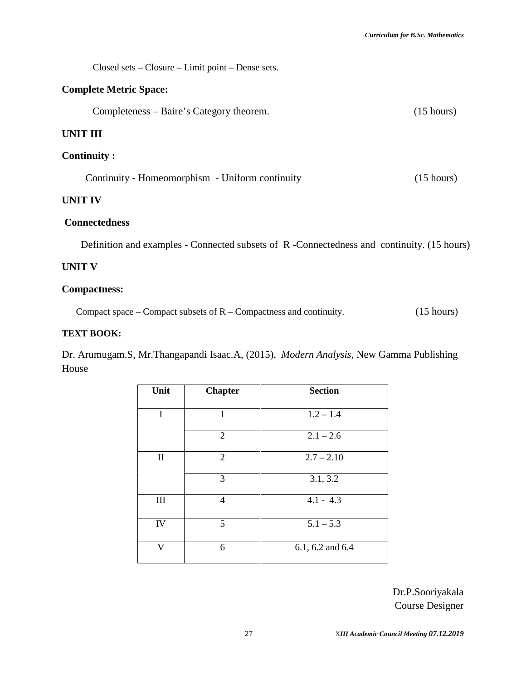Closed sets – Closure – Limit point – Dense sets.

#### **Complete Metric Space:**

Completeness – Baire's Category theorem. (15 hours)

#### **UNIT III**

#### **Continuity :**

| Continuity - Homeomorphism - Uniform continuity | $(15 \text{ hours})$ |
|-------------------------------------------------|----------------------|
|-------------------------------------------------|----------------------|

#### **UNIT IV**

#### **Connectedness**

Definition and examples - Connected subsets of R -Connectedness and continuity. (15 hours)

#### **UNIT V**

#### **Compactness:**

Compact space – Compact subsets of R – Compactness and continuity. (15 hours)

#### **TEXT BOOK:**

Dr. Arumugam.S, Mr.Thangapandi Isaac.A, (2015), *Modern Analysis*, New Gamma Publishing House

| Unit         | <b>Chapter</b> | <b>Section</b>       |
|--------------|----------------|----------------------|
|              |                |                      |
| I            | 1              | $1.2 - 1.4$          |
|              |                |                      |
|              | $\overline{2}$ | $2.1 - 2.6$          |
| $\mathbf{I}$ | 2              | $2.7 - 2.10$         |
|              | 3              | 3.1, 3.2             |
| III          | $\overline{4}$ | $4.1 - 4.3$          |
| IV           | 5              | $5.1 - 5.3$          |
| V            | 6              | $6.1, 6.2$ and $6.4$ |

Dr.P.Sooriyakala Course Designer

27 X*III Academic Council Meeting 07.12.2019*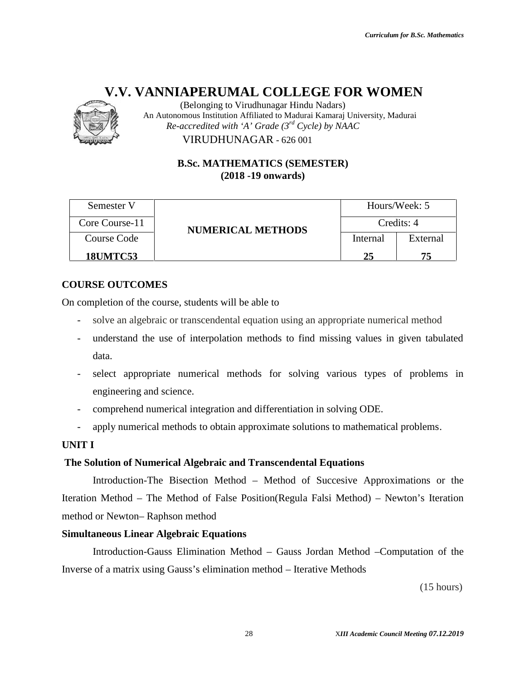

(Belonging to Virudhunagar Hindu Nadars) An Autonomous Institution Affiliated to Madurai Kamaraj University, Madurai *Re-accredited with 'A' Grade (3rd Cycle) by NAAC*

#### **B.Sc. MATHEMATICS (SEMESTER) (SEMESTER)(2018 -19 onwards)**

|                                 | (Belonging to Virudhunagar Hindu Nadars)<br>An Autonomous Institution Affiliated to Madurai Kamaraj University, Madurai |          |                                          |
|---------------------------------|-------------------------------------------------------------------------------------------------------------------------|----------|------------------------------------------|
|                                 | Re-accredited with 'A' Grade $(3^{rd}$ Cycle) by NAAC                                                                   |          |                                          |
|                                 | VIRUDHUNAGAR - 626 001                                                                                                  |          |                                          |
|                                 | <b>B.Sc. MATHEMATICS (SEMESTER)</b><br>$(2018 - 19)$ onwards)                                                           |          |                                          |
| Semester V                      |                                                                                                                         |          | Hours/Week: 5                            |
| Core Course-11                  |                                                                                                                         |          | Credits: 4                               |
| Course Code                     | <b>NUMERICAL METHODS</b>                                                                                                | Internal | External                                 |
| <b>18UMTC53</b>                 |                                                                                                                         | 25       | 75                                       |
|                                 |                                                                                                                         |          |                                          |
| <b>COURSE OUTCOMES</b>          |                                                                                                                         |          |                                          |
|                                 | In completion of the course, students will be able to                                                                   |          |                                          |
|                                 | solve an algebraic or transcendental equation using an appropriate numerical method                                     |          |                                          |
|                                 | understand the use of interpolation methods to find missing values in given tabulated                                   |          |                                          |
| data.                           |                                                                                                                         |          |                                          |
|                                 | select appropriate numerical methods for solving various types of problems in                                           |          |                                          |
| engineering and science.        |                                                                                                                         |          |                                          |
|                                 | comprehend numerical integration and differentiation in solving ODE.                                                    |          |                                          |
|                                 | apply numerical methods to obtain approximate solutions to mathematical problems.                                       |          |                                          |
| <b>INIT I</b>                   |                                                                                                                         |          |                                          |
|                                 | The Solution of Numerical Algebraic and Transcendental Equations                                                        |          |                                          |
|                                 | Introduction-The Bisection Method – Method of Succesive Approximations or the                                           |          |                                          |
|                                 | teration Method – The Method of False Position(Regula Falsi Method) – Newton's Iteration                                |          |                                          |
| nethod or Newton-Raphson method |                                                                                                                         |          |                                          |
|                                 | imultaneous Linear Algebraic Equations                                                                                  |          |                                          |
|                                 | Introduction-Gauss Elimination Method – Gauss Jordan Method – Computation of the                                        |          |                                          |
|                                 | nverse of a matrix using Gauss's elimination method – Iterative Methods                                                 |          |                                          |
|                                 |                                                                                                                         |          | (15 hours)                               |
|                                 |                                                                                                                         |          |                                          |
|                                 |                                                                                                                         |          |                                          |
|                                 | 28                                                                                                                      |          | XIII Academic Council Meeting 07.12.2019 |

#### **COURSE OUTCOMES**

- solve an algebraic or transcendental equation using an appropriate numerical method
- understand the use of interpolation methods to find missing values in given tabulated data. Internal External<br>ISUMTC53 25 75<br>SE OUTCOMES<br>Superion of the course, students will be able to<br>solve an algebraic or transcendental equation using an appropriate numerical method<br>understand the use of interpolation methods
- select appropriate numerical methods for solving various types of problems in engineering and science.
- comprehend numerical integration and differentiation in solving ODE.
- apply numerical methods to obtain approximate solutions to mathematical problems.

#### **UNIT I**

#### **The Solution of Numerical Algebraic and Transcendental Equations**

Introduction-The Bisection Method – Method of Succesive Approximations or the Iteration Method – The Method of False Position(Regula Falsi Method) – Newton's Iteration method or Newton– Raphson method by numerical methods to obtain approximate solutions to mather<br>
ion of Numerical Algebraic and Transcendental Equations<br>
roduction-The Bisection Method – Method of Succesive<br>
Aethod – The Method of False Position(Regula Fa

#### **Simultaneous Linear Algebraic Equations**

Introduction-Gauss Elimination Method – Gauss Jordan Method – Computation of the Inverse of a matrix using Gauss's elimination method – Iterative Methods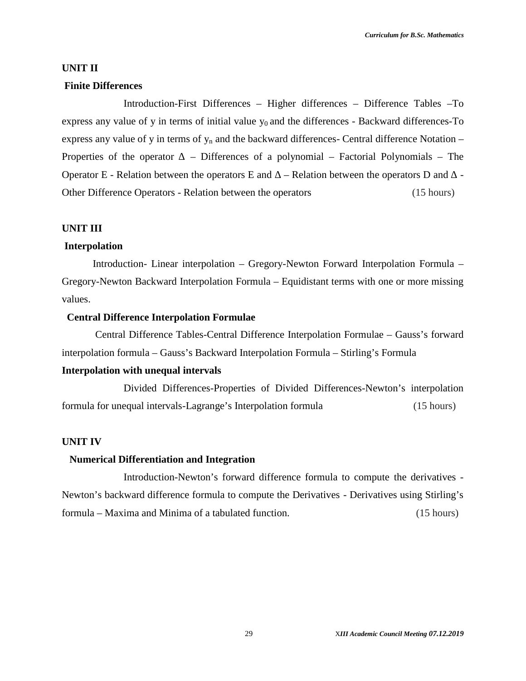#### **UNIT II**

#### **Finite Differences**

Introduction-First Differences – Higher differences – Difference Tables –To express any value of y in terms of initial value  $y_0$  and the differences - Backward differences-To express any value of y in terms of  $y_n$  and the backward differences- Central difference Notation – Properties of the operator – Differences of a polynomial – Factorial Polynomials – The Operator E - Relation between the operators E and – Relation between the operators D and - Other Difference Operators - Relation between the operators (15 hours)

#### **UNIT III**

#### **Interpolation**

Introduction- Linear interpolation – Gregory-Newton Forward Interpolation Formula – Gregory-Newton Backward Interpolation Formula – Equidistant terms with one or more missing values.

#### **Central Difference Interpolation Formulae**

Central Difference Tables-Central Difference Interpolation Formulae – Gauss's forward interpolation formula – Gauss's Backward Interpolation Formula – Stirling's Formula

#### **Interpolation with unequal intervals**

Divided Differences-Properties of Divided Differences-Newton's interpolation formula for unequal intervals-Lagrange's Interpolation formula (15 hours)

#### **UNIT IV**

#### **Numerical Differentiation and Integration**

Introduction-Newton's forward difference formula to compute the derivatives - Newton's backward difference formula to compute the Derivatives - Derivatives using Stirling's formula – Maxima and Minima of a tabulated function. (15 hours)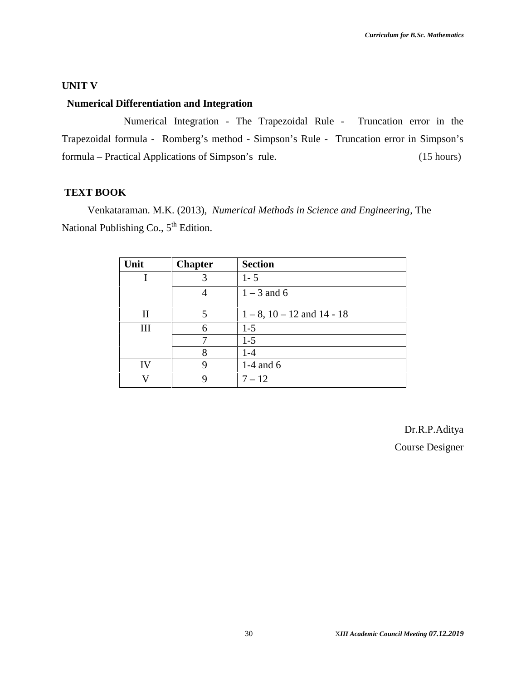#### **UNIT V**

#### **Numerical Differentiation and Integration**

Numerical Integration - The Trapezoidal Rule - Truncation error in the Trapezoidal formula - Romberg's method - Simpson's Rule - Truncation error in Simpson's formula – Practical Applications of Simpson's rule. (15 hours)

#### **TEXT BOOK**

Venkataraman. M.K. (2013), *Numerical Methods in Science and Engineering*, The National Publishing Co.,  $5<sup>th</sup>$  Edition.

| Unit | <b>Chapter</b> | <b>Section</b>                    |
|------|----------------|-----------------------------------|
|      |                | $1 - 5$                           |
|      |                | $1 - 3$ and 6                     |
| Н    | 5              | $1 - 8$ , $10 - 12$ and $14 - 18$ |
| Ш    | 6              | $1 - 5$                           |
|      |                |                                   |
|      | 7              | $1 - 5$                           |
|      | 8              | $1 - 4$                           |
| IV   | 9              | 1-4 and $6$                       |
|      | Q              | $7 - 12$                          |

Dr.R.P.Aditya Course Designer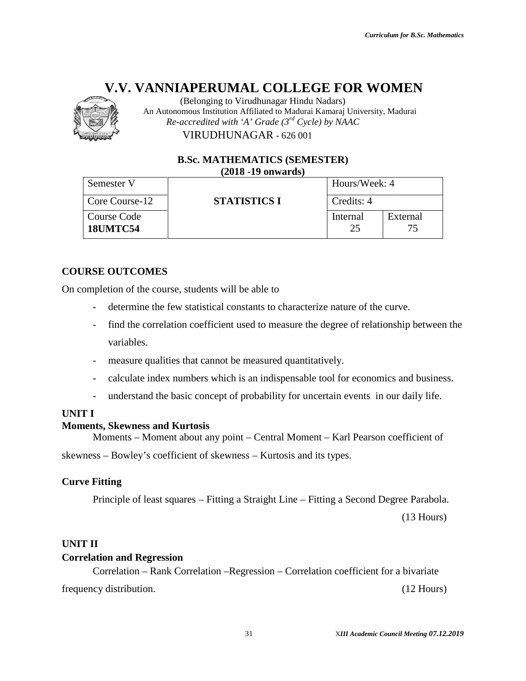

|                              | (Belonging to Virudhunagar Hindu Nadars)<br>An Autonomous Institution Affiliated to Madurai Kamaraj University, Madurai |               |                                          |
|------------------------------|-------------------------------------------------------------------------------------------------------------------------|---------------|------------------------------------------|
|                              | Re-accredited with 'A' Grade $(3^{rd}$ Cycle) by NAAC                                                                   |               |                                          |
|                              | VIRUDHUNAGAR - 626 001                                                                                                  |               |                                          |
|                              | <b>B.Sc. MATHEMATICS (SEMESTER)</b>                                                                                     |               |                                          |
| Semester V                   | $(2018 - 19)$ onwards)                                                                                                  | Hours/Week: 4 |                                          |
| Core Course-12               | <b>STATISTICS I</b>                                                                                                     | Credits: 4    |                                          |
| Course Code                  |                                                                                                                         | Internal      | External                                 |
| <b>18UMTC54</b>              |                                                                                                                         | 25            | 75                                       |
|                              |                                                                                                                         |               |                                          |
| <b>JRSE OUTCOMES</b>         |                                                                                                                         |               |                                          |
|                              | completion of the course, students will be able to                                                                      |               |                                          |
|                              | determine the few statistical constants to characterize nature of the curve.                                            |               |                                          |
|                              | find the correlation coefficient used to measure the degree of relationship between the                                 |               |                                          |
| variables.                   |                                                                                                                         |               |                                          |
|                              | measure qualities that cannot be measured quantitatively.                                                               |               |                                          |
|                              | calculate index numbers which is an indispensable tool for economics and business.                                      |               |                                          |
|                              | understand the basic concept of probability for uncertain events in our daily life.                                     |               |                                          |
| ТI                           |                                                                                                                         |               |                                          |
| nents, Skewness and Kurtosis | Moments – Moment about any point – Central Moment – Karl Pearson coefficient of                                         |               |                                          |
|                              | ness – Bowley's coefficient of skewness – Kurtosis and its types.                                                       |               |                                          |
| ve Fitting                   |                                                                                                                         |               |                                          |
|                              | Principle of least squares – Fitting a Straight Line – Fitting a Second Degree Parabola.                                |               |                                          |
|                              |                                                                                                                         |               | $(13$ Hours)                             |
| T II                         |                                                                                                                         |               |                                          |
| relation and Regression      |                                                                                                                         |               |                                          |
|                              | Correlation – Rank Correlation – Regression – Correlation coefficient for a bivariate                                   |               |                                          |
| uency distribution.          |                                                                                                                         |               | $(12$ Hours)                             |
|                              |                                                                                                                         |               |                                          |
|                              | 31                                                                                                                      |               | XIII Academic Council Meeting 07.12.2019 |

#### **COURSE OUTCOMES**

On completion of the course, students will be able to

- determine the few statistical constants to characterize nature of the curve.
- find the correlation coefficient used to measure the degree of relationship between the variables. ion of the course, students will be able to<br>determine the few statistical constants to characterize nature of the curve.<br>find the correlation coefficient used to measure the degree of relationship between the<br>variables.<br>me
- measure qualities that cannot be measured quantitatively.
- calculate index numbers which is an indispensable tool for economics and business.
- understand the basic concept of probability for uncertain events in our daily life.

#### **UNIT I**

#### **Moments, Skewness and Kurtosis**

Moments – Moment about any point – Central Moment – Karl Pearson coefficient of skewness – Bowley's coefficient of skewness – Kurtosis and its types. for uncertain events in our<br>Moment – Karl Pearson coe<br>sis and its types.<br>ine – Fitting a Second Degre<br>Correlation coefficient for a

#### **Curve Fitting**

#### **UNIT II**

#### **Correlation and Regression**

Correlation – Rank Correlation –Regression – Correlation coefficient for a bivariate frequency distribution. (12 Hours)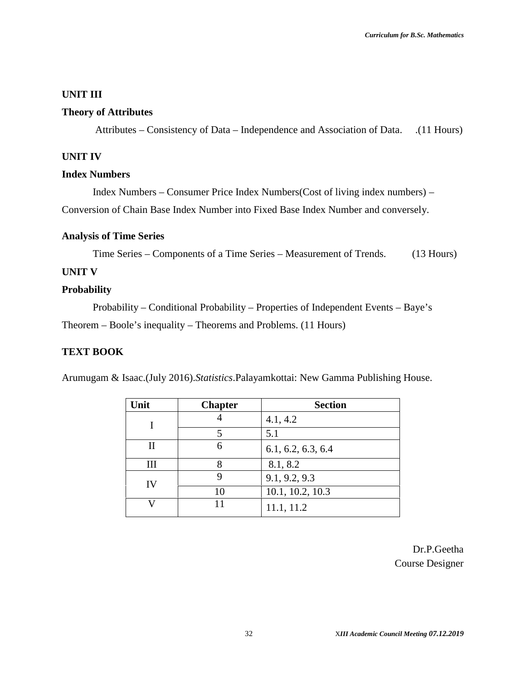#### **UNIT III**

#### **Theory of Attributes**

Attributes – Consistency of Data – Independence and Association of Data. (11 Hours)

#### **UNIT IV**

#### **Index Numbers**

Index Numbers – Consumer Price Index Numbers(Cost of living index numbers) – Conversion of Chain Base Index Number into Fixed Base Index Number and conversely.

#### **Analysis of Time Series**

Time Series – Components of a Time Series – Measurement of Trends. (13 Hours)

#### **UNIT V**

#### **Probability**

Probability – Conditional Probability – Properties of Independent Events – Baye's Theorem – Boole's inequality – Theorems and Problems. (11 Hours)

#### **TEXT BOOK**

Arumugam & Isaac.(July 2016).*Statistics*.Palayamkottai: New Gamma Publishing House.

| Unit | <b>Chapter</b> | <b>Section</b>     |
|------|----------------|--------------------|
|      |                | 4.1, 4.2           |
|      | 5              | 5.1                |
| П    | 6              | 6.1, 6.2, 6.3, 6.4 |
| Ш    |                | 8.1, 8.2           |
| IV   |                | 9.1, 9.2, 9.3      |
|      | 10             | 10.1, 10.2, 10.3   |
|      | 11             | 11.1, 11.2         |

Dr.P.Geetha Course Designer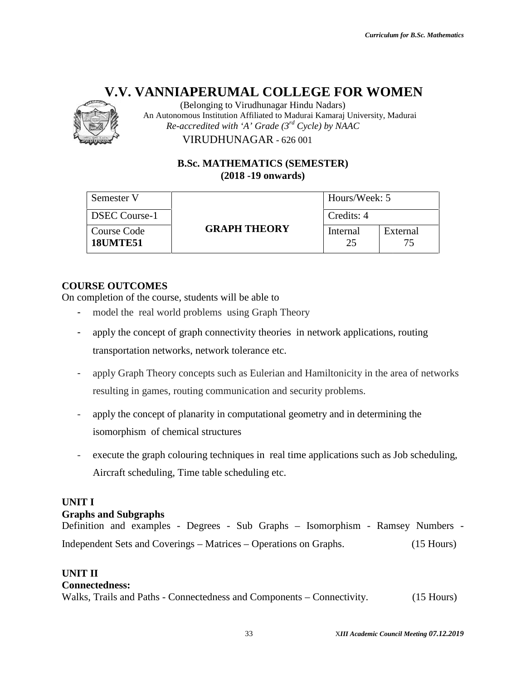

(Belonging to Virudhunagar Hindu Nadars) An Autonomous Institution Affiliated to Madurai Kamaraj University, Madurai *Re-accredited with 'A' Grade (3rd Cycle) by NAAC*

#### **B.Sc. MATHEMATICS (SEMESTER) (SEMESTER)(2018 -19 onwards)**

|                                       | (Belonging to Virudhunagar Hindu Nadars)<br>An Autonomous Institution Affiliated to Madurai Kamaraj University, Madurai |                |                                          |  |
|---------------------------------------|-------------------------------------------------------------------------------------------------------------------------|----------------|------------------------------------------|--|
|                                       | Re-accredited with 'A' Grade ( $3^{rd}$ Cycle) by NAAC                                                                  |                |                                          |  |
|                                       | VIRUDHUNAGAR - 626 001                                                                                                  |                |                                          |  |
|                                       | <b>B.Sc. MATHEMATICS (SEMESTER)</b><br>$(2018 - 19)$ onwards)                                                           |                |                                          |  |
|                                       |                                                                                                                         |                |                                          |  |
| Semester V                            |                                                                                                                         | Hours/Week: 5  |                                          |  |
| <b>DSEC Course-1</b>                  |                                                                                                                         | Credits: 4     |                                          |  |
| <b>Course Code</b><br><b>18UMTE51</b> | <b>GRAPH THEORY</b>                                                                                                     | Internal<br>25 | External<br>75                           |  |
|                                       |                                                                                                                         |                |                                          |  |
| <b>RSE OUTCOMES</b>                   |                                                                                                                         |                |                                          |  |
|                                       | ompletion of the course, students will be able to<br>model the real world problems using Graph Theory                   |                |                                          |  |
|                                       |                                                                                                                         |                |                                          |  |
|                                       | apply the concept of graph connectivity theories in network applications, routing                                       |                |                                          |  |
|                                       | transportation networks, network tolerance etc.                                                                         |                |                                          |  |
|                                       | apply Graph Theory concepts such as Eulerian and Hamiltonicity in the area of networks                                  |                |                                          |  |
|                                       | resulting in games, routing communication and security problems.                                                        |                |                                          |  |
|                                       | apply the concept of planarity in computational geometry and in determining the                                         |                |                                          |  |
| isomorphism of chemical structures    |                                                                                                                         |                |                                          |  |
|                                       |                                                                                                                         |                |                                          |  |
|                                       | execute the graph colouring techniques in real time applications such as Job scheduling,                                |                |                                          |  |
|                                       | Aircraft scheduling, Time table scheduling etc.                                                                         |                |                                          |  |
| $\mathbf{I}$<br>hs and Subgraphs      | ition and examples - Degrees - Sub Graphs - Isomorphism - Ramsey Numbers -                                              |                |                                          |  |
|                                       | endent Sets and Coverings – Matrices – Operations on Graphs.                                                            |                | $(15$ Hours)                             |  |
|                                       |                                                                                                                         |                |                                          |  |
| $\overline{\Gamma}$ II                |                                                                                                                         |                |                                          |  |
| ectedness:                            | s, Trails and Paths - Connectedness and Components – Connectivity.                                                      |                | $(15$ Hours)                             |  |
|                                       | 33                                                                                                                      |                | XIII Academic Council Meeting 07.12.2019 |  |

#### **COURSE OUTCOMES**

On completion of the course, students will be able to

- model the real world problems using Graph Theory
- completion of the course, students will be able to<br>
 model the real world problems using Graph Theory<br>
 apply the concept of graph connectivity theories in network applications, routing transportation networks, network tolerance etc.
- apply Graph Theory concepts such as Eulerian and Hamiltonicity in the area of networks<br>resulting in games, routing communication and security problems.<br>apply the concept of planarity in computational geometry and in determ resulting in games, routing communication and security problems. the concept of graph connectivity theories in network applications, routing<br>cortation networks, network tolerance etc.<br>Graph Theory concepts such as Eulerian and Hamiltonicity in the area of networks<br>ing in games, routing
- apply the concept of planarity in computational geometry and in determining the isomorphism of chemical structures
- execute the graph colouring techniques in real time applications such as Job scheduling, Aircraft scheduling, Time table scheduling etc.

#### **UNIT I**

#### **Graphs and Subgraphs**

Definition and examples - Degrees - Sub Graphs – Isomorphism - Ramsey Numbers - Independent Sets and Coverings – Matrices – Operations on Graphs. (15 Hours)

#### **UNIT II**

#### **Connectedness:**

Walks, Trails and Paths - Connectedness and Components – Connectivity. (15 Hours)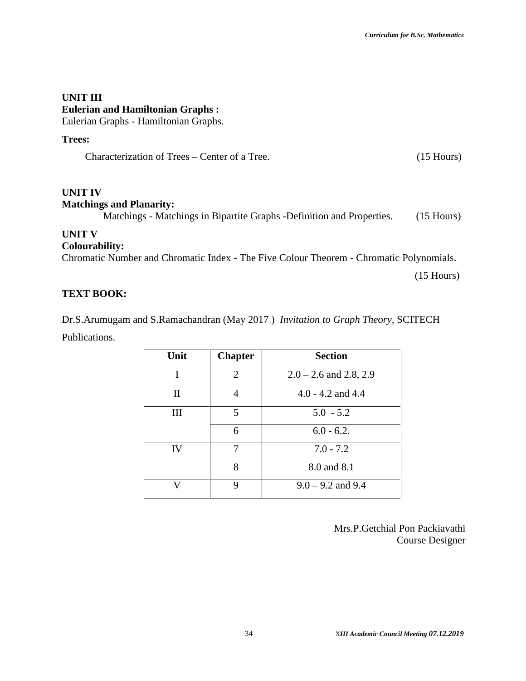#### **UNIT III Eulerian and Hamiltonian Graphs :** Eulerian Graphs - Hamiltonian Graphs.

#### **Trees:**

Characterization of Trees – Center of a Tree. (15 Hours)

#### **UNIT IV Matchings and Planarity:**

Matchings - Matchings in Bipartite Graphs -Definition and Properties. (15 Hours)

#### **UNIT V**

#### **Colourability:**

Chromatic Number and Chromatic Index - The Five Colour Theorem - Chromatic Polynomials.

(15 Hours)

#### **TEXT BOOK:**

Dr.S.Arumugam and S.Ramachandran (May 2017 ) *Invitation to Graph Theory*, SCITECH

Publications.

| Unit | <b>Chapter</b> | <b>Section</b>              |
|------|----------------|-----------------------------|
|      | 2              | $2.0 - 2.6$ and $2.8$ , 2.9 |
| П    |                | $4.0 - 4.2$ and $4.4$       |
| Ш    | 5              | $5.0 - 5.2$                 |
|      | 6              | $6.0 - 6.2$ .               |
| IV   | 7              | $7.0 - 7.2$                 |
|      | 8              | 8.0 and 8.1                 |
| 17   | 9              | $9.0 - 9.2$ and $9.4$       |

Mrs.P.Getchial Pon Packiavathi Course Designer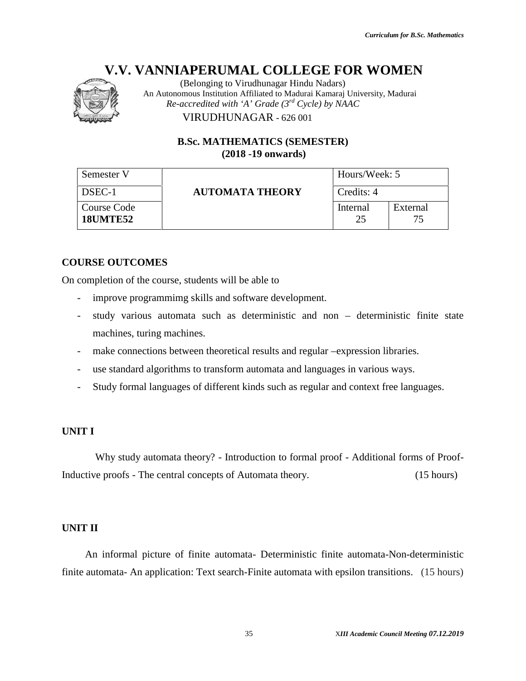

#### **B.Sc. MATHEMATICS (SEMESTER) (SEMESTER)(2018 -19 onwards)**

|                                | (Belonging to Virudhunagar Hindu Nadars)<br>An Autonomous Institution Affiliated to Madurai Kamaraj University, Madurai |                |                                          |
|--------------------------------|-------------------------------------------------------------------------------------------------------------------------|----------------|------------------------------------------|
|                                | Re-accredited with 'A' Grade $(3^{rd}$ Cycle) by NAAC                                                                   |                |                                          |
|                                | VIRUDHUNAGAR - 626 001                                                                                                  |                |                                          |
|                                | <b>B.Sc. MATHEMATICS (SEMESTER)</b><br>$(2018 - 19)$ onwards)                                                           |                |                                          |
| Semester V                     |                                                                                                                         | Hours/Week: 5  |                                          |
| DSEC-1                         | <b>AUTOMATA THEORY</b>                                                                                                  | Credits: 4     |                                          |
| Course Code<br><b>18UMTE52</b> |                                                                                                                         | Internal<br>25 | External<br>75                           |
|                                |                                                                                                                         |                |                                          |
| <b>URSE OUTCOMES</b>           |                                                                                                                         |                |                                          |
|                                | completion of the course, students will be able to                                                                      |                |                                          |
| $\overline{\phantom{0}}$       | improve programmimg skills and software development.                                                                    |                |                                          |
|                                | study various automata such as deterministic and non - deterministic finite state                                       |                |                                          |
| machines, turing machines.     |                                                                                                                         |                |                                          |
| $\overline{\phantom{0}}$       | make connections between theoretical results and regular -expression libraries.                                         |                |                                          |
| $\qquad \qquad -$              | use standard algorithms to transform automata and languages in various ways.                                            |                |                                          |
| -                              | Study formal languages of different kinds such as regular and context free languages.                                   |                |                                          |
| <b>ITI</b>                     |                                                                                                                         |                |                                          |
|                                | Why study automata theory? - Introduction to formal proof - Additional forms of Proof-                                  |                |                                          |
|                                | uctive proofs - The central concepts of Automata theory.                                                                |                | (15 hours)                               |
|                                |                                                                                                                         |                |                                          |
| IT II                          |                                                                                                                         |                |                                          |
|                                | An informal picture of finite automata- Deterministic finite automata-Non-deterministic                                 |                |                                          |
|                                | te automata- An application: Text search-Finite automata with epsilon transitions. (15 hours)                           |                |                                          |
|                                |                                                                                                                         |                |                                          |
|                                | 35                                                                                                                      |                | XIII Academic Council Meeting 07.12.2019 |

#### **COURSE OUTCOMES**

On completion of the course, students will be able to

- improve programmimg skills and software development.
- study various automata such as deterministic and non deterministic finite state machines, turing machines.
- make connections between theoretical results and regular –expression libraries.
- use standard algorithms to transform automata and languages in various ways.
- Study formal languages of different kinds such as regular and context free languages.

#### **UNIT I**

#### **UNIT II**

Inductive proofs - The central concepts of Automata theory. (15 hours)<br>
UNIT II<br>
An informal picture of finite automata- Deterministic finite automata-Non-deterministic An informal picture of finite automata- Deterministic finite automata-Non-deterministic finite automata- An application: Text search-Finite automata with epsilon transitions. (15 hours)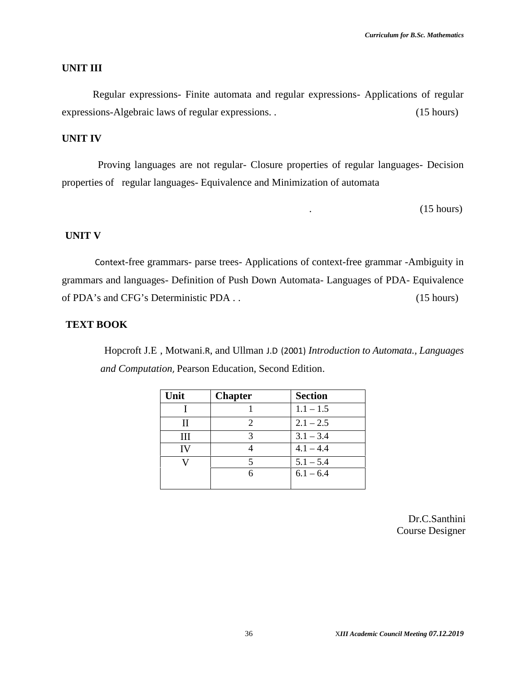#### **UNIT III**

Regular expressions- Finite automata and regular expressions- Applications of regular expressions-Algebraic laws of regular expressions. . (15 hours)

#### **UNIT IV**

Proving languages are not regular- Closure properties of regular languages- Decision properties of regular languages- Equivalence and Minimization of automata

 $(15 \text{ hours})$ 

#### **UNIT V**

Context-free grammars- parse trees- Applications of context-free grammar -Ambiguity in grammars and languages- Definition of Push Down Automata- Languages of PDA- Equivalence of PDA's and CFG's Deterministic PDA . . (15 hours)

#### **TEXT BOOK**

Hopcroft J.E , Motwani.R, and Ullman J.D (2001) *Introduction to Automata., Languages and Computation*, Pearson Education, Second Edition.

| Unit | <b>Chapter</b>              | <b>Section</b> |
|------|-----------------------------|----------------|
|      |                             | $1.1 - 1.5$    |
| Н    | $\mathcal{D}_{\mathcal{L}}$ | $2.1 - 2.5$    |
| Ш    | 3                           | $3.1 - 3.4$    |
| IV   |                             | $4.1 - 4.4$    |
|      | $\overline{\mathcal{L}}$    | $5.1 - 5.4$    |
|      | 6                           | $6.1 - 6.4$    |
|      |                             |                |

Dr.C.Santhini Course Designer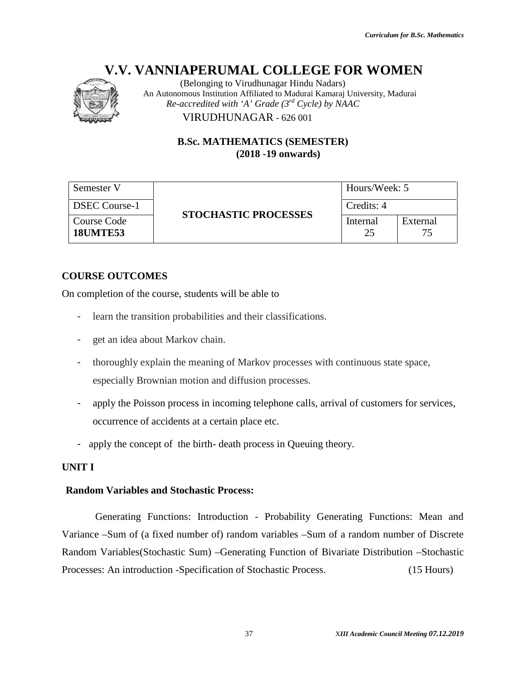

(Belonging to Virudhunagar Hindu Nadars) An Autonomous Institution Affiliated to Madurai Kamaraj University, Madurai *Re-accredited with 'A' Grade (3rd Cycle) by NAAC* VIRUDHUNAGAR - 626 001 VIRUDHUNAGAR

> **B.Sc. MATHEMATICS (SEMESTER) (2018 -19 onwards)**

| Semester V                     |                             | Hours/Week: 5  |          |
|--------------------------------|-----------------------------|----------------|----------|
| <b>DSEC Course-1</b>           |                             | Credits: 4     |          |
| Course Code<br><b>18UMTE53</b> | <b>STOCHASTIC PROCESSES</b> | Internal<br>25 | External |

#### **COURSE OUTCOMES**

On completion of the course, students will be able to

- learn the transition probabilities and their classifications.
- get an idea about Markov chain.
- thoroughly explain the meaning of Markov processes with continuous state space, especially Brownian motion and diffusion processes. EXECOURE SECOURCOMES<br>
SECOUTCOMES<br>
SECOUTCOMES<br>
SECOUTCOMES<br>
EXECUTCOMES<br>
EXECUTCOMES<br>
EXECUTCOMES<br>
EXECUTCOMES<br>
EXECUTCOMES<br>
EXECUTE:<br>
EXECUTE SANTAINE TO ADDED TO EXECUTE AND REGALAR POINCIPY EXPLAINED AND TO EXECUTE APP
- apply the Poisson process in incoming telephone calls, arrival of customers for services, occurrence of accidents at a certain place etc.
- apply the concept of the birth- death process in Queuing theory.

#### **UNIT I**

#### **Random Variables and Stochastic Process: Random Variables**

Generating Functions: Introduction - Probability Generating Functions: Mean and Variance –Sum of (a fixed number of) random variables –Sum of a random number of Discrete Random Variables(Stochastic Sum) – Generating Function of Bivariate Distribution – Stochastic<br>Processes: An introduction - Specification of Stochastic Process. (15 Hours) Processes: An introduction -Specification of Stochastic Process. (15 Hours) *III Academic 07.12.2019*to Hindu Nadars)Autonomous Affiliated to *Grade (3 NAAC*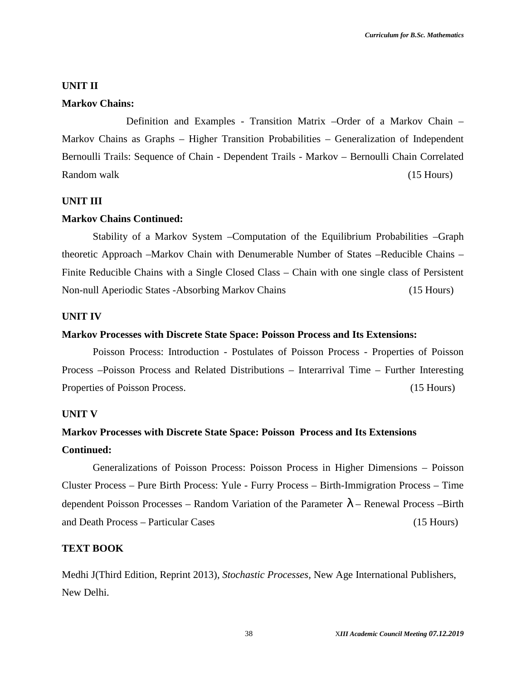#### **UNIT II**

#### **Markov Chains:**

Definition and Examples - Transition Matrix –Order of a Markov Chain – Markov Chains as Graphs – Higher Transition Probabilities – Generalization of Independent Bernoulli Trails: Sequence of Chain - Dependent Trails - Markov – Bernoulli Chain Correlated Random walk (15 Hours) (15 Hours)

#### **UNIT III**

#### **Markov Chains Continued:**

Stability of a Markov System –Computation of the Equilibrium Probabilities –Graph theoretic Approach –Markov Chain with Denumerable Number of States –Reducible Chains – Finite Reducible Chains with a Single Closed Class – Chain with one single class of Persistent Non-null Aperiodic States -Absorbing Markov Chains (15 Hours)

#### **UNIT IV**

#### **Markov Processes with Discrete State Space: Poisson Process and Its Extensions:**

Poisson Process: Introduction - Postulates of Poisson Process - Properties of Poisson Process –Poisson Process and Related Distributions – Interarrival Time – Further Interesting Properties of Poisson Process. (15 Hours)

#### **UNIT V**

### **Markov Processes with Discrete State Space: Poisson Process and Its Extensions Continued:**

Generalizations of Poisson Process: Poisson Process in Higher Dimensions – Poisson Cluster Process – Pure Birth Process: Yule - Furry Process – Birth-Immigration Process – Time dependent Poisson Processes – Random Variation of the Parameter } – Renewal Process –Birth and Death Process – Particular Cases (15 Hours)

#### **TEXT BOOK**

Medhi J(Third Edition, Reprint 2013), *Stochastic Processes,* New Age International Publishers, New Delhi.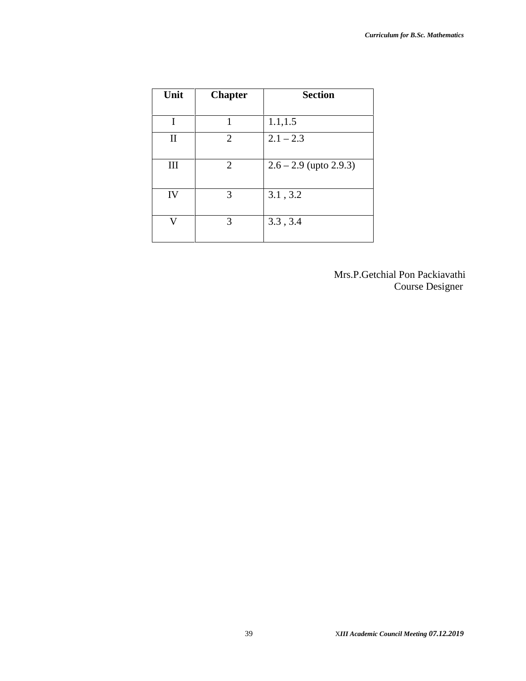| Unit         | <b>Chapter</b> | <b>Section</b>           |
|--------------|----------------|--------------------------|
|              |                |                          |
| T            | 1              | 1.1, 1.5                 |
| $\mathbf{I}$ | 2              | $2.1 - 2.3$              |
| Ш            | 2              | $2.6 - 2.9$ (upto 2.9.3) |
| IV           | 3              | 3.1, 3.2                 |
| v            | 3              | 3.3, 3.4                 |

Mrs.P.Getchial Pon Packiavathi Course Designer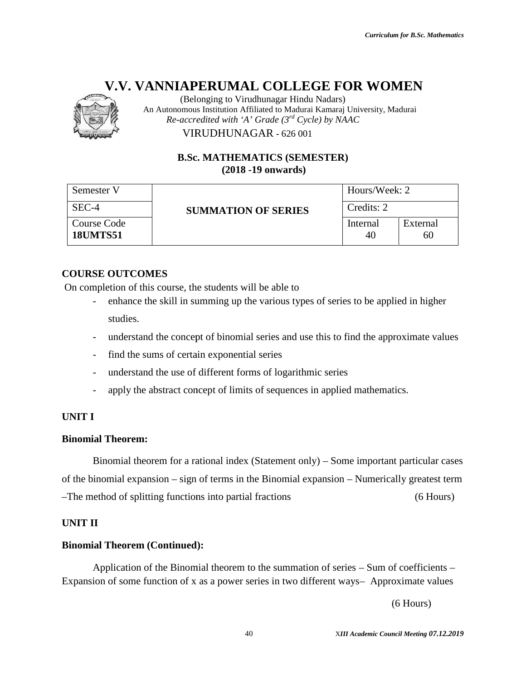

(Belonging to Virudhunagar Hindu Nadars) An Autonomous Institution Affiliated to Madurai Kamaraj University, Madurai *Re-accredited with 'A' Grade (3rd Cycle) by NAAC*

#### **B.Sc. MATHEMATICS (SEMESTER) (SEMESTER)(2018 -19 onwards)**

|                                       | (Belonging to Virudhunagar Hindu Nadars)<br>An Autonomous Institution Affiliated to Madurai Kamaraj University, Madurai                                                               |                |                                          |
|---------------------------------------|---------------------------------------------------------------------------------------------------------------------------------------------------------------------------------------|----------------|------------------------------------------|
|                                       | Re-accredited with 'A' Grade $(3^{rd}$ Cycle) by NAAC<br>VIRUDHUNAGAR - 626 001                                                                                                       |                |                                          |
|                                       |                                                                                                                                                                                       |                |                                          |
|                                       | <b>B.Sc. MATHEMATICS (SEMESTER)</b><br>$(2018 - 19)$ onwards)                                                                                                                         |                |                                          |
| Semester V                            |                                                                                                                                                                                       | Hours/Week: 2  |                                          |
| SEC-4                                 | <b>SUMMATION OF SERIES</b>                                                                                                                                                            | Credits: 2     |                                          |
| <b>Course Code</b><br><b>18UMTS51</b> |                                                                                                                                                                                       | Internal<br>40 | External<br>60                           |
|                                       |                                                                                                                                                                                       |                |                                          |
| <b>COURSE OUTCOMES</b>                |                                                                                                                                                                                       |                |                                          |
|                                       | On completion of this course, the students will be able to<br>enhance the skill in summing up the various types of series to be applied in higher                                     |                |                                          |
| studies.                              |                                                                                                                                                                                       |                |                                          |
|                                       | understand the concept of binomial series and use this to find the approximate values                                                                                                 |                |                                          |
| $\overline{\phantom{a}}$              | find the sums of certain exponential series                                                                                                                                           |                |                                          |
|                                       | understand the use of different forms of logarithmic series                                                                                                                           |                |                                          |
|                                       | apply the abstract concept of limits of sequences in applied mathematics.                                                                                                             |                |                                          |
|                                       |                                                                                                                                                                                       |                |                                          |
| UNIT I                                |                                                                                                                                                                                       |                |                                          |
| <b>Binomial Theorem:</b>              |                                                                                                                                                                                       |                |                                          |
|                                       | Binomial theorem for a rational index (Statement only) – Some important particular cases                                                                                              |                |                                          |
|                                       | of the binomial expansion – sign of terms in the Binomial expansion – Numerically greatest term                                                                                       |                |                                          |
|                                       | -The method of splitting functions into partial fractions                                                                                                                             |                | $(6$ Hours)                              |
| UNIT II                               |                                                                                                                                                                                       |                |                                          |
| <b>Binomial Theorem (Continued):</b>  |                                                                                                                                                                                       |                |                                          |
|                                       | Application of the Binomial theorem to the summation of series – Sum of coefficients –<br>Expansion of some function of x as a power series in two different ways- Approximate values |                |                                          |
|                                       |                                                                                                                                                                                       |                | $(6$ Hours)                              |
|                                       | 40                                                                                                                                                                                    |                | XIII Academic Council Meeting 07.12.2019 |

#### **COURSE OUTCOMES**

- enhance the skill in summing up the various types of series to be applied in higher studies. Internal<br>
Internal<br>
40<br>
OUTCOMES<br>
tion of this course, the students will be able to<br>
enhance the skill in summing up the various types of series to be a<br>
studies.<br>
understand the concept of binomial series<br>
understand the
- understand the concept of binomial series and use this to find the approximate values
- find the sums of certain exponential series
- understand the use of different forms of logarithmic series
- apply the abstract concept of limits of sequences in applied mathematics.

#### **UNIT I**

#### **Binomial Theorem:**

#### **UNIT II**

#### **Binomial Theorem (Continued):**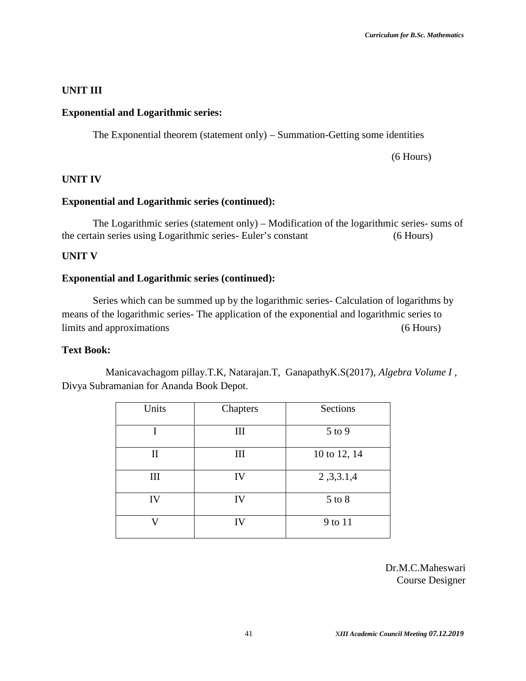#### **UNIT III**

#### **Exponential and Logarithmic series:**

The Exponential theorem (statement only) – Summation-Getting some identities

(6 Hours)

#### **UNIT IV**

#### **Exponential and Logarithmic series (continued):**

The Logarithmic series (statement only) – Modification of the logarithmic series- sums of the certain series using Logarithmic series- Euler's constant (6 Hours)

#### **UNIT V**

#### **Exponential and Logarithmic series (continued):**

Series which can be summed up by the logarithmic series- Calculation of logarithms by means of the logarithmic series- The application of the exponential and logarithmic series to limits and approximations (6 Hours)

#### **Text Book:**

Manicavachagom pillay.T.K, Natarajan.T, GanapathyK.S(2017), *Algebra Volume I* , Divya Subramanian for Ananda Book Depot.

| Units | Chapters | Sections     |
|-------|----------|--------------|
| T     | Ш        | $5$ to $9$   |
| П     | III      | 10 to 12, 14 |
| Ш     | IV       | 2,3,3.1,4    |
| IV    | IV       | $5$ to $8$   |
| V     | IV       | 9 to 11      |

Dr.M.C.Maheswari Course Designer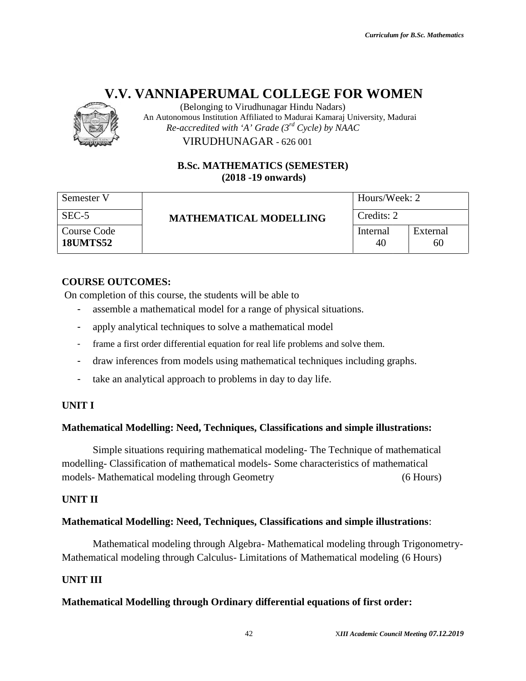

(Belonging to Virudhunagar Hindu Nadars) An Autonomous Institution Affiliated to Madurai Kamaraj University, Madurai *Re-accredited with 'A' Grade (3rd Cycle) by NAAC*

#### **B.Sc. MATHEMATICS (SEMESTER) (SEMESTER)(2018 -19 onwards)**

|                                       | (Belonging to Virudhunagar Hindu Nadars)<br>An Autonomous Institution Affiliated to Madurai Kamaraj University, Madurai                                                     |                |                                          |
|---------------------------------------|-----------------------------------------------------------------------------------------------------------------------------------------------------------------------------|----------------|------------------------------------------|
|                                       | Re-accredited with 'A' Grade $(3^{rd}$ Cycle) by NAAC<br>VIRUDHUNAGAR - 626 001                                                                                             |                |                                          |
|                                       |                                                                                                                                                                             |                |                                          |
|                                       | <b>B.Sc. MATHEMATICS (SEMESTER)</b><br>$(2018 - 19)$ onwards)                                                                                                               |                |                                          |
| Semester V                            | Hours/Week: 2                                                                                                                                                               |                |                                          |
| SEC-5                                 | <b>MATHEMATICAL MODELLING</b>                                                                                                                                               | Credits: 2     |                                          |
| <b>Course Code</b><br><b>18UMTS52</b> |                                                                                                                                                                             | Internal<br>40 | External<br>60                           |
| <b>COURSE OUTCOMES:</b>               | On completion of this course, the students will be able to<br>assemble a mathematical model for a range of physical situations.                                             |                |                                          |
|                                       | apply analytical techniques to solve a mathematical model                                                                                                                   |                |                                          |
|                                       | frame a first order differential equation for real life problems and solve them.                                                                                            |                |                                          |
|                                       | draw inferences from models using mathematical techniques including graphs.                                                                                                 |                |                                          |
|                                       | take an analytical approach to problems in day to day life.                                                                                                                 |                |                                          |
| <b>UNIT I</b>                         |                                                                                                                                                                             |                |                                          |
|                                       | Mathematical Modelling: Need, Techniques, Classifications and simple illustrations:                                                                                         |                |                                          |
|                                       | Simple situations requiring mathematical modeling-The Technique of mathematical<br>modelling-Classification of mathematical models- Some characteristics of mathematical    |                |                                          |
|                                       | models- Mathematical modeling through Geometry                                                                                                                              |                | $(6$ Hours)                              |
| <b>UNIT II</b>                        |                                                                                                                                                                             |                |                                          |
|                                       | Mathematical Modelling: Need, Techniques, Classifications and simple illustrations:                                                                                         |                |                                          |
|                                       | Mathematical modeling through Algebra- Mathematical modeling through Trigonometry-<br>Mathematical modeling through Calculus-Limitations of Mathematical modeling (6 Hours) |                |                                          |
| <b>UNIT III</b>                       |                                                                                                                                                                             |                |                                          |
|                                       | Mathematical Modelling through Ordinary differential equations of first order:                                                                                              |                |                                          |
|                                       | 42                                                                                                                                                                          |                | XIII Academic Council Meeting 07.12.2019 |

#### **COURSE OUTCOMES:**

- assemble a mathematical model for a range of physical situations.
- apply analytical techniques to solve a mathematical model
- frame a first order differential equation for real life problems and solve them.
- draw inferences from models using mathematical techniques including graphs.
- take an analytical approach to problems in day to day life.

#### **UNIT I**

#### **Mathematical Modelling: Need, Techniques, Classifications and simple illustrations:**

#### **UNIT II**

#### **Mathematical Modelling: Need, Techniques, Classifications and simple illustrations**:

#### **UNIT III**

#### **Mathematical Modelling through Ordinary differential equations of first order:**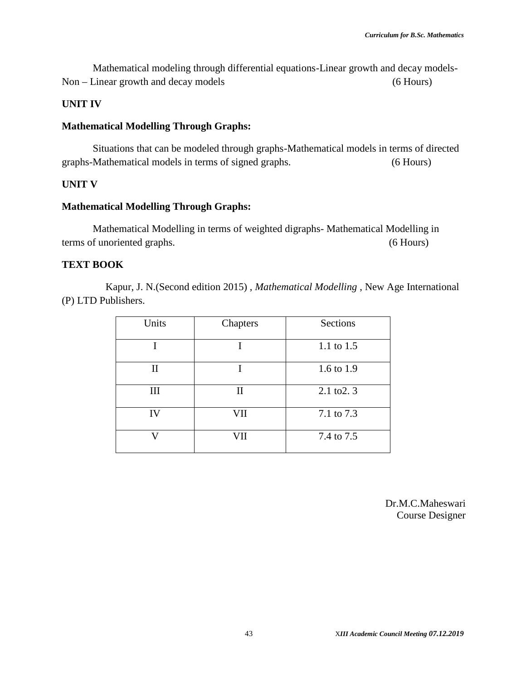Mathematical modeling through differential equations-Linear growth and decay models- Non – Linear growth and decay models (6 Hours)

#### **UNIT IV**

#### **Mathematical Modelling Through Graphs:**

Situations that can be modeled through graphs-Mathematical models in terms of directed graphs-Mathematical models in terms of signed graphs. (6 Hours)

#### **UNIT V**

#### **Mathematical Modelling Through Graphs:**

Mathematical Modelling in terms of weighted digraphs- Mathematical Modelling in terms of unoriented graphs. (6 Hours)

#### **TEXT BOOK**

Kapur, J. N.(Second edition 2015) , *Mathematical Modelling* , New Age International (P) LTD Publishers.

| Units        | Chapters     | Sections              |
|--------------|--------------|-----------------------|
|              |              | 1.1 to 1.5            |
| $\mathbf{I}$ |              | 1.6 to 1.9            |
| Ш            | $\mathbf{I}$ | $2.1 \text{ to } 2.3$ |
| IV           | VII          | 7.1 to 7.3            |
|              | VII          | 7.4 to 7.5            |

Dr.M.C.Maheswari Course Designer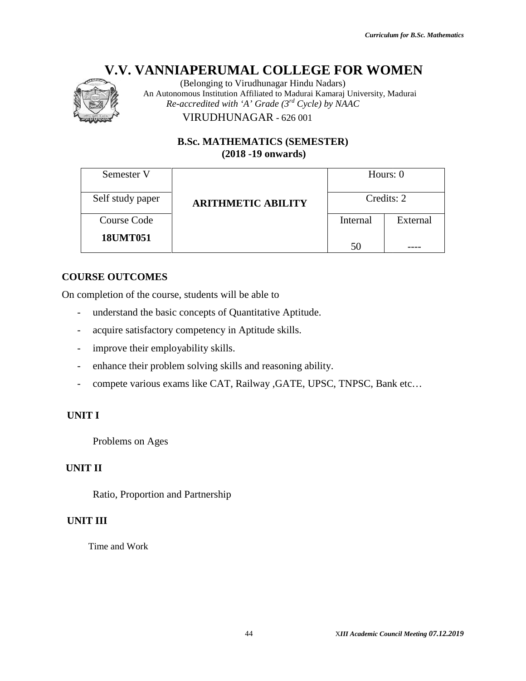

#### **B.Sc. MATHEMATICS (SEMESTER) (SEMESTER)(2018 -19 onwards)**

| Semester V                          |                                                                       |          |            |
|-------------------------------------|-----------------------------------------------------------------------|----------|------------|
|                                     |                                                                       |          | Hours: 0   |
| Self study paper                    | <b>ARITHMETIC ABILITY</b>                                             |          | Credits: 2 |
| <b>Course Code</b>                  |                                                                       | Internal | External   |
| <b>18UMT051</b>                     |                                                                       | 50       |            |
| <b>URSE OUTCOMES</b>                |                                                                       |          |            |
|                                     | completion of the course, students will be able to                    |          |            |
|                                     | understand the basic concepts of Quantitative Aptitude.               |          |            |
|                                     | acquire satisfactory competency in Aptitude skills.                   |          |            |
| improve their employability skills. |                                                                       |          |            |
|                                     | enhance their problem solving skills and reasoning ability.           |          |            |
|                                     | compete various exams like CAT, Railway , GATE, UPSC, TNPSC, Bank etc |          |            |
| VIT I                               |                                                                       |          |            |
| Problems on Ages                    |                                                                       |          |            |
| лт п                                |                                                                       |          |            |
| Ratio, Proportion and Partnership   |                                                                       |          |            |
| NIT III                             |                                                                       |          |            |
| Time and Work                       |                                                                       |          |            |
|                                     |                                                                       |          |            |
|                                     |                                                                       |          |            |

#### **COURSE OUTCOMES**

On completion of the course, students will be able to

- understand the basic concepts of Quantitative Aptitude.
- acquire satisfactory competency in Aptitude skills.
- improve their employability skills.
- enhance their problem solving skills and reasoning ability.
- compete various exams like CAT, Railway , GATE, UPSC, TNPSC, Bank etc... 50<br>
DUTCOMES<br>
ion of the course, students will be able to<br>
restand the basic concepts of Quantitative Aptitude.<br>
ire satisfactory competency in Aptitude skills.<br>
nove their employability skills.<br>
mee their problem solving

#### **UNIT I**

#### **UNIT II**

#### **UNIT III**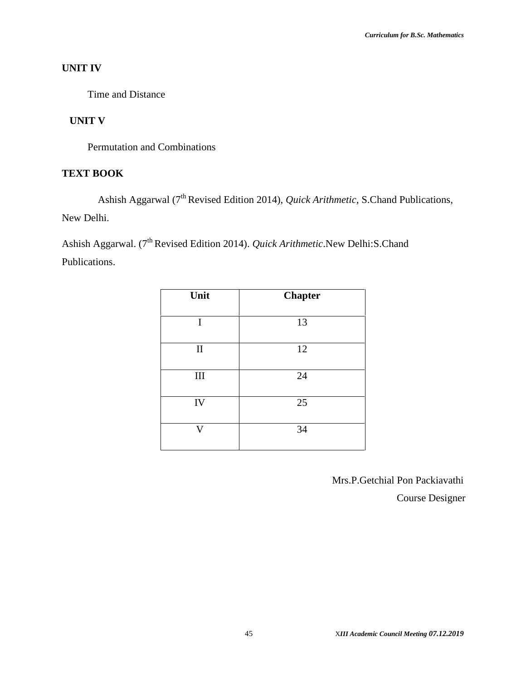#### **UNIT IV**

Time and Distance

#### **UNIT V**

Permutation and Combinations

#### **TEXT BOOK**

Ashish Aggarwal (7<sup>th</sup> Revised Edition 2014), *Quick Arithmetic*, S.Chand Publications, New Delhi.

Ashish Aggarwal. (7th Revised Edition 2014). *Quick Arithmetic*.New Delhi:S.Chand Publications.

| Unit           | <b>Chapter</b> |
|----------------|----------------|
|                |                |
| I              | 13             |
|                |                |
| $\mathbf{I}$   | 12             |
|                |                |
| $\rm III$      | 24             |
|                |                |
| IV             | 25             |
|                |                |
| $\overline{V}$ | 34             |
|                |                |

Mrs.P.Getchial Pon Packiavathi Course Designer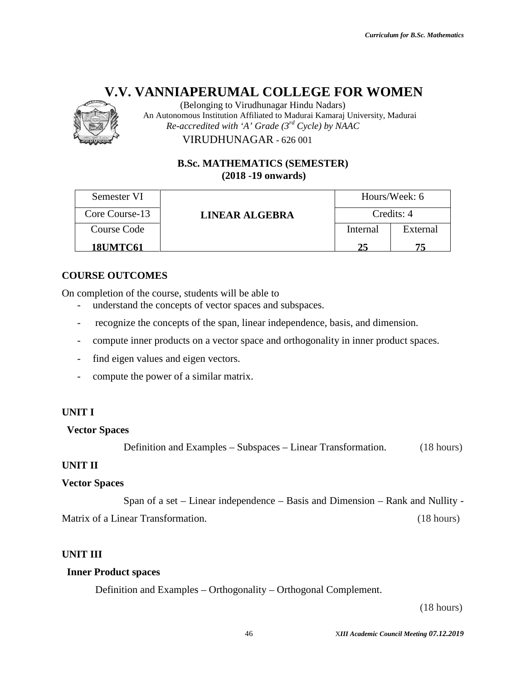

#### **B.Sc. MATHEMATICS (SEMESTER) (SEMESTER)(2018 -19 onwards)**

|                                  | VIRUDHUNAGAR - 626 001                                                                                        |          |                                          |
|----------------------------------|---------------------------------------------------------------------------------------------------------------|----------|------------------------------------------|
|                                  | <b>B.Sc. MATHEMATICS (SEMESTER)</b><br>$(2018 - 19)$ onwards)                                                 |          |                                          |
| Semester VI                      |                                                                                                               |          | Hours/Week: 6                            |
| Core Course-13                   | <b>LINEAR ALGEBRA</b>                                                                                         |          | Credits: 4                               |
| <b>Course Code</b>               |                                                                                                               | Internal | External                                 |
| <b>18UMTC61</b>                  |                                                                                                               | 25       | 75                                       |
| <b>DURSE OUTCOMES</b>            |                                                                                                               |          |                                          |
|                                  | completion of the course, students will be able to<br>understand the concepts of vector spaces and subspaces. |          |                                          |
|                                  | recognize the concepts of the span, linear independence, basis, and dimension.                                |          |                                          |
|                                  | compute inner products on a vector space and orthogonality in inner product spaces.                           |          |                                          |
|                                  | find eigen values and eigen vectors.                                                                          |          |                                          |
|                                  | compute the power of a similar matrix.                                                                        |          |                                          |
| I TI                             |                                                                                                               |          |                                          |
| ector Spaces                     |                                                                                                               |          |                                          |
|                                  | Definition and Examples – Subspaces – Linear Transformation.                                                  |          | (18 hours)                               |
| AIT II                           |                                                                                                               |          |                                          |
| ctor Spaces                      |                                                                                                               |          |                                          |
|                                  | Span of a set – Linear independence – Basis and Dimension – Rank and Nullity -                                |          |                                          |
| trix of a Linear Transformation. |                                                                                                               |          | $(18 \text{ hours})$                     |
|                                  |                                                                                                               |          |                                          |
| VIT III                          |                                                                                                               |          |                                          |
| nner Product spaces              |                                                                                                               |          |                                          |
|                                  | Definition and Examples – Orthogonality – Orthogonal Complement.                                              |          |                                          |
|                                  |                                                                                                               |          | (18 hours)                               |
|                                  | 46                                                                                                            |          | XIII Academic Council Meeting 07.12.2019 |

#### **COURSE OUTCOMES**

On completion of the course, students will be able to

- completion of the course, students will be able to<br>- understand the concepts of vector spaces and subspaces.
- recognize the concepts of the span, linear independence, basis, and dimension.
- compute inner products on a vector space and orthogonality in inner product spaces.
- find eigen values and eigen vectors.
- compute the power of a similar matrix.

#### **UNIT I**

#### **Vector Spaces**

#### **UNIT II**

#### **Vector Spaces**

Span of a set – Linear independence – Basis and Dimension – Rank and Nullity -<br>ear Transformation. (18 hours)

#### **UNIT III**

#### **Inner Product spaces**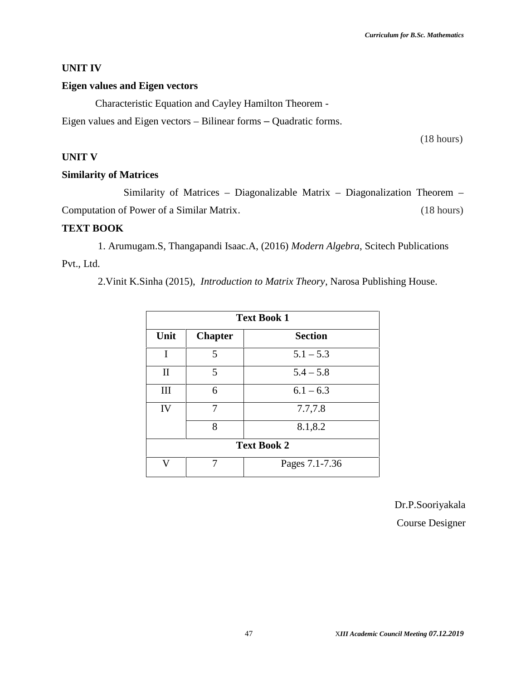#### **UNIT IV**

#### **Eigen values and Eigen vectors**

Characteristic Equation and Cayley Hamilton Theorem - Eigen values and Eigen vectors – Bilinear forms – Quadratic forms.

(18 hours)

#### **UNIT V**

#### **Similarity of Matrices**

Similarity of Matrices – Diagonalizable Matrix – Diagonalization Theorem – Computation of Power of a Similar Matrix. (18 hours)

#### **TEXT BOOK**

1. Arumugam.S, Thangapandi Isaac.A, (2016) *Modern Algebra*, Scitech Publications Pvt., Ltd.

2.Vinit K.Sinha (2015), *Introduction to Matrix Theory*, Narosa Publishing House.

|                    | <b>Text Book 1</b> |                |  |  |
|--------------------|--------------------|----------------|--|--|
| Unit               | <b>Chapter</b>     | <b>Section</b> |  |  |
| I                  | 5                  | $5.1 - 5.3$    |  |  |
| $\mathbf{I}$       | 5                  | $5.4 - 5.8$    |  |  |
| Ш                  | 6                  | $6.1 - 6.3$    |  |  |
| IV                 | 7                  | 7.7,7.8        |  |  |
|                    | 8                  | 8.1,8.2        |  |  |
| <b>Text Book 2</b> |                    |                |  |  |
| τz                 | 7                  | Pages 7.1-7.36 |  |  |

Dr.P.Sooriyakala Course Designer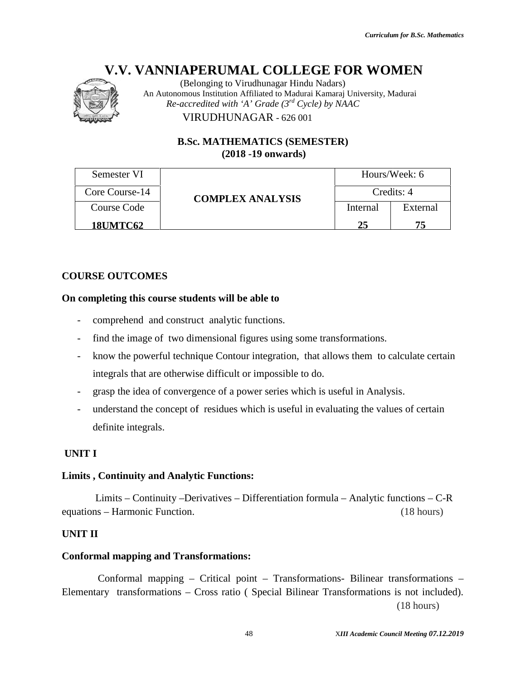

|                              | (Belonging to Virudhunagar Hindu Nadars)<br>An Autonomous Institution Affiliated to Madurai Kamaraj University, Madurai                                                                                                                                                                                                                                                                                                                                  |            |                                          |
|------------------------------|----------------------------------------------------------------------------------------------------------------------------------------------------------------------------------------------------------------------------------------------------------------------------------------------------------------------------------------------------------------------------------------------------------------------------------------------------------|------------|------------------------------------------|
|                              | Re-accredited with 'A' Grade $(3^{rd}$ Cycle) by NAAC<br>VIRUDHUNAGAR - 626 001                                                                                                                                                                                                                                                                                                                                                                          |            |                                          |
|                              | <b>B.Sc. MATHEMATICS (SEMESTER)</b><br>$(2018 - 19)$ onwards)                                                                                                                                                                                                                                                                                                                                                                                            |            |                                          |
| Semester VI                  |                                                                                                                                                                                                                                                                                                                                                                                                                                                          |            | Hours/Week: 6                            |
| Core Course-14               | <b>COMPLEX ANALYSIS</b>                                                                                                                                                                                                                                                                                                                                                                                                                                  | Credits: 4 |                                          |
| <b>Course Code</b>           |                                                                                                                                                                                                                                                                                                                                                                                                                                                          | Internal   | External                                 |
| <b>18UMTC62</b>              |                                                                                                                                                                                                                                                                                                                                                                                                                                                          | 25         | 75                                       |
| definite integrals.          | comprehend and construct analytic functions.<br>find the image of two dimensional figures using some transformations.<br>know the powerful technique Contour integration, that allows them to calculate certain<br>integrals that are otherwise difficult or impossible to do.<br>grasp the idea of convergence of a power series which is useful in Analysis.<br>understand the concept of residues which is useful in evaluating the values of certain |            |                                          |
| NIT I                        |                                                                                                                                                                                                                                                                                                                                                                                                                                                          |            |                                          |
|                              | mits, Continuity and Analytic Functions:                                                                                                                                                                                                                                                                                                                                                                                                                 |            |                                          |
| uations – Harmonic Function. | Limits – Continuity – Derivatives – Differentiation formula – Analytic functions – C-R                                                                                                                                                                                                                                                                                                                                                                   |            | (18 hours)                               |
| NIT II                       |                                                                                                                                                                                                                                                                                                                                                                                                                                                          |            |                                          |
|                              | <b>Informal mapping and Transformations:</b>                                                                                                                                                                                                                                                                                                                                                                                                             |            |                                          |
|                              | Conformal mapping – Critical point – Transformations- Bilinear transformations –<br>ementary transformations - Cross ratio (Special Bilinear Transformations is not included).                                                                                                                                                                                                                                                                           |            | (18 hours)                               |
|                              | 48                                                                                                                                                                                                                                                                                                                                                                                                                                                       |            | XIII Academic Council Meeting 07.12.2019 |

#### **COURSE OUTCOMES**

#### **On completing this course students will be able to course students**

- comprehend and construct analytic functions.
- comprehend and construct analytic functions.<br>- find the image of two dimensional figures using some transformations.
- know the powerful technique Contour integration, that allows them to calculate certain integrals that are otherwise difficult or impossible to do. If the concept of residues which is useful in Analysis.<br>
Let understand the concept of residues which is useful in evaluating the values of certain<br>
Let understand the concept of residues which is useful in evaluating the
- grasp the idea of convergence of a power series which is useful in Analysis.
- definite integrals. of convergence of a power series which is useful in Analysis.<br>
concept of residues which is useful in evaluating the values of certain<br>
als.<br> **Indivergent Content Content Content Convergent**<br> **Indivergent Convergent Conver**

#### **UNIT I**

#### **Limits , Continuity and Analytic Functions:**

#### **UNIT II**

#### **Conformal mapping and Transformations:**

48 X*III Academic Council Meeting 07.12.2019*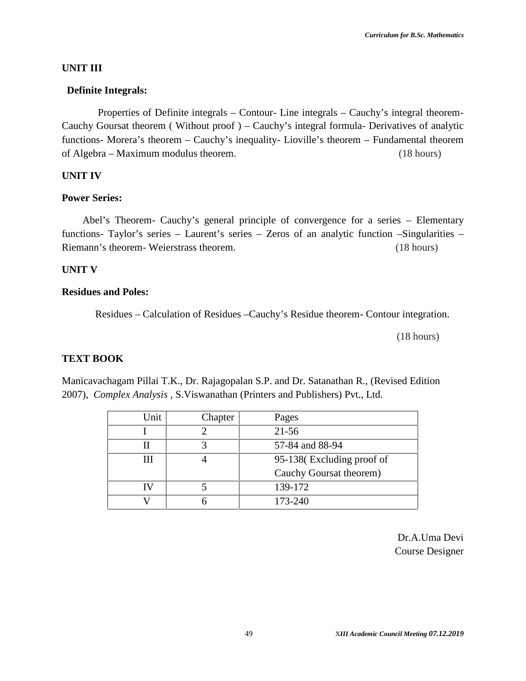#### **UNIT III**

#### **Definite Integrals:**

Properties of Definite integrals – Contour- Line integrals – Cauchy's integral theorem- Cauchy Goursat theorem ( Without proof ) – Cauchy's integral formula- Derivatives of analytic functions- Morera's theorem – Cauchy's inequality- Lioville's theorem – Fundamental theorem of Algebra – Maximum modulus theorem. (18 hours)

#### **UNIT IV**

#### **Power Series:**

Abel's Theorem- Cauchy's general principle of convergence for a series – Elementary functions- Taylor's series – Laurent's series – Zeros of an analytic function –Singularities – Riemann's theorem- Weierstrass theorem. (18 hours)

#### **UNIT V**

#### **Residues and Poles:**

Residues – Calculation of Residues –Cauchy's Residue theorem- Contour integration.

(18 hours)

#### **TEXT BOOK**

Manicavachagam Pillai T.K., Dr. Rajagopalan S.P. and Dr. Satanathan R., (Revised Edition 2007), *Complex Analysis* , S.Viswanathan (Printers and Publishers) Pvt., Ltd.

| Unit | Chapter | Pages                     |
|------|---------|---------------------------|
|      |         | $21 - 56$                 |
|      |         | 57-84 and 88-94           |
| Ш    |         | 95-138(Excluding proof of |
|      |         | Cauchy Goursat theorem)   |
| TV   |         | 139-172                   |
|      |         | 173-240                   |

Dr.A.Uma Devi Course Designer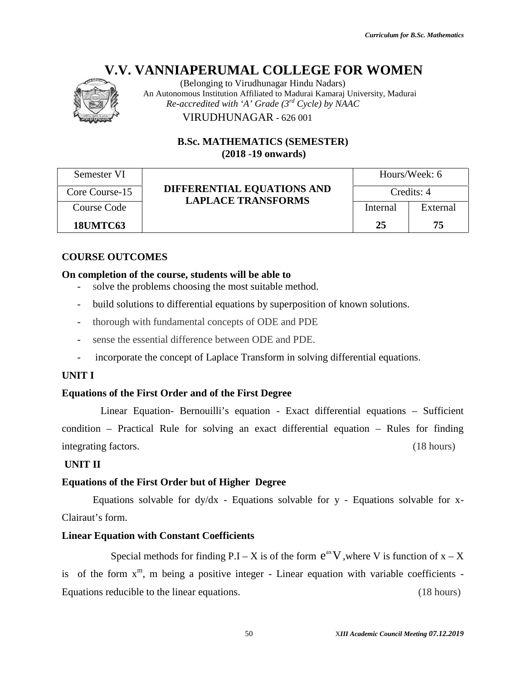

|                        | (Belonging to Virudhunagar Hindu Nadars)<br>An Autonomous Institution Affiliated to Madurai Kamaraj University, Madurai |                                          |               |
|------------------------|-------------------------------------------------------------------------------------------------------------------------|------------------------------------------|---------------|
|                        | Re-accredited with 'A' Grade $(3^{rd}$ Cycle) by NAAC<br>VIRUDHUNAGAR - 626 001                                         |                                          |               |
|                        | <b>B.Sc. MATHEMATICS (SEMESTER)</b><br>$(2018 - 19)$ onwards)                                                           |                                          |               |
| Semester VI            |                                                                                                                         |                                          | Hours/Week: 6 |
| Core Course-15         | DIFFERENTIAL EQUATIONS AND                                                                                              |                                          | Credits: 4    |
| Course Code            | <b>LAPLACE TRANSFORMS</b>                                                                                               | Internal                                 | External      |
| <b>18UMTC63</b>        |                                                                                                                         | 25                                       | 75            |
| <b>COURSE OUTCOMES</b> |                                                                                                                         |                                          |               |
|                        | On completion of the course, students will be able to<br>solve the problems choosing the most suitable method.          |                                          |               |
|                        | build solutions to differential equations by superposition of known solutions.                                          |                                          |               |
|                        | thorough with fundamental concepts of ODE and PDE                                                                       |                                          |               |
|                        | sense the essential difference between ODE and PDE.                                                                     |                                          |               |
|                        | incorporate the concept of Laplace Transform in solving differential equations.                                         |                                          |               |
| <b>UNIT I</b>          |                                                                                                                         |                                          |               |
|                        | <b>Equations of the First Order and of the First Degree</b>                                                             |                                          |               |
|                        | Linear Equation- Bernouilli's equation - Exact differential equations - Sufficient                                      |                                          |               |
|                        | condition – Practical Rule for solving an exact differential equation – Rules for finding                               |                                          |               |
| integrating factors.   |                                                                                                                         |                                          | (18 hours)    |
| <b>UNIT II</b>         |                                                                                                                         |                                          |               |
|                        | <b>Equations of the First Order but of Higher Degree</b>                                                                |                                          |               |
|                        | Equations solvable for dy/dx - Equations solvable for y - Equations solvable for x-                                     |                                          |               |
| Clairaut's form.       |                                                                                                                         |                                          |               |
|                        | <b>Linear Equation with Constant Coefficients</b>                                                                       |                                          |               |
|                        | Special methods for finding P.I – X is of the form $e^{ax}V$ , where V is function of $x - X$                           |                                          |               |
| 1S                     | of the form $x^m$ , m being a positive integer - Linear equation with variable coefficients -                           |                                          |               |
|                        | Equations reducible to the linear equations.                                                                            |                                          | (18 hours)    |
|                        |                                                                                                                         |                                          |               |
|                        | 50                                                                                                                      | XIII Academic Council Meeting 07.12.2019 |               |

#### **COURSE OUTCOMES**

#### **On completion of the course, students will be able to will**

- solve the problems choosing the most suitable method.
- build solutions to differential equations by superposition of known solutions.
- thorough with fundamental concepts of ODE and PDE
- sense the essential difference between ODE and PDE.
- incorporate the concept of Laplace Transform in solving differential equations. problems choosing the most suitable method.<br>
puild solutions to differential equations by superposition of<br>
horough with fundamental concepts of ODE and PDE<br>
ense the essential difference between ODE and PDE.<br>
incorporate

#### **UNIT I**

#### **Equations of the First Order and of the First Degree First**

#### **UNIT II**

#### **Equations of the First Order but of Higher Degree**

#### **Linear Equation with Constant Coefficients**

Special methods for finding P.I – X is of the form  $e^{ax}V$ , where V is function of  $x - X$ is of the form  $x^m$ , m being a positive integer - Linear equation with variable coefficients -<br>Equations reducible to the linear equations. (18 hours) Equations reducible to the linear equations. (18 hours)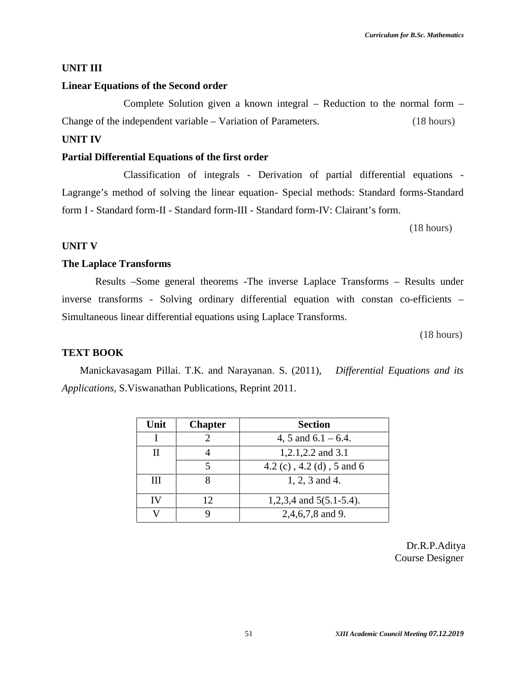#### **UNIT III**

#### **Linear Equations of the Second order**

Complete Solution given a known integral – Reduction to the normal form – Change of the independent variable – Variation of Parameters. (18 hours)

#### **UNIT IV**

#### **Partial Differential Equations of the first order**

Classification of integrals - Derivation of partial differential equations - Lagrange's method of solving the linear equation- Special methods: Standard forms-Standard form I - Standard form-II - Standard form-III - Standard form-IV: Clairant's form.

(18 hours)

#### **UNIT V**

#### **The Laplace Transforms**

Results –Some general theorems -The inverse Laplace Transforms – Results under inverse transforms - Solving ordinary differential equation with constan co-efficients – Simultaneous linear differential equations using Laplace Transforms.

(18 hours)

#### **TEXT BOOK**

Manickavasagam Pillai. T.K. and Narayanan. S. (2011), *Differential Equations and its Applications,* S.Viswanathan Publications, Reprint 2011.

| Unit | <b>Chapter</b> | <b>Section</b>             |  |
|------|----------------|----------------------------|--|
|      |                | 4, 5 and $6.1 - 6.4$ .     |  |
| П    |                | 1,2.1,2.2 and 3.1          |  |
|      |                | 4.2 (c), 4.2 (d), 5 and 6  |  |
| Ш    |                | 1, 2, 3 and 4.             |  |
| IV   | 12             | 1,2,3,4 and $5(5.1-5.4)$ . |  |
|      |                | 2,4,6,7,8 and 9.           |  |

Dr.R.P.Aditya Course Designer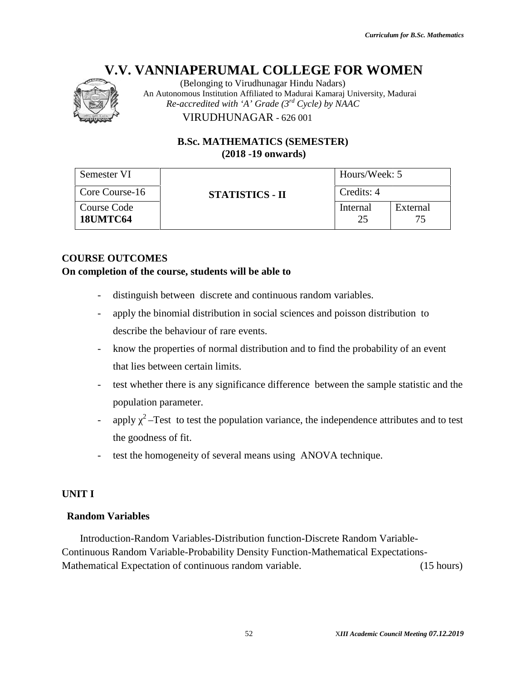

#### **B.Sc. MATHEMATICS (SEMESTER) (SEMESTER)(2018 -19 onwards)**

| Hours/Week: 5<br>Credits: 4<br>Internal<br>25<br>distinguish between discrete and continuous random variables. | External<br>75<br>apply the binomial distribution in social sciences and poisson distribution to<br>know the properties of normal distribution and to find the probability of an event<br>test whether there is any significance difference between the sample statistic and the |
|----------------------------------------------------------------------------------------------------------------|----------------------------------------------------------------------------------------------------------------------------------------------------------------------------------------------------------------------------------------------------------------------------------|
|                                                                                                                |                                                                                                                                                                                                                                                                                  |
|                                                                                                                |                                                                                                                                                                                                                                                                                  |
|                                                                                                                |                                                                                                                                                                                                                                                                                  |
| test the homogeneity of several means using ANOVA technique.                                                   | apply $2$ –Test to test the population variance, the independence attributes and to test                                                                                                                                                                                         |
|                                                                                                                |                                                                                                                                                                                                                                                                                  |
|                                                                                                                |                                                                                                                                                                                                                                                                                  |
| Introduction-Random Variables-Distribution function-Discrete Random Variable-                                  | Intinuous Random Variable-Probability Density Function-Mathematical Expectations-                                                                                                                                                                                                |
|                                                                                                                | (15 hours)                                                                                                                                                                                                                                                                       |
|                                                                                                                | XIII Academic Council Meeting 07.12.2019                                                                                                                                                                                                                                         |

#### **COURSE OUTCOMES**

#### **On completion of the course, students will be able to will**

- distinguish between discrete and continuous random variables.
- apply the binomial distribution in social sciences and poisson distribution to describe the behaviour of rare events.
- know the properties of normal distribution and to find the probability of an event that lies between certain limits. distinguish between discrete and continuous random variables.<br>apply the binomial distribution in social sciences and poisson distribution to<br>describe the behaviour of rare events.<br>know the properties of normal distribution
- test whether there is any significance difference between the sample statistic and the population parameter.
- apply  $2$ –Test to test the population variance, the independence attributes and to test the goodness of fit.
- test the homogeneity of several means using ANOVA technique.

#### **UNIT I**

#### **Random Variables**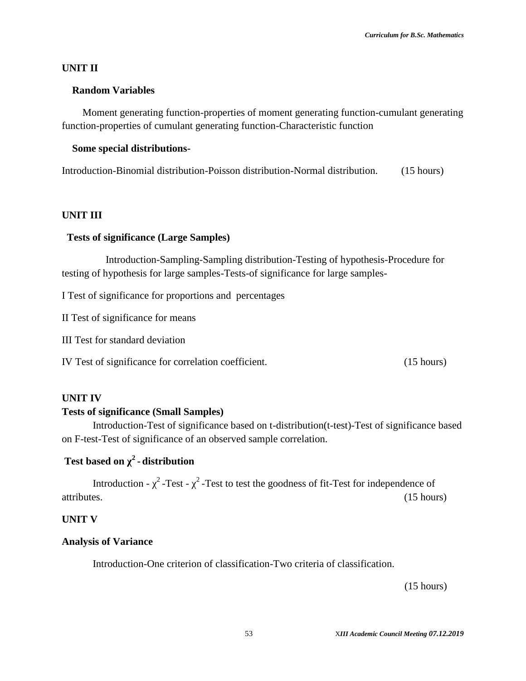#### **UNIT II**

#### **Random Variables**

Moment generating function-properties of moment generating function-cumulant generating function-properties of cumulant generating function-Characteristic function

#### **Some special distributions-**

Introduction-Binomial distribution-Poisson distribution-Normal distribution. (15 hours)

#### **UNIT III**

#### **Tests of significance (Large Samples)**

Introduction-Sampling-Sampling distribution-Testing of hypothesis-Procedure for testing of hypothesis for large samples-Tests-of significance for large samples-

I Test of significance for proportions and percentages

II Test of significance for means

III Test for standard deviation

IV Test of significance for correlation coefficient. (15 hours)

#### **UNIT IV**

#### **Tests of significance (Small Samples)**

Introduction-Test of significance based on t-distribution(t-test)-Test of significance based on F-test-Test of significance of an observed sample correlation.

#### **Test based on χ<sup>2</sup> - distribution**

Introduction -  $2$ -Test -  $2$ -Test to test the goodness of fit-Test for independence of attributes. (15 hours)

#### **UNIT V**

#### **Analysis of Variance**

Introduction-One criterion of classification-Two criteria of classification.

(15 hours)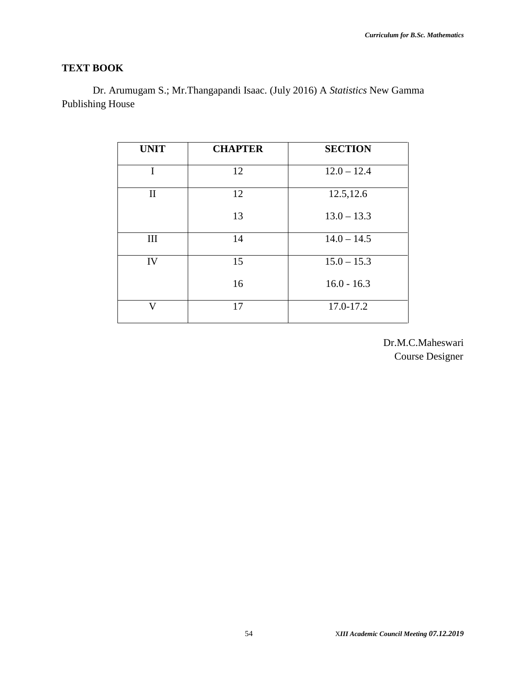### **TEXT BOOK**

Dr. Arumugam S.; Mr.Thangapandi Isaac. (July 2016) A *Statistics* New Gamma Publishing House

| <b>UNIT</b>  | <b>CHAPTER</b> | <b>SECTION</b> |
|--------------|----------------|----------------|
| I            | 12             | $12.0 - 12.4$  |
| $\mathbf{I}$ | 12             | 12.5, 12.6     |
|              | 13             | $13.0 - 13.3$  |
| III          | 14             | $14.0 - 14.5$  |
| IV           | 15             | $15.0 - 15.3$  |
|              | 16             | $16.0 - 16.3$  |
| V            | 17             | 17.0-17.2      |

Dr.M.C.Maheswari Course Designer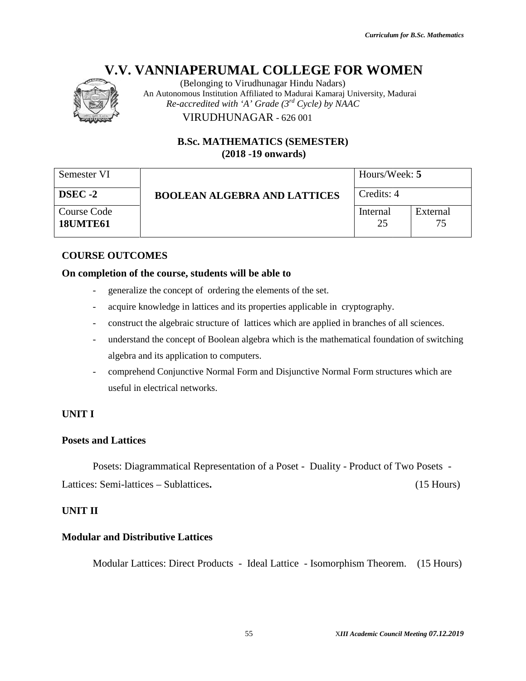

|                                       | (Belonging to Virudhunagar Hindu Nadars)<br>An Autonomous Institution Affiliated to Madurai Kamaraj University, Madurai<br>Re-accredited with 'A' Grade (3rd Cycle) by NAAC |                |                                          |
|---------------------------------------|-----------------------------------------------------------------------------------------------------------------------------------------------------------------------------|----------------|------------------------------------------|
|                                       | VIRUDHUNAGAR - 626 001<br><b>B.Sc. MATHEMATICS (SEMESTER)</b>                                                                                                               |                |                                          |
|                                       | $(2018 - 19)$ onwards)                                                                                                                                                      |                |                                          |
| Semester VI                           |                                                                                                                                                                             | Hours/Week: 5  |                                          |
| DSEC-2                                | <b>BOOLEAN ALGEBRA AND LATTICES</b>                                                                                                                                         | Credits: 4     |                                          |
| <b>Course Code</b><br><b>18UMTE61</b> |                                                                                                                                                                             | Internal<br>25 | External<br>75                           |
| <b>COURSE OUTCOMES</b>                |                                                                                                                                                                             |                |                                          |
|                                       | On completion of the course, students will be able to                                                                                                                       |                |                                          |
|                                       | generalize the concept of ordering the elements of the set.                                                                                                                 |                |                                          |
| $\overline{\phantom{a}}$              | acquire knowledge in lattices and its properties applicable in cryptography.                                                                                                |                |                                          |
| $\overline{\phantom{a}}$              | construct the algebraic structure of lattices which are applied in branches of all sciences.                                                                                |                |                                          |
| $\overline{\phantom{a}}$              | understand the concept of Boolean algebra which is the mathematical foundation of switching                                                                                 |                |                                          |
|                                       | algebra and its application to computers.                                                                                                                                   |                |                                          |
|                                       | comprehend Conjunctive Normal Form and Disjunctive Normal Form structures which are                                                                                         |                |                                          |
|                                       | useful in electrical networks.                                                                                                                                              |                |                                          |
| <b>UNIT I</b>                         |                                                                                                                                                                             |                |                                          |
| <b>Posets and Lattices</b>            |                                                                                                                                                                             |                |                                          |
|                                       | Posets: Diagrammatical Representation of a Poset - Duality - Product of Two Posets -                                                                                        |                |                                          |
|                                       | Lattices: Semi-lattices – Sublattices.                                                                                                                                      |                | $(15$ Hours)                             |
| <b>UNIT II</b>                        |                                                                                                                                                                             |                |                                          |
|                                       | <b>Modular and Distributive Lattices</b>                                                                                                                                    |                |                                          |
|                                       | Modular Lattices: Direct Products - Ideal Lattice - Isomorphism Theorem.                                                                                                    |                | $(15$ Hours)                             |
|                                       | 55                                                                                                                                                                          |                | XIII Academic Council Meeting 07.12.2019 |

#### **COURSE OUTCOMES**

#### **On completion of the course, students will be able to will**

- generalize the concept of ordering the elements of the set.
- acquire knowledge in lattices and its properties applicable in cryptography.
- construct the algebraic structure of lattices which are applied in branches of all sciences.
- understand the concept of Boolean algebra which is the mathematical foundation of switching algebra and its application to computers. ledge in lattices and its properties applicable in cryptography.<br>algebraic structure of lattices which are applied in branches of all sciences.<br>e concept of Boolean algebra which is the mathematical foundation of switching
- comprehend Conjunctive Normal Form and Disjunctive Normal Form structures which are useful in electrical networks.

#### **UNIT I**

#### **Posets and Lattices**

#### **UNIT II**

#### **Modular and Distributive Lattices Lattices**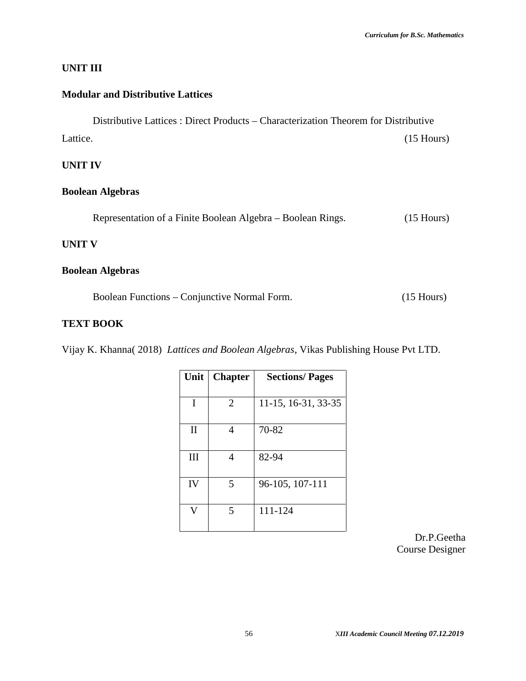#### **UNIT III**

#### **Modular and Distributive Lattices**

Distributive Lattices : Direct Products – Characterization Theorem for Distributive Lattice. (15 Hours) **UNIT IV Boolean Algebras** Representation of a Finite Boolean Algebra – Boolean Rings. (15 Hours) **UNIT V**

#### **Boolean Algebras**

Boolean Functions – Conjunctive Normal Form. (15 Hours)

#### **TEXT BOOK**

Vijay K. Khanna( 2018) *Lattices and Boolean Algebras*, Vikas Publishing House Pvt LTD.

| Unit           | <b>Chapter</b> | <b>Sections/Pages</b> |
|----------------|----------------|-----------------------|
| I              | 2              | 11-15, 16-31, 33-35   |
| $\mathbf{I}$   |                | 70-82                 |
| Ш              | 4              | 82-94                 |
| IV             | 5              | 96-105, 107-111       |
| $\overline{V}$ | 5              | 111-124               |

Dr.P.Geetha Course Designer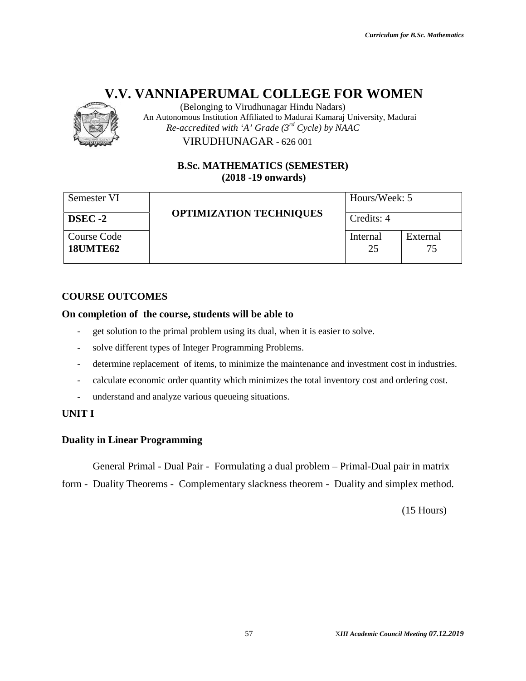

(Belonging to Virudhunagar Hindu Nadars) An Autonomous Institution Affiliated to Madurai Kamaraj University, Madurai *Re-accredited with 'A' Grade (3rd Cycle) by NAAC*

#### **B.Sc. MATHEMATICS (SEMESTER) (SEMESTER)(2018 -19 onwards)**

| Semester VI                          | $(2018 - 19)$ onwards)                                                                         | Hours/Week: 5  |                |
|--------------------------------------|------------------------------------------------------------------------------------------------|----------------|----------------|
| DSEC-2                               | <b>OPTIMIZATION TECHNIQUES</b>                                                                 | Credits: 4     |                |
| Course Code<br><b>18UMTE62</b>       |                                                                                                | Internal<br>25 | External<br>75 |
| <b>COURSE OUTCOMES</b>               |                                                                                                |                |                |
|                                      | On completion of the course, students will be able to                                          |                |                |
|                                      | get solution to the primal problem using its dual, when it is easier to solve.                 |                |                |
|                                      | solve different types of Integer Programming Problems.                                         |                |                |
|                                      | determine replacement of items, to minimize the maintenance and investment cost in industries. |                |                |
|                                      | calculate economic order quantity which minimizes the total inventory cost and ordering cost.  |                |                |
|                                      | understand and analyze various queueing situations.                                            |                |                |
| <b>UNIT I</b>                        |                                                                                                |                |                |
| <b>Duality in Linear Programming</b> |                                                                                                |                |                |
|                                      | General Primal - Dual Pair - Formulating a dual problem - Primal-Dual pair in matrix           |                |                |
|                                      | form - Duality Theorems - Complementary slackness theorem - Duality and simplex method.        |                |                |
|                                      |                                                                                                |                |                |
|                                      |                                                                                                |                | $(15$ Hours)   |
|                                      |                                                                                                |                |                |
|                                      |                                                                                                |                |                |
|                                      |                                                                                                |                |                |
|                                      |                                                                                                |                |                |
|                                      |                                                                                                |                |                |
|                                      |                                                                                                |                |                |
|                                      |                                                                                                |                |                |

#### **COURSE OUTCOMES**

#### **On completion of the course, students will be able to will**

- get solution to the primal problem using its dual, when it is easier to solve.
- solve different types of Integer Programming Problems.
- determine replacement of items, to minimize the maintenance and investment cost in industries. solution to the primal problem using its dual, when it is easier to solve.<br>The different types of Integer Programming Problems.<br>The set of investment cost in ermine replacement of items, to minimize the maintenance and inv
- calculate economic order quantity which minimizes the total inventory cost and ordering cost.
- understand and analyze various queueing situations.

#### **UNIT I**

#### **Duality in Linear Programming Programming**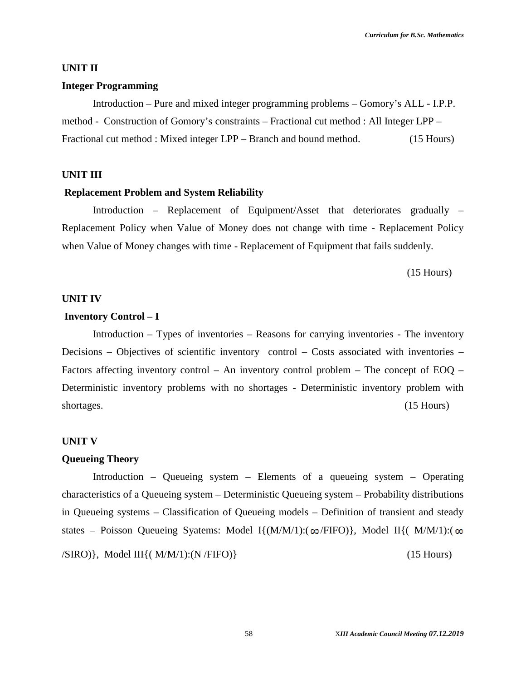#### **UNIT II**

#### **Integer Programming**

Introduction – Pure and mixed integer programming problems – Gomory's ALL - I.P.P. method - Construction of Gomory's constraints – Fractional cut method : All Integer LPP – Fractional cut method : Mixed integer LPP – Branch and bound method. (15 Hours)

#### **UNIT III**

#### **Replacement Problem and System Reliability**

Introduction – Replacement of Equipment/Asset that deteriorates gradually – Replacement Policy when Value of Money does not change with time - Replacement Policy when Value of Money changes with time - Replacement of Equipment that fails suddenly.

(15 Hours)

#### **UNIT IV**

#### **Inventory Control – I**

Introduction – Types of inventories – Reasons for carrying inventories - The inventory Decisions – Objectives of scientific inventory control – Costs associated with inventories – Factors affecting inventory control – An inventory control problem – The concept of EOQ – Deterministic inventory problems with no shortages - Deterministic inventory problem with shortages. (15 Hours)

#### **UNIT V**

#### **Queueing Theory**

Introduction – Queueing system – Elements of a queueing system – Operating characteristics of a Queueing system – Deterministic Queueing system – Probability distributions in Queueing systems – Classification of Queueing models – Definition of transient and steady states – Poisson Queueing Syatems: Model I $\{(M/M/1) : (\omega / FIFO)\}\$ , Model II $\{ (M/M/1) : (\omega / FIFO)\}\$  $\langle$ SIRO)}, Model III{( $M/M/1$ ):(N /FIFO)} (15 Hours)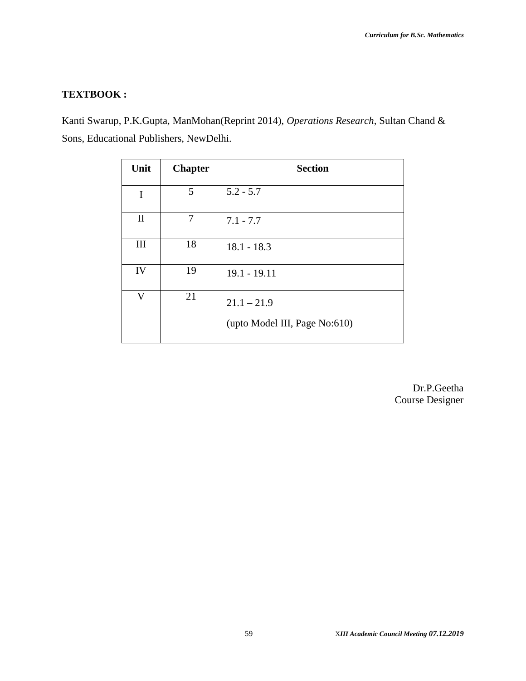#### **TEXTBOOK :**

Kanti Swarup, P.K.Gupta, ManMohan(Reprint 2014), *Operations Research*, Sultan Chand & Sons, Educational Publishers, NewDelhi.

| Unit         | <b>Chapter</b> | <b>Section</b>                |
|--------------|----------------|-------------------------------|
| I            | 5              | $5.2 - 5.7$                   |
| $\mathbf{I}$ | 7              | $7.1 - 7.7$                   |
| III          | 18             | $18.1 - 18.3$                 |
| IV           | 19             | $19.1 - 19.11$                |
| $\mathbf{V}$ | 21             | $21.1 - 21.9$                 |
|              |                | (upto Model III, Page No:610) |

Dr.P.Geetha Course Designer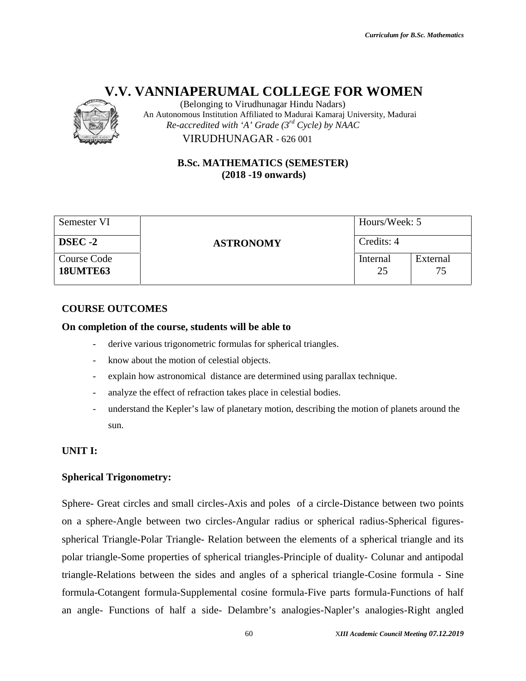

(Belonging to Virudhunagar Hindu Nadars) An Autonomous Institution Affiliated to Madurai Kamaraj University, Madurai *Re-accredited with 'A' Grade (3rd Cycle) by NAAC* VIRUDHUNAGAR - 626 001 VIRUDHUNAGAR

#### **B.Sc. MATHEMATICS (SEMESTER) (SEMESTER)(2018 -19 onwards)**

| Semester VI                    |                  | Hours/Week: 5  |                |
|--------------------------------|------------------|----------------|----------------|
| <b>DSEC -2</b>                 | <b>ASTRONOMY</b> | Credits: 4     |                |
| Course Code<br><b>18UMTE63</b> |                  | Internal<br>25 | External<br>75 |

#### **COURSE OUTCOMES**

#### **On completion of the course, students will be able to will**

- derive various trigonometric formulas for spherical triangles.
- know about the motion of celestial objects.
- derive various trigonometric formulas for spherical triangles.<br>Anow about the motion of celestial objects.<br>About for sphain how astronomical distance are determined using parallax technique.
- analyze the effect of refraction takes place in celestial bodies.
- understand the Kepler's law of planetary motion, describing the motion of planets around the sun.

#### **UNIT I:**

#### **Spherical Trigonometry:**

Sphere- Great circles and small circles-Axis and poles of a circle-Distance between two points on a sphere-Angle between two circles-Angular radius or spherical radius-Spherical figures spherical Triangle-Polar Triangle- Relation between the elements of a spherical triangle and its polar triangle-Some properties of spherical triangles-Principle of duality- Colunar and antipodal triangle-Relations between the sides and angles of a spherical triangle-Cosine formula - Sine formula-Cotangent formula-Supplemental cosine formula-Five parts formula-Functions of half an angle- Functions of half a side- Delambre's analogies-Napler's analogies-Right angled *III* Academic Thrindu Nadars)<br> **III Academic Affiliated to** *Grade (3<sup>or</sup> Cycle)* **by** *NAAC***<br>
<b>III** *Re-accredited with* 'A Corade (3<sup>or</sup> Cycle) by *NAAC*<br> **IB.Se. MATHEMATICS (SEMESTER)**<br> **IDIONATICS ARE (37<sup>0</sup> Cycle) by** ere- Great circles and small circles-Axis and poles of a circle-Distance between two po<br>a sphere-Angle between two circles-Angular radius or spherical radius-Spherical figu<br>erical Triangle-Polar Triangle- Relation between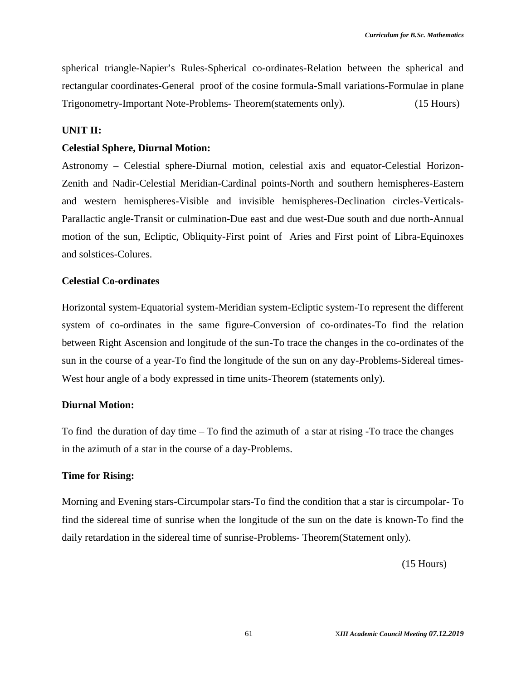spherical triangle-Napier's Rules-Spherical co-ordinates-Relation between the spherical and rectangular coordinates-General proof of the cosine formula-Small variations-Formulae in plane Trigonometry-Important Note-Problems- Theorem(statements only). (15 Hours)

#### **UNIT II:**

#### **Celestial Sphere, Diurnal Motion:**

Astronomy – Celestial sphere-Diurnal motion, celestial axis and equator-Celestial Horizon- Zenith and Nadir-Celestial Meridian-Cardinal points-North and southern hemispheres-Eastern and western hemispheres-Visible and invisible hemispheres-Declination circles-Verticals- Parallactic angle-Transit or culmination-Due east and due west-Due south and due north-Annual motion of the sun, Ecliptic, Obliquity-First point of Aries and First point of Libra-Equinoxes and solstices-Colures.

#### **Celestial Co-ordinates**

Horizontal system-Equatorial system-Meridian system-Ecliptic system-To represent the different system of co-ordinates in the same figure-Conversion of co-ordinates-To find the relation between Right Ascension and longitude of the sun-To trace the changes in the co-ordinates of the sun in the course of a year-To find the longitude of the sun on any day-Problems-Sidereal times- West hour angle of a body expressed in time units-Theorem (statements only).

#### **Diurnal Motion:**

To find the duration of day time – To find the azimuth of a star at rising -To trace the changes in the azimuth of a star in the course of a day-Problems.

#### **Time for Rising:**

Morning and Evening stars-Circumpolar stars-To find the condition that a star is circumpolar- To find the sidereal time of sunrise when the longitude of the sun on the date is known-To find the daily retardation in the sidereal time of sunrise-Problems- Theorem(Statement only).

(15 Hours)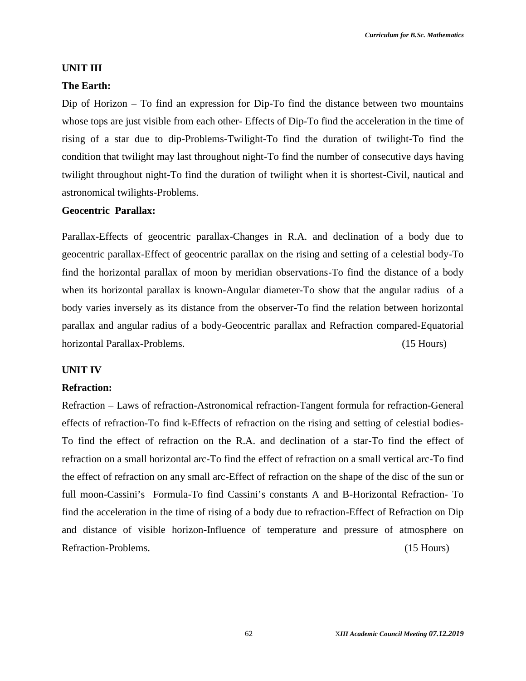#### **UNIT III**

#### **The Earth:**

Dip of Horizon – To find an expression for Dip-To find the distance between two mountains whose tops are just visible from each other- Effects of Dip-To find the acceleration in the time of rising of a star due to dip-Problems-Twilight-To find the duration of twilight-To find the condition that twilight may last throughout night-To find the number of consecutive days having twilight throughout night-To find the duration of twilight when it is shortest-Civil, nautical and astronomical twilights-Problems.

#### **Geocentric Parallax:**

Parallax-Effects of geocentric parallax-Changes in R.A. and declination of a body due to geocentric parallax-Effect of geocentric parallax on the rising and setting of a celestial body-To find the horizontal parallax of moon by meridian observations-To find the distance of a body when its horizontal parallax is known-Angular diameter-To show that the angular radius of a body varies inversely as its distance from the observer-To find the relation between horizontal parallax and angular radius of a body-Geocentric parallax and Refraction compared-Equatorial horizontal Parallax-Problems. (15 Hours)

#### **UNIT IV**

#### **Refraction:**

Refraction – Laws of refraction-Astronomical refraction-Tangent formula for refraction-General effects of refraction-To find k-Effects of refraction on the rising and setting of celestial bodies- To find the effect of refraction on the R.A. and declination of a star-To find the effect of refraction on a small horizontal arc-To find the effect of refraction on a small vertical arc-To find the effect of refraction on any small arc-Effect of refraction on the shape of the disc of the sun or full moon-Cassini's Formula-To find Cassini's constants A and B-Horizontal Refraction- To find the acceleration in the time of rising of a body due to refraction-Effect of Refraction on Dip and distance of visible horizon-Influence of temperature and pressure of atmosphere on Refraction-Problems. (15 Hours)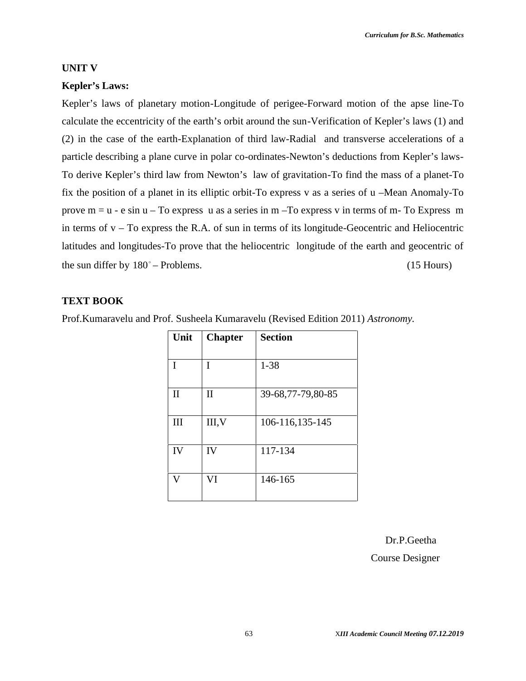#### **UNIT V**

#### **Kepler's Laws:**

Kepler's laws of planetary motion-Longitude of perigee-Forward motion of the apse line-To calculate the eccentricity of the earth's orbit around the sun-Verification of Kepler's laws (1) and (2) in the case of the earth-Explanation of third law-Radial and transverse accelerations of a particle describing a plane curve in polar co-ordinates-Newton's deductions from Kepler's laws- To derive Kepler's third law from Newton's law of gravitation-To find the mass of a planet-To fix the position of a planet in its elliptic orbit-To express v as a series of u –Mean Anomaly-To prove  $m = u - e \sin u - To$  express u as a series in  $m - To$  express v in terms of m- To Express m in terms of  $v - To$  express the R.A. of sun in terms of its longitude-Geocentric and Heliocentric latitudes and longitudes-To prove that the heliocentric longitude of the earth and geocentric of the sun differ by  $180^\circ$  – Problems. (15 Hours)

#### **TEXT BOOK**

Prof.Kumaravelu and Prof. Susheela Kumaravelu (Revised Edition 2011) *Astronomy.*

| Unit         | <b>Chapter</b> | <b>Section</b>    |
|--------------|----------------|-------------------|
| I            | I              | $1 - 38$          |
| $\mathbf{I}$ | $\mathbf{I}$   | 39-68,77-79,80-85 |
| Ш            | III, V         | 106-116,135-145   |
| IV           | IV             | 117-134           |
| V            | VI             | 146-165           |

Dr.P.Geetha

Course Designer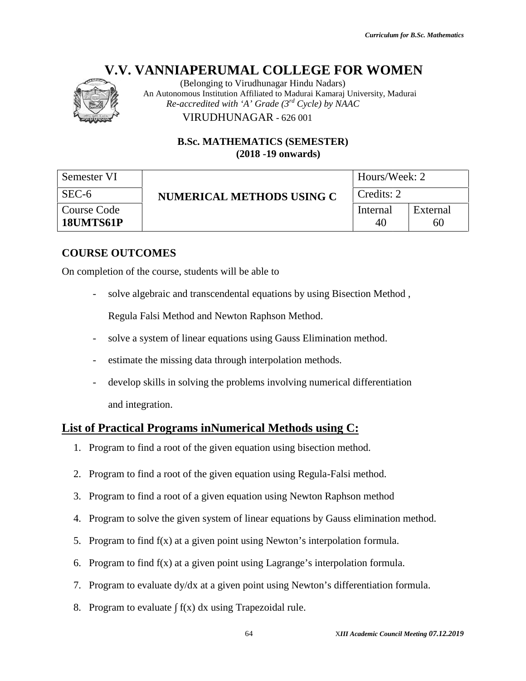

(Belonging to Virudhunagar Hindu Nadars) An Autonomous Institution Affiliated to Madurai Kamaraj University, Madurai *Re-accredited with 'A' Grade (3rd Cycle) by NAAC* VIRUDHUNAGAR - 626 001 VIRUDHUNAGAR

|                                 | (Belonging to Virudhunagar Hindu Nadars)<br>An Autonomous Institution Affiliated to Madurai Kamaraj University, Madurai<br>Re-accredited with 'A' Grade $(3^{rd}$ Cycle) by NAAC |                |                                          |  |
|---------------------------------|----------------------------------------------------------------------------------------------------------------------------------------------------------------------------------|----------------|------------------------------------------|--|
|                                 | VIRUDHUNAGAR - 626 001                                                                                                                                                           |                |                                          |  |
|                                 | <b>B.Sc. MATHEMATICS (SEMESTER)</b><br>$(2018 - 19)$ onwards)                                                                                                                    |                |                                          |  |
| Semester VI                     |                                                                                                                                                                                  | Hours/Week: 2  |                                          |  |
| SEC-6                           | <b>NUMERICAL METHODS USING C</b>                                                                                                                                                 | Credits: 2     |                                          |  |
| <b>Course Code</b><br>18UMTS61P |                                                                                                                                                                                  | Internal<br>40 | External<br>60                           |  |
| <b>COURSE OUTCOMES</b>          |                                                                                                                                                                                  |                |                                          |  |
|                                 | On completion of the course, students will be able to                                                                                                                            |                |                                          |  |
| $\overline{\phantom{a}}$        | solve algebraic and transcendental equations by using Bisection Method,                                                                                                          |                |                                          |  |
|                                 | Regula Falsi Method and Newton Raphson Method.                                                                                                                                   |                |                                          |  |
| $\overline{\phantom{a}}$        | solve a system of linear equations using Gauss Elimination method.                                                                                                               |                |                                          |  |
|                                 | estimate the missing data through interpolation methods.                                                                                                                         |                |                                          |  |
|                                 | develop skills in solving the problems involving numerical differentiation                                                                                                       |                |                                          |  |
| and integration.                |                                                                                                                                                                                  |                |                                          |  |
|                                 | <b>List of Practical Programs inNumerical Methods using C:</b>                                                                                                                   |                |                                          |  |
| 1.                              | Program to find a root of the given equation using bisection method.                                                                                                             |                |                                          |  |
| 2.                              | Program to find a root of the given equation using Regula-Falsi method.                                                                                                          |                |                                          |  |
| 3.                              | Program to find a root of a given equation using Newton Raphson method                                                                                                           |                |                                          |  |
| 4.                              | Program to solve the given system of linear equations by Gauss elimination method.                                                                                               |                |                                          |  |
| 5.                              | Program to find $f(x)$ at a given point using Newton's interpolation formula.                                                                                                    |                |                                          |  |
| 6.                              | Program to find $f(x)$ at a given point using Lagrange's interpolation formula.                                                                                                  |                |                                          |  |
| 7.                              | Program to evaluate dy/dx at a given point using Newton's differentiation formula.                                                                                               |                |                                          |  |
| 8.                              | Program to evaluate $f(x)$ dx using Trapezoidal rule.                                                                                                                            |                |                                          |  |
|                                 | 64                                                                                                                                                                               |                | XIII Academic Council Meeting 07.12.2019 |  |

#### **COURSE OUTCOMES**

- solve a system of linear equations using Gauss Elimination method.
- estimate the missing data through interpolation methods.
- develop skills in solving the problems involving numerical differentiation and integration.

#### **List of Practical Programs inNumerical Methods using C:**

- 1. Program to find a root of the given equation using bisection method.
- 2. Program to find a root of the given equation using Regula-Falsi method.
- 3. Program to find a root of a given equation using Newton Raphson method
- 4. Program to solve the given system of linear equations by Gauss elimination method. find a root of the given equation using bisection met<br>find a root of the given equation using Regula-Falsi<br>find a root of a given equation using Newton Raphso<br>solve the given system of linear equations by Gauss
- 5. Program to find  $f(x)$  at a given point using Newton's interpolation formula.
- 6. Program to find f(x) at a given point using Lagrange's interpolation formula.
- 7. Program to evaluate dy/dx at a given point using Newton's differentiation formula. iven point using Newton's interpolation formula.<br>iven point using Lagrange's interpolation formula.<br>at a given point using Newton's differentiation formula.<br>dx using Trapezoidal rule.
- 8. Program to evaluate  $f(x) dx$  using Trapezoidal rule.